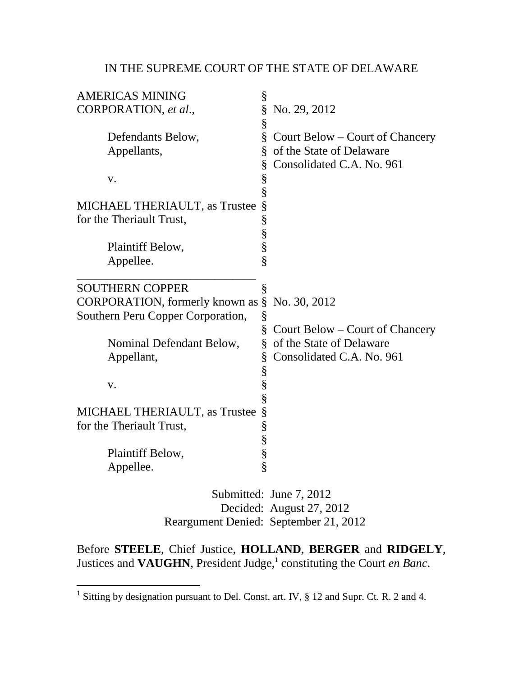# IN THE SUPREME COURT OF THE STATE OF DELAWARE

| <b>AMERICAS MINING</b>              | §      |                                 |
|-------------------------------------|--------|---------------------------------|
| CORPORATION, et al.,                | §      | No. 29, 2012                    |
|                                     | §      |                                 |
| Defendants Below,                   | §      | Court Below – Court of Chancery |
| Appellants,                         | §      | of the State of Delaware        |
|                                     | §      | Consolidated C.A. No. 961       |
| V.                                  | §      |                                 |
|                                     | §      |                                 |
| MICHAEL THERIAULT, as Trustee       | §      |                                 |
| for the Theriault Trust,            | §      |                                 |
|                                     | §      |                                 |
| Plaintiff Below,                    | §      |                                 |
| Appellee.                           | §      |                                 |
|                                     |        |                                 |
| <b>SOUTHERN COPPER</b>              | §      |                                 |
| CORPORATION, formerly known as $\S$ |        | No. 30, 2012                    |
| Southern Peru Copper Corporation,   |        |                                 |
|                                     | §      | Court Below – Court of Chancery |
| Nominal Defendant Below,            |        | § of the State of Delaware      |
| Appellant,                          | §      | Consolidated C.A. No. 961       |
|                                     | §      |                                 |
| V.                                  | §      |                                 |
|                                     | §      |                                 |
| MICHAEL THERIAULT, as Trustee       | §      |                                 |
| for the Theriault Trust,            | §      |                                 |
|                                     | §      |                                 |
| Plaintiff Below,                    | §<br>§ |                                 |
| Appellee.                           |        |                                 |
|                                     |        |                                 |
| Submitted: June 7, 2012             |        |                                 |

 Decided: August 27, 2012 Reargument Denied: September 21, 2012

Before **STEELE**, Chief Justice, **HOLLAND**, **BERGER** and **RIDGELY**, Justices and **VAUGHN**, President Judge,<sup>1</sup> constituting the Court *en Banc*.

<sup>&</sup>lt;sup>1</sup> Sitting by designation pursuant to Del. Const. art. IV, § 12 and Supr. Ct. R. 2 and 4.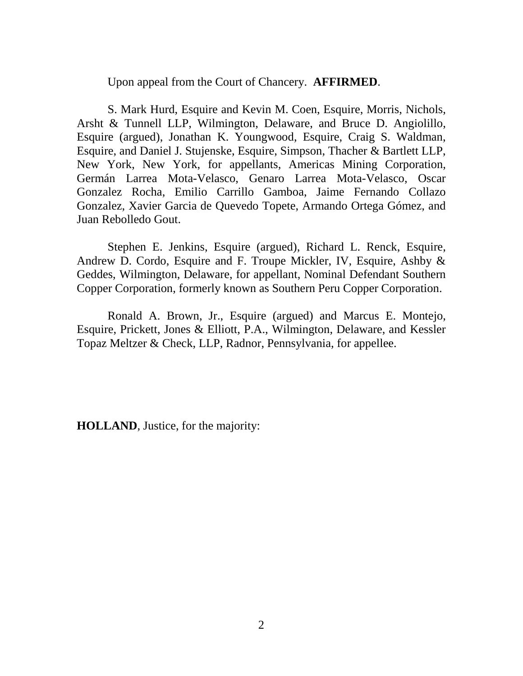Upon appeal from the Court of Chancery. **AFFIRMED**.

 S. Mark Hurd, Esquire and Kevin M. Coen, Esquire, Morris, Nichols, Arsht & Tunnell LLP, Wilmington, Delaware, and Bruce D. Angiolillo, Esquire (argued), Jonathan K. Youngwood, Esquire, Craig S. Waldman, Esquire, and Daniel J. Stujenske, Esquire, Simpson, Thacher & Bartlett LLP, New York, New York, for appellants, Americas Mining Corporation, Germán Larrea Mota-Velasco, Genaro Larrea Mota-Velasco, Oscar Gonzalez Rocha, Emilio Carrillo Gamboa, Jaime Fernando Collazo Gonzalez, Xavier Garcia de Quevedo Topete, Armando Ortega Gómez, and Juan Rebolledo Gout.

 Stephen E. Jenkins, Esquire (argued), Richard L. Renck, Esquire, Andrew D. Cordo, Esquire and F. Troupe Mickler, IV, Esquire, Ashby & Geddes, Wilmington, Delaware, for appellant, Nominal Defendant Southern Copper Corporation, formerly known as Southern Peru Copper Corporation.

 Ronald A. Brown, Jr., Esquire (argued) and Marcus E. Montejo, Esquire, Prickett, Jones & Elliott, P.A., Wilmington, Delaware, and Kessler Topaz Meltzer & Check, LLP, Radnor, Pennsylvania, for appellee.

**HOLLAND**, Justice, for the majority: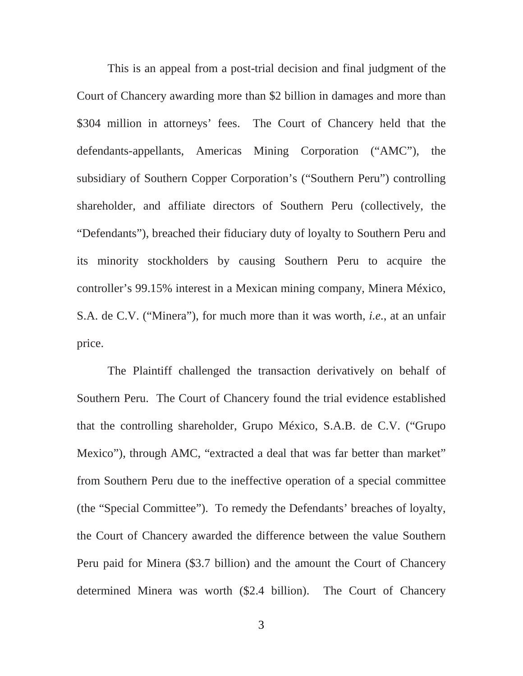This is an appeal from a post-trial decision and final judgment of the Court of Chancery awarding more than \$2 billion in damages and more than \$304 million in attorneys' fees. The Court of Chancery held that the defendants-appellants, Americas Mining Corporation ("AMC"), the subsidiary of Southern Copper Corporation's ("Southern Peru") controlling shareholder, and affiliate directors of Southern Peru (collectively, the "Defendants"), breached their fiduciary duty of loyalty to Southern Peru and its minority stockholders by causing Southern Peru to acquire the controller's 99.15% interest in a Mexican mining company, Minera México, S.A. de C.V. ("Minera"), for much more than it was worth, *i.e.*, at an unfair price.

 The Plaintiff challenged the transaction derivatively on behalf of Southern Peru. The Court of Chancery found the trial evidence established that the controlling shareholder, Grupo México, S.A.B. de C.V. ("Grupo Mexico"), through AMC, "extracted a deal that was far better than market" from Southern Peru due to the ineffective operation of a special committee (the "Special Committee"). To remedy the Defendants' breaches of loyalty, the Court of Chancery awarded the difference between the value Southern Peru paid for Minera (\$3.7 billion) and the amount the Court of Chancery determined Minera was worth (\$2.4 billion). The Court of Chancery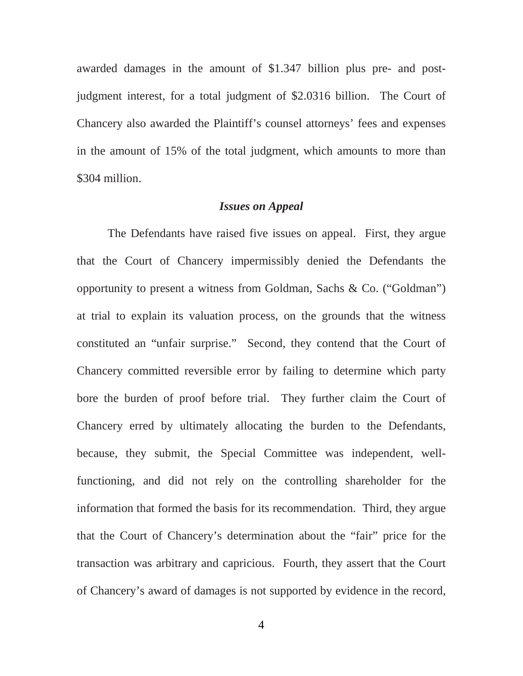awarded damages in the amount of \$1.347 billion plus pre- and postjudgment interest, for a total judgment of \$2.0316 billion. The Court of Chancery also awarded the Plaintiff's counsel attorneys' fees and expenses in the amount of 15% of the total judgment, which amounts to more than \$304 million.

#### *Issues on Appeal*

The Defendants have raised five issues on appeal. First, they argue that the Court of Chancery impermissibly denied the Defendants the opportunity to present a witness from Goldman, Sachs & Co. ("Goldman") at trial to explain its valuation process, on the grounds that the witness constituted an "unfair surprise." Second, they contend that the Court of Chancery committed reversible error by failing to determine which party bore the burden of proof before trial. They further claim the Court of Chancery erred by ultimately allocating the burden to the Defendants, because, they submit, the Special Committee was independent, wellfunctioning, and did not rely on the controlling shareholder for the information that formed the basis for its recommendation. Third, they argue that the Court of Chancery's determination about the "fair" price for the transaction was arbitrary and capricious. Fourth, they assert that the Court of Chancery's award of damages is not supported by evidence in the record,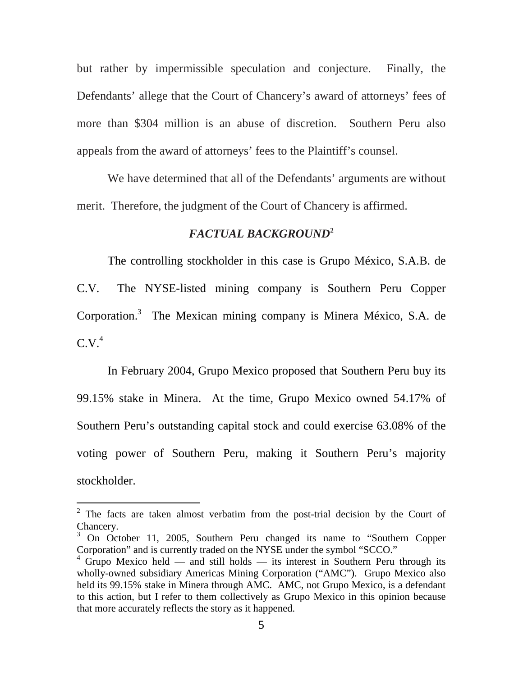but rather by impermissible speculation and conjecture. Finally, the Defendants' allege that the Court of Chancery's award of attorneys' fees of more than \$304 million is an abuse of discretion. Southern Peru also appeals from the award of attorneys' fees to the Plaintiff's counsel.

 We have determined that all of the Defendants' arguments are without merit. Therefore, the judgment of the Court of Chancery is affirmed.

#### *FACTUAL BACKGROUND***<sup>2</sup>**

 The controlling stockholder in this case is Grupo México, S.A.B. de C.V. The NYSE-listed mining company is Southern Peru Copper Corporation.<sup>3</sup> The Mexican mining company is Minera México, S.A. de  $C.V.<sup>4</sup>$ 

In February 2004, Grupo Mexico proposed that Southern Peru buy its 99.15% stake in Minera. At the time, Grupo Mexico owned 54.17% of Southern Peru's outstanding capital stock and could exercise 63.08% of the voting power of Southern Peru, making it Southern Peru's majority stockholder.

<sup>&</sup>lt;sup>2</sup> The facts are taken almost verbatim from the post-trial decision by the Court of Chancery.

<sup>3</sup> On October 11, 2005, Southern Peru changed its name to "Southern Copper Corporation" and is currently traded on the NYSE under the symbol "SCCO."

 $4$  Grupo Mexico held — and still holds — its interest in Southern Peru through its wholly-owned subsidiary Americas Mining Corporation ("AMC"). Grupo Mexico also held its 99.15% stake in Minera through AMC. AMC, not Grupo Mexico, is a defendant to this action, but I refer to them collectively as Grupo Mexico in this opinion because that more accurately reflects the story as it happened.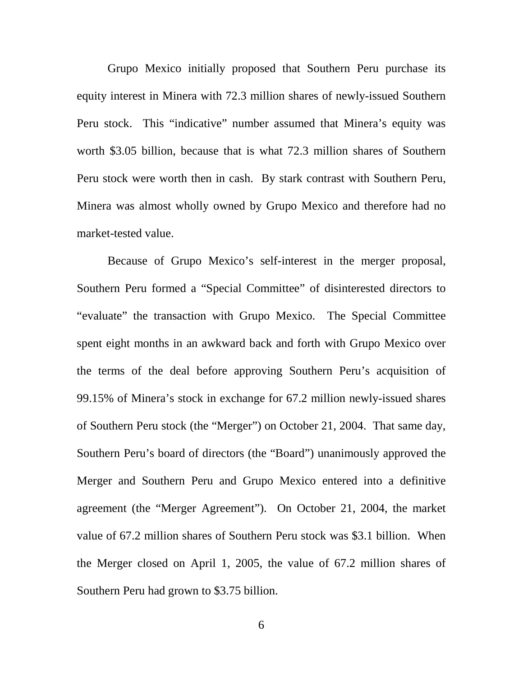Grupo Mexico initially proposed that Southern Peru purchase its equity interest in Minera with 72.3 million shares of newly-issued Southern Peru stock. This "indicative" number assumed that Minera's equity was worth \$3.05 billion, because that is what 72.3 million shares of Southern Peru stock were worth then in cash. By stark contrast with Southern Peru, Minera was almost wholly owned by Grupo Mexico and therefore had no market-tested value.

 Because of Grupo Mexico's self-interest in the merger proposal, Southern Peru formed a "Special Committee" of disinterested directors to "evaluate" the transaction with Grupo Mexico. The Special Committee spent eight months in an awkward back and forth with Grupo Mexico over the terms of the deal before approving Southern Peru's acquisition of 99.15% of Minera's stock in exchange for 67.2 million newly-issued shares of Southern Peru stock (the "Merger") on October 21, 2004. That same day, Southern Peru's board of directors (the "Board") unanimously approved the Merger and Southern Peru and Grupo Mexico entered into a definitive agreement (the "Merger Agreement"). On October 21, 2004, the market value of 67.2 million shares of Southern Peru stock was \$3.1 billion. When the Merger closed on April 1, 2005, the value of 67.2 million shares of Southern Peru had grown to \$3.75 billion.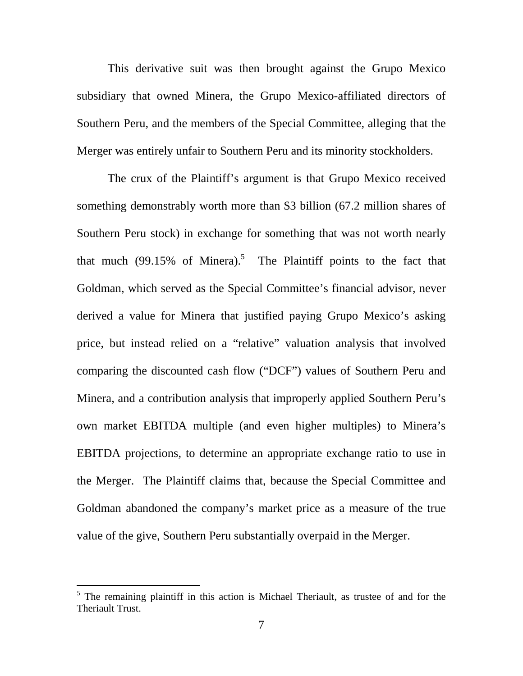This derivative suit was then brought against the Grupo Mexico subsidiary that owned Minera, the Grupo Mexico-affiliated directors of Southern Peru, and the members of the Special Committee, alleging that the Merger was entirely unfair to Southern Peru and its minority stockholders.

The crux of the Plaintiff's argument is that Grupo Mexico received something demonstrably worth more than \$3 billion (67.2 million shares of Southern Peru stock) in exchange for something that was not worth nearly that much  $(99.15\% \text{ of Minera})$ .<sup>5</sup> The Plaintiff points to the fact that Goldman, which served as the Special Committee's financial advisor, never derived a value for Minera that justified paying Grupo Mexico's asking price, but instead relied on a "relative" valuation analysis that involved comparing the discounted cash flow ("DCF") values of Southern Peru and Minera, and a contribution analysis that improperly applied Southern Peru's own market EBITDA multiple (and even higher multiples) to Minera's EBITDA projections, to determine an appropriate exchange ratio to use in the Merger. The Plaintiff claims that, because the Special Committee and Goldman abandoned the company's market price as a measure of the true value of the give, Southern Peru substantially overpaid in the Merger.

 $\overline{a}$ 

<sup>&</sup>lt;sup>5</sup> The remaining plaintiff in this action is Michael Theriault, as trustee of and for the Theriault Trust.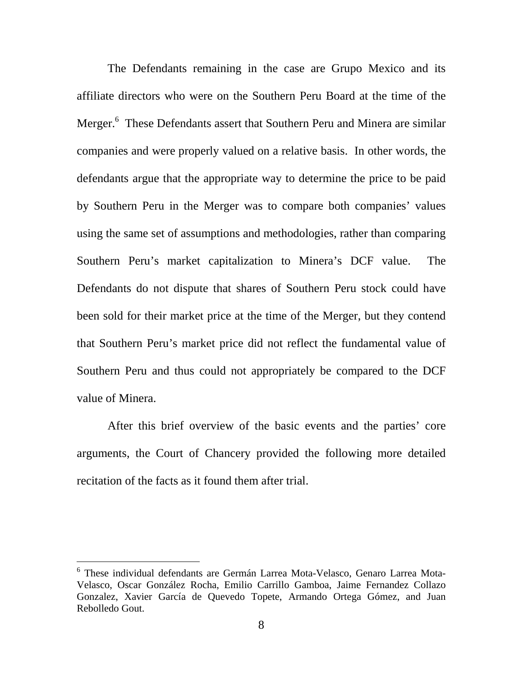The Defendants remaining in the case are Grupo Mexico and its affiliate directors who were on the Southern Peru Board at the time of the Merger.<sup>6</sup> These Defendants assert that Southern Peru and Minera are similar companies and were properly valued on a relative basis. In other words, the defendants argue that the appropriate way to determine the price to be paid by Southern Peru in the Merger was to compare both companies' values using the same set of assumptions and methodologies, rather than comparing Southern Peru's market capitalization to Minera's DCF value. The Defendants do not dispute that shares of Southern Peru stock could have been sold for their market price at the time of the Merger, but they contend that Southern Peru's market price did not reflect the fundamental value of Southern Peru and thus could not appropriately be compared to the DCF value of Minera.

 After this brief overview of the basic events and the parties' core arguments, the Court of Chancery provided the following more detailed recitation of the facts as it found them after trial.

-

<sup>6</sup> These individual defendants are Germán Larrea Mota-Velasco, Genaro Larrea Mota-Velasco, Oscar González Rocha, Emilio Carrillo Gamboa, Jaime Fernandez Collazo Gonzalez, Xavier García de Quevedo Topete, Armando Ortega Gómez, and Juan Rebolledo Gout.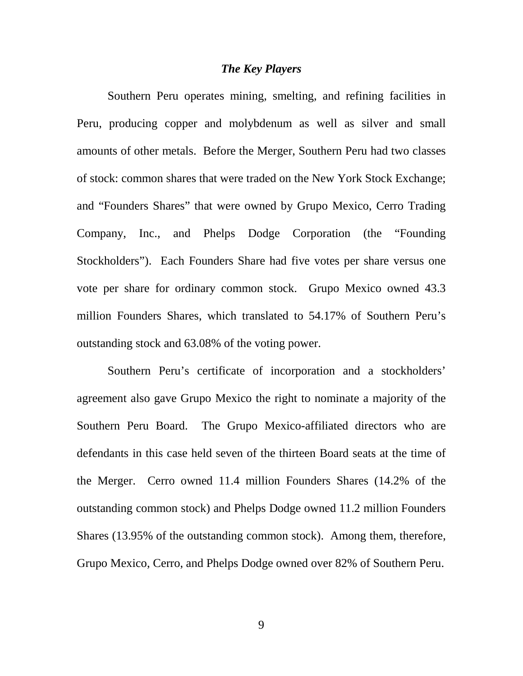#### *The Key Players*

 Southern Peru operates mining, smelting, and refining facilities in Peru, producing copper and molybdenum as well as silver and small amounts of other metals. Before the Merger, Southern Peru had two classes of stock: common shares that were traded on the New York Stock Exchange; and "Founders Shares" that were owned by Grupo Mexico, Cerro Trading Company, Inc., and Phelps Dodge Corporation (the "Founding Stockholders"). Each Founders Share had five votes per share versus one vote per share for ordinary common stock. Grupo Mexico owned 43.3 million Founders Shares, which translated to 54.17% of Southern Peru's outstanding stock and 63.08% of the voting power.

Southern Peru's certificate of incorporation and a stockholders' agreement also gave Grupo Mexico the right to nominate a majority of the Southern Peru Board. The Grupo Mexico-affiliated directors who are defendants in this case held seven of the thirteen Board seats at the time of the Merger. Cerro owned 11.4 million Founders Shares (14.2% of the outstanding common stock) and Phelps Dodge owned 11.2 million Founders Shares (13.95% of the outstanding common stock). Among them, therefore, Grupo Mexico, Cerro, and Phelps Dodge owned over 82% of Southern Peru.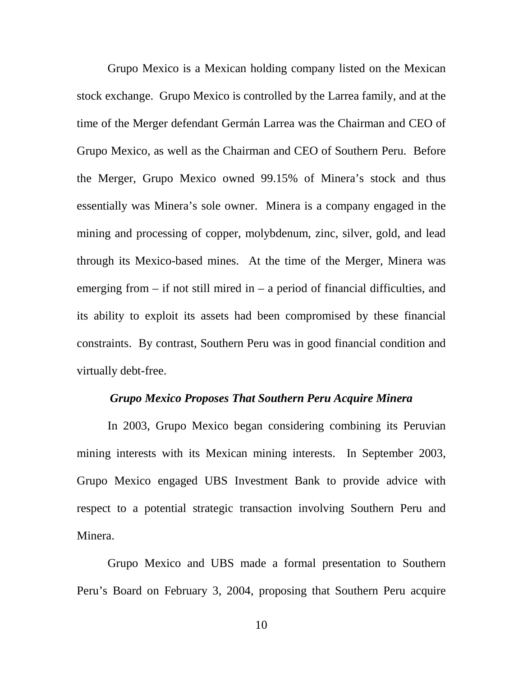Grupo Mexico is a Mexican holding company listed on the Mexican stock exchange. Grupo Mexico is controlled by the Larrea family, and at the time of the Merger defendant Germán Larrea was the Chairman and CEO of Grupo Mexico, as well as the Chairman and CEO of Southern Peru. Before the Merger, Grupo Mexico owned 99.15% of Minera's stock and thus essentially was Minera's sole owner. Minera is a company engaged in the mining and processing of copper, molybdenum, zinc, silver, gold, and lead through its Mexico-based mines. At the time of the Merger, Minera was emerging from  $-$  if not still mired in  $-$  a period of financial difficulties, and its ability to exploit its assets had been compromised by these financial constraints. By contrast, Southern Peru was in good financial condition and virtually debt-free.

### *Grupo Mexico Proposes That Southern Peru Acquire Minera*

In 2003, Grupo Mexico began considering combining its Peruvian mining interests with its Mexican mining interests. In September 2003, Grupo Mexico engaged UBS Investment Bank to provide advice with respect to a potential strategic transaction involving Southern Peru and Minera.

Grupo Mexico and UBS made a formal presentation to Southern Peru's Board on February 3, 2004, proposing that Southern Peru acquire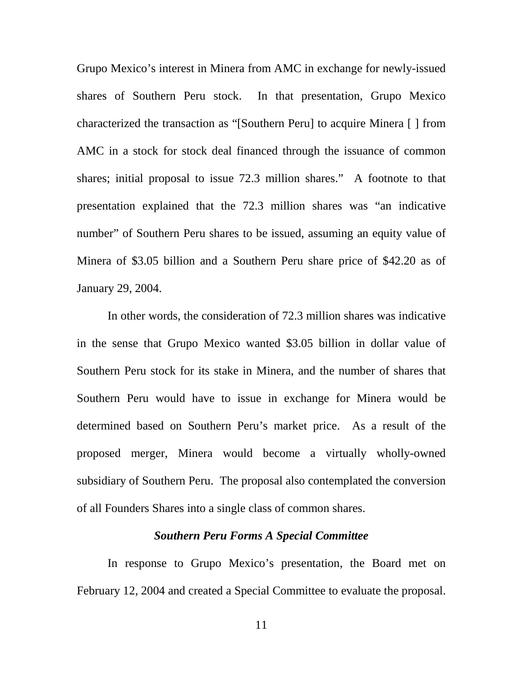Grupo Mexico's interest in Minera from AMC in exchange for newly-issued shares of Southern Peru stock. In that presentation, Grupo Mexico characterized the transaction as "[Southern Peru] to acquire Minera [ ] from AMC in a stock for stock deal financed through the issuance of common shares; initial proposal to issue 72.3 million shares." A footnote to that presentation explained that the 72.3 million shares was "an indicative number" of Southern Peru shares to be issued, assuming an equity value of Minera of \$3.05 billion and a Southern Peru share price of \$42.20 as of January 29, 2004.

In other words, the consideration of 72.3 million shares was indicative in the sense that Grupo Mexico wanted \$3.05 billion in dollar value of Southern Peru stock for its stake in Minera, and the number of shares that Southern Peru would have to issue in exchange for Minera would be determined based on Southern Peru's market price. As a result of the proposed merger, Minera would become a virtually wholly-owned subsidiary of Southern Peru. The proposal also contemplated the conversion of all Founders Shares into a single class of common shares.

#### *Southern Peru Forms A Special Committee*

In response to Grupo Mexico's presentation, the Board met on February 12, 2004 and created a Special Committee to evaluate the proposal.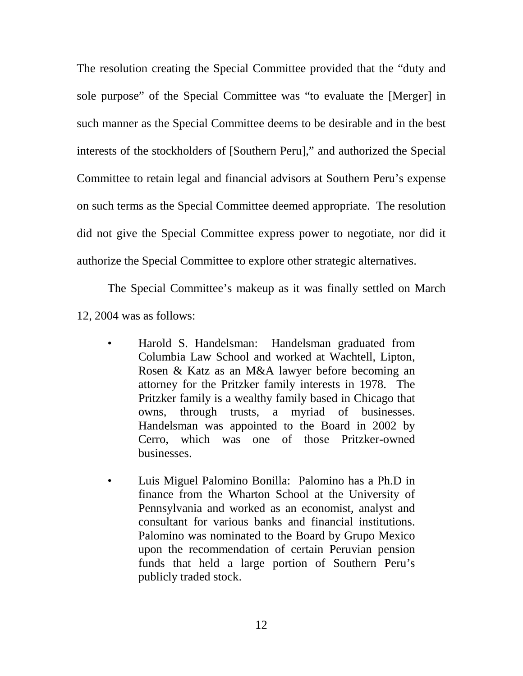The resolution creating the Special Committee provided that the "duty and sole purpose" of the Special Committee was "to evaluate the [Merger] in such manner as the Special Committee deems to be desirable and in the best interests of the stockholders of [Southern Peru]," and authorized the Special Committee to retain legal and financial advisors at Southern Peru's expense on such terms as the Special Committee deemed appropriate. The resolution did not give the Special Committee express power to negotiate, nor did it authorize the Special Committee to explore other strategic alternatives.

 The Special Committee's makeup as it was finally settled on March 12, 2004 was as follows:

- Harold S. Handelsman: Handelsman graduated from Columbia Law School and worked at Wachtell, Lipton, Rosen & Katz as an M&A lawyer before becoming an attorney for the Pritzker family interests in 1978. The Pritzker family is a wealthy family based in Chicago that owns, through trusts, a myriad of businesses. Handelsman was appointed to the Board in 2002 by Cerro, which was one of those Pritzker-owned businesses.
- Luis Miguel Palomino Bonilla: Palomino has a Ph.D in finance from the Wharton School at the University of Pennsylvania and worked as an economist, analyst and consultant for various banks and financial institutions. Palomino was nominated to the Board by Grupo Mexico upon the recommendation of certain Peruvian pension funds that held a large portion of Southern Peru's publicly traded stock.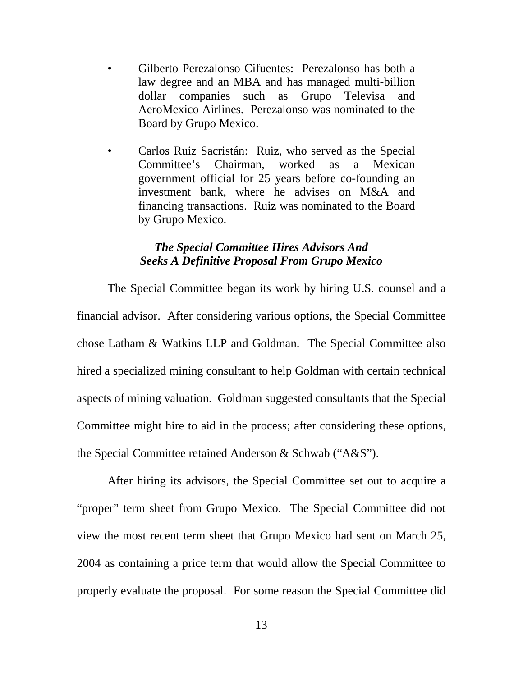- Gilberto Perezalonso Cifuentes: Perezalonso has both a law degree and an MBA and has managed multi-billion dollar companies such as Grupo Televisa and AeroMexico Airlines. Perezalonso was nominated to the Board by Grupo Mexico.
- Carlos Ruiz Sacristán: Ruiz, who served as the Special Committee's Chairman, worked as a Mexican government official for 25 years before co-founding an investment bank, where he advises on M&A and financing transactions. Ruiz was nominated to the Board by Grupo Mexico.

# *The Special Committee Hires Advisors And Seeks A Definitive Proposal From Grupo Mexico*

 The Special Committee began its work by hiring U.S. counsel and a financial advisor. After considering various options, the Special Committee chose Latham & Watkins LLP and Goldman. The Special Committee also hired a specialized mining consultant to help Goldman with certain technical aspects of mining valuation. Goldman suggested consultants that the Special Committee might hire to aid in the process; after considering these options, the Special Committee retained Anderson & Schwab ("A&S").

 After hiring its advisors, the Special Committee set out to acquire a "proper" term sheet from Grupo Mexico. The Special Committee did not view the most recent term sheet that Grupo Mexico had sent on March 25, 2004 as containing a price term that would allow the Special Committee to properly evaluate the proposal. For some reason the Special Committee did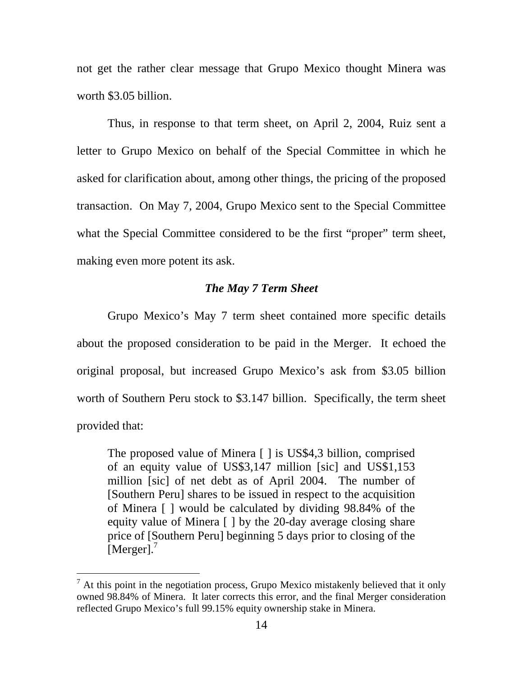not get the rather clear message that Grupo Mexico thought Minera was worth \$3.05 billion.

Thus, in response to that term sheet, on April 2, 2004, Ruiz sent a letter to Grupo Mexico on behalf of the Special Committee in which he asked for clarification about, among other things, the pricing of the proposed transaction. On May 7, 2004, Grupo Mexico sent to the Special Committee what the Special Committee considered to be the first "proper" term sheet, making even more potent its ask.

## *The May 7 Term Sheet*

 Grupo Mexico's May 7 term sheet contained more specific details about the proposed consideration to be paid in the Merger. It echoed the original proposal, but increased Grupo Mexico's ask from \$3.05 billion worth of Southern Peru stock to \$3.147 billion. Specifically, the term sheet provided that:

The proposed value of Minera [ ] is US\$4,3 billion, comprised of an equity value of US\$3,147 million [sic] and US\$1,153 million [sic] of net debt as of April 2004. The number of [Southern Peru] shares to be issued in respect to the acquisition of Minera [ ] would be calculated by dividing 98.84% of the equity value of Minera [ ] by the 20-day average closing share price of [Southern Peru] beginning 5 days prior to closing of the [Merger]. $<sup>7</sup>$ </sup>

<sup>&</sup>lt;sup>7</sup> At this point in the negotiation process, Grupo Mexico mistakenly believed that it only owned 98.84% of Minera. It later corrects this error, and the final Merger consideration reflected Grupo Mexico's full 99.15% equity ownership stake in Minera.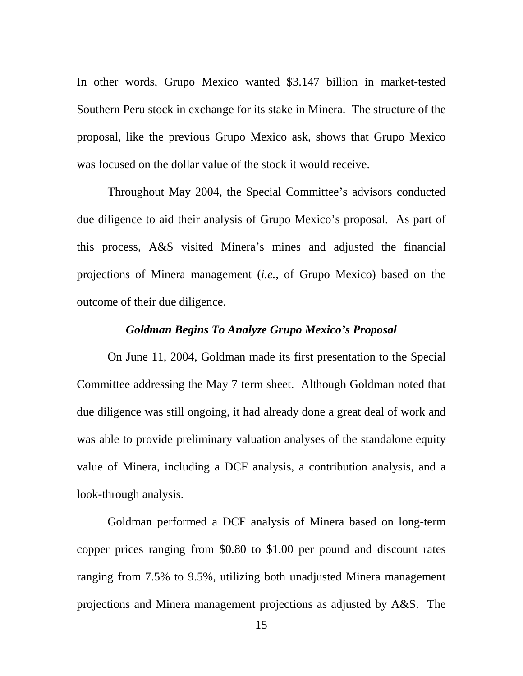In other words, Grupo Mexico wanted \$3.147 billion in market-tested Southern Peru stock in exchange for its stake in Minera. The structure of the proposal, like the previous Grupo Mexico ask, shows that Grupo Mexico was focused on the dollar value of the stock it would receive.

Throughout May 2004, the Special Committee's advisors conducted due diligence to aid their analysis of Grupo Mexico's proposal. As part of this process, A&S visited Minera's mines and adjusted the financial projections of Minera management (*i.e.*, of Grupo Mexico) based on the outcome of their due diligence.

### *Goldman Begins To Analyze Grupo Mexico's Proposal*

On June 11, 2004, Goldman made its first presentation to the Special Committee addressing the May 7 term sheet. Although Goldman noted that due diligence was still ongoing, it had already done a great deal of work and was able to provide preliminary valuation analyses of the standalone equity value of Minera, including a DCF analysis, a contribution analysis, and a look-through analysis.

 Goldman performed a DCF analysis of Minera based on long-term copper prices ranging from \$0.80 to \$1.00 per pound and discount rates ranging from 7.5% to 9.5%, utilizing both unadjusted Minera management projections and Minera management projections as adjusted by A&S. The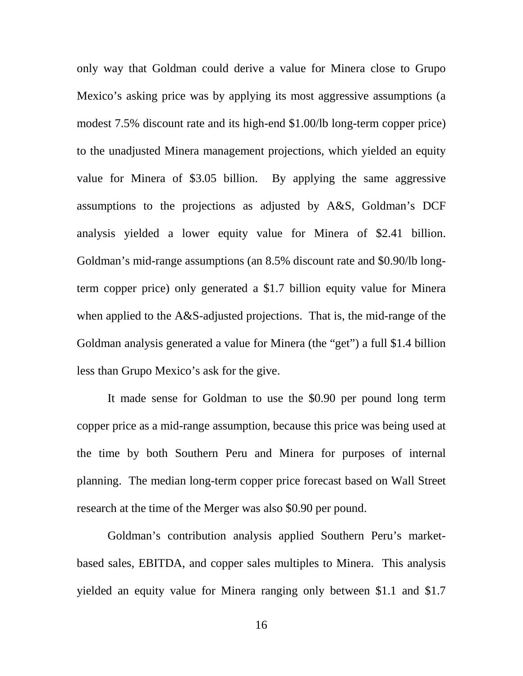only way that Goldman could derive a value for Minera close to Grupo Mexico's asking price was by applying its most aggressive assumptions (a modest 7.5% discount rate and its high-end \$1.00/lb long-term copper price) to the unadjusted Minera management projections, which yielded an equity value for Minera of \$3.05 billion. By applying the same aggressive assumptions to the projections as adjusted by A&S, Goldman's DCF analysis yielded a lower equity value for Minera of \$2.41 billion. Goldman's mid-range assumptions (an 8.5% discount rate and \$0.90/lb longterm copper price) only generated a \$1.7 billion equity value for Minera when applied to the A&S-adjusted projections. That is, the mid-range of the Goldman analysis generated a value for Minera (the "get") a full \$1.4 billion less than Grupo Mexico's ask for the give.

It made sense for Goldman to use the \$0.90 per pound long term copper price as a mid-range assumption, because this price was being used at the time by both Southern Peru and Minera for purposes of internal planning. The median long-term copper price forecast based on Wall Street research at the time of the Merger was also \$0.90 per pound.

Goldman's contribution analysis applied Southern Peru's marketbased sales, EBITDA, and copper sales multiples to Minera. This analysis yielded an equity value for Minera ranging only between \$1.1 and \$1.7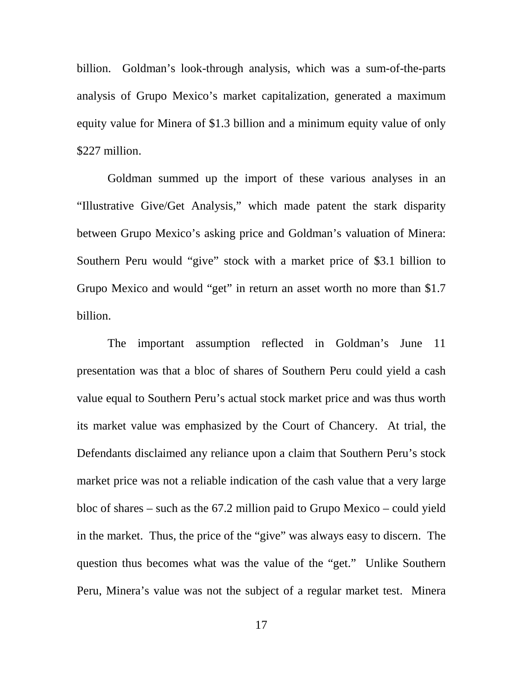billion. Goldman's look-through analysis, which was a sum-of-the-parts analysis of Grupo Mexico's market capitalization, generated a maximum equity value for Minera of \$1.3 billion and a minimum equity value of only \$227 million.

Goldman summed up the import of these various analyses in an "Illustrative Give/Get Analysis," which made patent the stark disparity between Grupo Mexico's asking price and Goldman's valuation of Minera: Southern Peru would "give" stock with a market price of \$3.1 billion to Grupo Mexico and would "get" in return an asset worth no more than \$1.7 billion.

The important assumption reflected in Goldman's June 11 presentation was that a bloc of shares of Southern Peru could yield a cash value equal to Southern Peru's actual stock market price and was thus worth its market value was emphasized by the Court of Chancery. At trial, the Defendants disclaimed any reliance upon a claim that Southern Peru's stock market price was not a reliable indication of the cash value that a very large bloc of shares – such as the 67.2 million paid to Grupo Mexico – could yield in the market. Thus, the price of the "give" was always easy to discern. The question thus becomes what was the value of the "get." Unlike Southern Peru, Minera's value was not the subject of a regular market test. Minera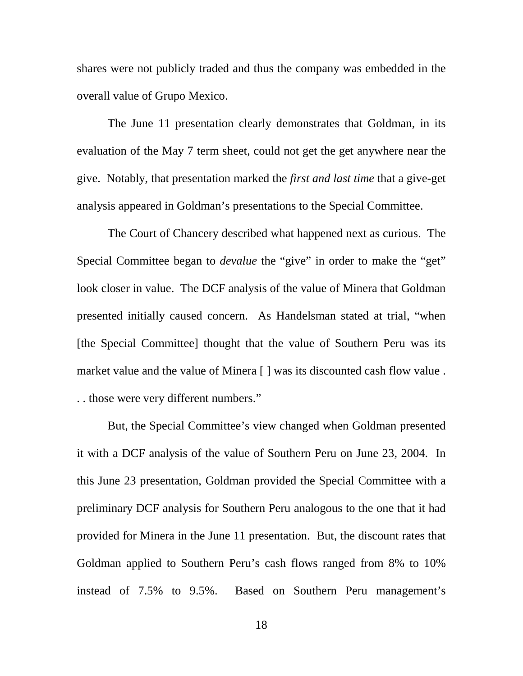shares were not publicly traded and thus the company was embedded in the overall value of Grupo Mexico.

The June 11 presentation clearly demonstrates that Goldman, in its evaluation of the May 7 term sheet, could not get the get anywhere near the give. Notably, that presentation marked the *first and last time* that a give-get analysis appeared in Goldman's presentations to the Special Committee.

The Court of Chancery described what happened next as curious. The Special Committee began to *devalue* the "give" in order to make the "get" look closer in value. The DCF analysis of the value of Minera that Goldman presented initially caused concern. As Handelsman stated at trial, "when [the Special Committee] thought that the value of Southern Peru was its market value and the value of Minera [ ] was its discounted cash flow value . . . those were very different numbers."

But, the Special Committee's view changed when Goldman presented it with a DCF analysis of the value of Southern Peru on June 23, 2004. In this June 23 presentation, Goldman provided the Special Committee with a preliminary DCF analysis for Southern Peru analogous to the one that it had provided for Minera in the June 11 presentation. But, the discount rates that Goldman applied to Southern Peru's cash flows ranged from 8% to 10% instead of 7.5% to 9.5%. Based on Southern Peru management's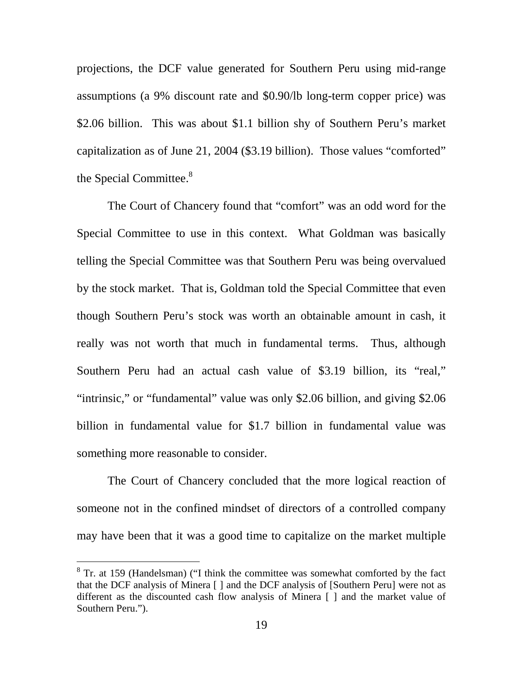projections, the DCF value generated for Southern Peru using mid-range assumptions (a 9% discount rate and \$0.90/lb long-term copper price) was \$2.06 billion. This was about \$1.1 billion shy of Southern Peru's market capitalization as of June 21, 2004 (\$3.19 billion). Those values "comforted" the Special Committee.<sup>8</sup>

The Court of Chancery found that "comfort" was an odd word for the Special Committee to use in this context. What Goldman was basically telling the Special Committee was that Southern Peru was being overvalued by the stock market. That is, Goldman told the Special Committee that even though Southern Peru's stock was worth an obtainable amount in cash, it really was not worth that much in fundamental terms. Thus, although Southern Peru had an actual cash value of \$3.19 billion, its "real," "intrinsic," or "fundamental" value was only \$2.06 billion, and giving \$2.06 billion in fundamental value for \$1.7 billion in fundamental value was something more reasonable to consider.

The Court of Chancery concluded that the more logical reaction of someone not in the confined mindset of directors of a controlled company may have been that it was a good time to capitalize on the market multiple

<sup>&</sup>lt;sup>8</sup> Tr. at 159 (Handelsman) ("I think the committee was somewhat comforted by the fact that the DCF analysis of Minera [ ] and the DCF analysis of [Southern Peru] were not as different as the discounted cash flow analysis of Minera [ ] and the market value of Southern Peru.").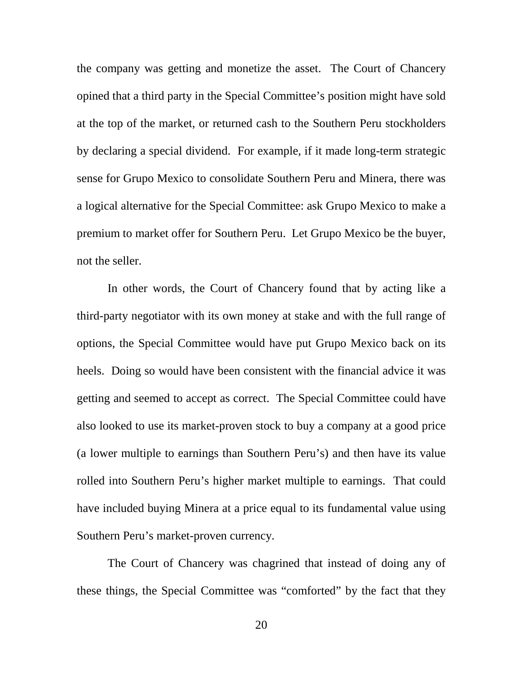the company was getting and monetize the asset. The Court of Chancery opined that a third party in the Special Committee's position might have sold at the top of the market, or returned cash to the Southern Peru stockholders by declaring a special dividend. For example, if it made long-term strategic sense for Grupo Mexico to consolidate Southern Peru and Minera, there was a logical alternative for the Special Committee: ask Grupo Mexico to make a premium to market offer for Southern Peru. Let Grupo Mexico be the buyer, not the seller.

In other words, the Court of Chancery found that by acting like a third-party negotiator with its own money at stake and with the full range of options, the Special Committee would have put Grupo Mexico back on its heels. Doing so would have been consistent with the financial advice it was getting and seemed to accept as correct. The Special Committee could have also looked to use its market-proven stock to buy a company at a good price (a lower multiple to earnings than Southern Peru's) and then have its value rolled into Southern Peru's higher market multiple to earnings. That could have included buying Minera at a price equal to its fundamental value using Southern Peru's market-proven currency.

The Court of Chancery was chagrined that instead of doing any of these things, the Special Committee was "comforted" by the fact that they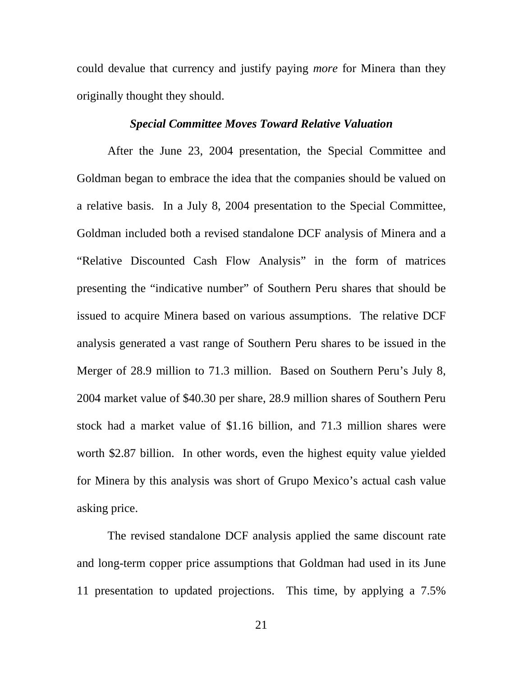could devalue that currency and justify paying *more* for Minera than they originally thought they should.

#### *Special Committee Moves Toward Relative Valuation*

After the June 23, 2004 presentation, the Special Committee and Goldman began to embrace the idea that the companies should be valued on a relative basis. In a July 8, 2004 presentation to the Special Committee, Goldman included both a revised standalone DCF analysis of Minera and a "Relative Discounted Cash Flow Analysis" in the form of matrices presenting the "indicative number" of Southern Peru shares that should be issued to acquire Minera based on various assumptions. The relative DCF analysis generated a vast range of Southern Peru shares to be issued in the Merger of 28.9 million to 71.3 million. Based on Southern Peru's July 8, 2004 market value of \$40.30 per share, 28.9 million shares of Southern Peru stock had a market value of \$1.16 billion, and 71.3 million shares were worth \$2.87 billion. In other words, even the highest equity value yielded for Minera by this analysis was short of Grupo Mexico's actual cash value asking price.

The revised standalone DCF analysis applied the same discount rate and long-term copper price assumptions that Goldman had used in its June 11 presentation to updated projections. This time, by applying a 7.5%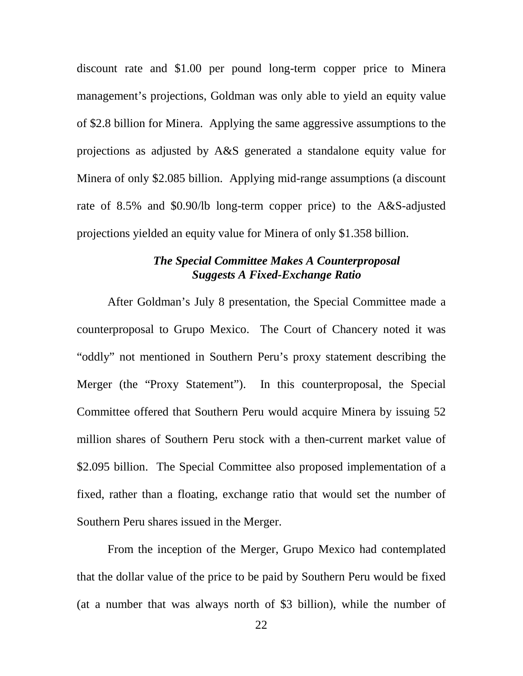discount rate and \$1.00 per pound long-term copper price to Minera management's projections, Goldman was only able to yield an equity value of \$2.8 billion for Minera. Applying the same aggressive assumptions to the projections as adjusted by A&S generated a standalone equity value for Minera of only \$2.085 billion. Applying mid-range assumptions (a discount rate of 8.5% and \$0.90/lb long-term copper price) to the A&S-adjusted projections yielded an equity value for Minera of only \$1.358 billion.

## *The Special Committee Makes A Counterproposal Suggests A Fixed-Exchange Ratio*

After Goldman's July 8 presentation, the Special Committee made a counterproposal to Grupo Mexico. The Court of Chancery noted it was "oddly" not mentioned in Southern Peru's proxy statement describing the Merger (the "Proxy Statement"). In this counterproposal, the Special Committee offered that Southern Peru would acquire Minera by issuing 52 million shares of Southern Peru stock with a then-current market value of \$2.095 billion. The Special Committee also proposed implementation of a fixed, rather than a floating, exchange ratio that would set the number of Southern Peru shares issued in the Merger.

From the inception of the Merger, Grupo Mexico had contemplated that the dollar value of the price to be paid by Southern Peru would be fixed (at a number that was always north of \$3 billion), while the number of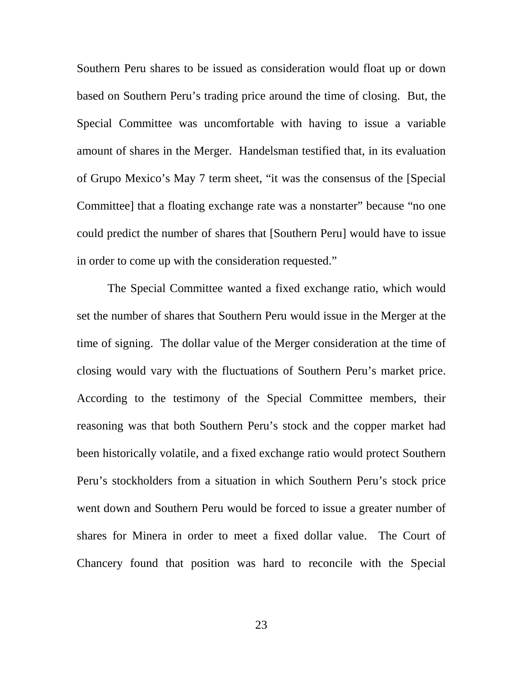Southern Peru shares to be issued as consideration would float up or down based on Southern Peru's trading price around the time of closing. But, the Special Committee was uncomfortable with having to issue a variable amount of shares in the Merger. Handelsman testified that, in its evaluation of Grupo Mexico's May 7 term sheet, "it was the consensus of the [Special Committee] that a floating exchange rate was a nonstarter" because "no one could predict the number of shares that [Southern Peru] would have to issue in order to come up with the consideration requested."

The Special Committee wanted a fixed exchange ratio, which would set the number of shares that Southern Peru would issue in the Merger at the time of signing. The dollar value of the Merger consideration at the time of closing would vary with the fluctuations of Southern Peru's market price. According to the testimony of the Special Committee members, their reasoning was that both Southern Peru's stock and the copper market had been historically volatile, and a fixed exchange ratio would protect Southern Peru's stockholders from a situation in which Southern Peru's stock price went down and Southern Peru would be forced to issue a greater number of shares for Minera in order to meet a fixed dollar value. The Court of Chancery found that position was hard to reconcile with the Special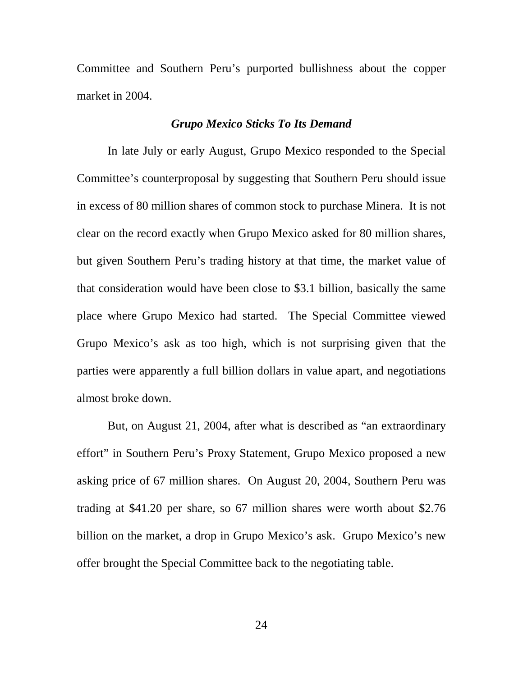Committee and Southern Peru's purported bullishness about the copper market in 2004.

#### *Grupo Mexico Sticks To Its Demand*

 In late July or early August, Grupo Mexico responded to the Special Committee's counterproposal by suggesting that Southern Peru should issue in excess of 80 million shares of common stock to purchase Minera. It is not clear on the record exactly when Grupo Mexico asked for 80 million shares, but given Southern Peru's trading history at that time, the market value of that consideration would have been close to \$3.1 billion, basically the same place where Grupo Mexico had started. The Special Committee viewed Grupo Mexico's ask as too high, which is not surprising given that the parties were apparently a full billion dollars in value apart, and negotiations almost broke down.

But, on August 21, 2004, after what is described as "an extraordinary effort" in Southern Peru's Proxy Statement, Grupo Mexico proposed a new asking price of 67 million shares. On August 20, 2004, Southern Peru was trading at \$41.20 per share, so 67 million shares were worth about \$2.76 billion on the market, a drop in Grupo Mexico's ask. Grupo Mexico's new offer brought the Special Committee back to the negotiating table.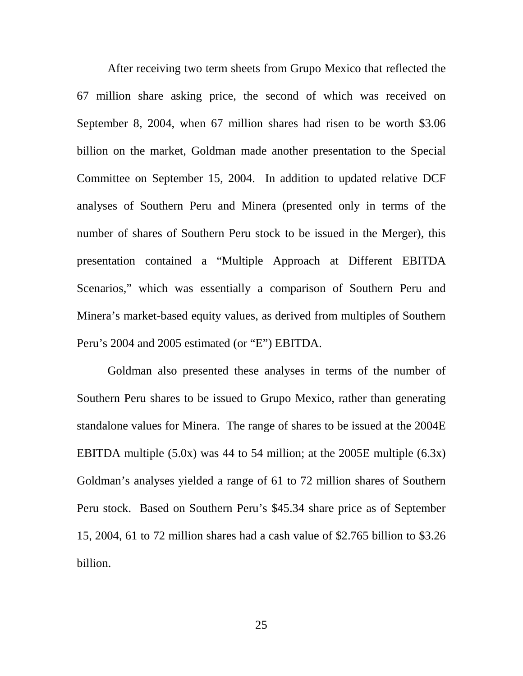After receiving two term sheets from Grupo Mexico that reflected the 67 million share asking price, the second of which was received on September 8, 2004, when 67 million shares had risen to be worth \$3.06 billion on the market, Goldman made another presentation to the Special Committee on September 15, 2004. In addition to updated relative DCF analyses of Southern Peru and Minera (presented only in terms of the number of shares of Southern Peru stock to be issued in the Merger), this presentation contained a "Multiple Approach at Different EBITDA Scenarios," which was essentially a comparison of Southern Peru and Minera's market-based equity values, as derived from multiples of Southern Peru's 2004 and 2005 estimated (or "E") EBITDA.

Goldman also presented these analyses in terms of the number of Southern Peru shares to be issued to Grupo Mexico, rather than generating standalone values for Minera. The range of shares to be issued at the 2004E EBITDA multiple  $(5.0x)$  was 44 to 54 million; at the 2005E multiple  $(6.3x)$ Goldman's analyses yielded a range of 61 to 72 million shares of Southern Peru stock. Based on Southern Peru's \$45.34 share price as of September 15, 2004, 61 to 72 million shares had a cash value of \$2.765 billion to \$3.26 billion.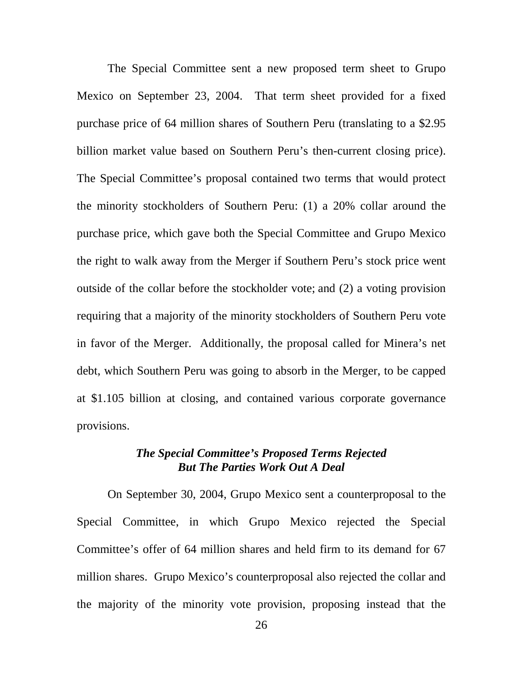The Special Committee sent a new proposed term sheet to Grupo Mexico on September 23, 2004. That term sheet provided for a fixed purchase price of 64 million shares of Southern Peru (translating to a \$2.95 billion market value based on Southern Peru's then-current closing price). The Special Committee's proposal contained two terms that would protect the minority stockholders of Southern Peru: (1) a 20% collar around the purchase price, which gave both the Special Committee and Grupo Mexico the right to walk away from the Merger if Southern Peru's stock price went outside of the collar before the stockholder vote; and (2) a voting provision requiring that a majority of the minority stockholders of Southern Peru vote in favor of the Merger. Additionally, the proposal called for Minera's net debt, which Southern Peru was going to absorb in the Merger, to be capped at \$1.105 billion at closing, and contained various corporate governance provisions.

# *The Special Committee's Proposed Terms Rejected But The Parties Work Out A Deal*

 On September 30, 2004, Grupo Mexico sent a counterproposal to the Special Committee, in which Grupo Mexico rejected the Special Committee's offer of 64 million shares and held firm to its demand for 67 million shares. Grupo Mexico's counterproposal also rejected the collar and the majority of the minority vote provision, proposing instead that the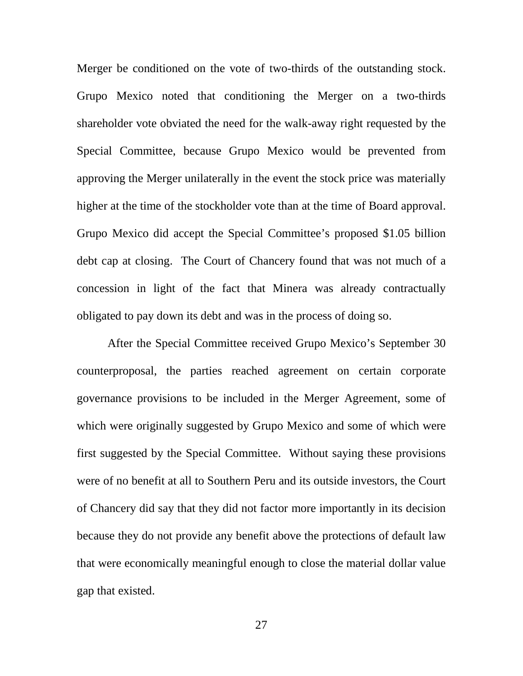Merger be conditioned on the vote of two-thirds of the outstanding stock. Grupo Mexico noted that conditioning the Merger on a two-thirds shareholder vote obviated the need for the walk-away right requested by the Special Committee, because Grupo Mexico would be prevented from approving the Merger unilaterally in the event the stock price was materially higher at the time of the stockholder vote than at the time of Board approval. Grupo Mexico did accept the Special Committee's proposed \$1.05 billion debt cap at closing. The Court of Chancery found that was not much of a concession in light of the fact that Minera was already contractually obligated to pay down its debt and was in the process of doing so.

After the Special Committee received Grupo Mexico's September 30 counterproposal, the parties reached agreement on certain corporate governance provisions to be included in the Merger Agreement, some of which were originally suggested by Grupo Mexico and some of which were first suggested by the Special Committee. Without saying these provisions were of no benefit at all to Southern Peru and its outside investors, the Court of Chancery did say that they did not factor more importantly in its decision because they do not provide any benefit above the protections of default law that were economically meaningful enough to close the material dollar value gap that existed.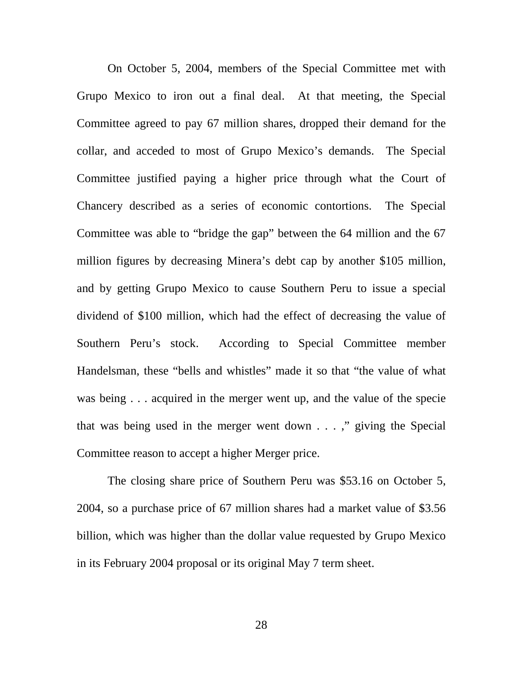On October 5, 2004, members of the Special Committee met with Grupo Mexico to iron out a final deal. At that meeting, the Special Committee agreed to pay 67 million shares, dropped their demand for the collar, and acceded to most of Grupo Mexico's demands. The Special Committee justified paying a higher price through what the Court of Chancery described as a series of economic contortions. The Special Committee was able to "bridge the gap" between the 64 million and the 67 million figures by decreasing Minera's debt cap by another \$105 million, and by getting Grupo Mexico to cause Southern Peru to issue a special dividend of \$100 million, which had the effect of decreasing the value of Southern Peru's stock. According to Special Committee member Handelsman, these "bells and whistles" made it so that "the value of what was being . . . acquired in the merger went up, and the value of the specie that was being used in the merger went down  $\dots$ ," giving the Special Committee reason to accept a higher Merger price.

The closing share price of Southern Peru was \$53.16 on October 5, 2004, so a purchase price of 67 million shares had a market value of \$3.56 billion, which was higher than the dollar value requested by Grupo Mexico in its February 2004 proposal or its original May 7 term sheet.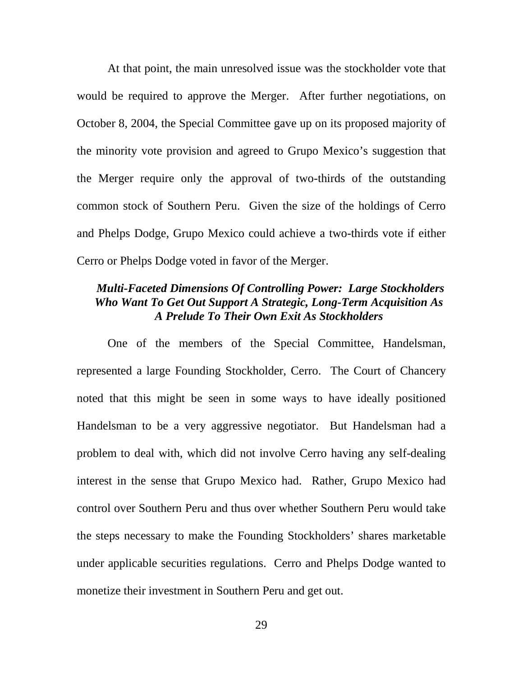At that point, the main unresolved issue was the stockholder vote that would be required to approve the Merger. After further negotiations, on October 8, 2004, the Special Committee gave up on its proposed majority of the minority vote provision and agreed to Grupo Mexico's suggestion that the Merger require only the approval of two-thirds of the outstanding common stock of Southern Peru. Given the size of the holdings of Cerro and Phelps Dodge, Grupo Mexico could achieve a two-thirds vote if either Cerro or Phelps Dodge voted in favor of the Merger.

# *Multi-Faceted Dimensions Of Controlling Power: Large Stockholders Who Want To Get Out Support A Strategic, Long-Term Acquisition As A Prelude To Their Own Exit As Stockholders*

 One of the members of the Special Committee, Handelsman, represented a large Founding Stockholder, Cerro. The Court of Chancery noted that this might be seen in some ways to have ideally positioned Handelsman to be a very aggressive negotiator. But Handelsman had a problem to deal with, which did not involve Cerro having any self-dealing interest in the sense that Grupo Mexico had. Rather, Grupo Mexico had control over Southern Peru and thus over whether Southern Peru would take the steps necessary to make the Founding Stockholders' shares marketable under applicable securities regulations. Cerro and Phelps Dodge wanted to monetize their investment in Southern Peru and get out.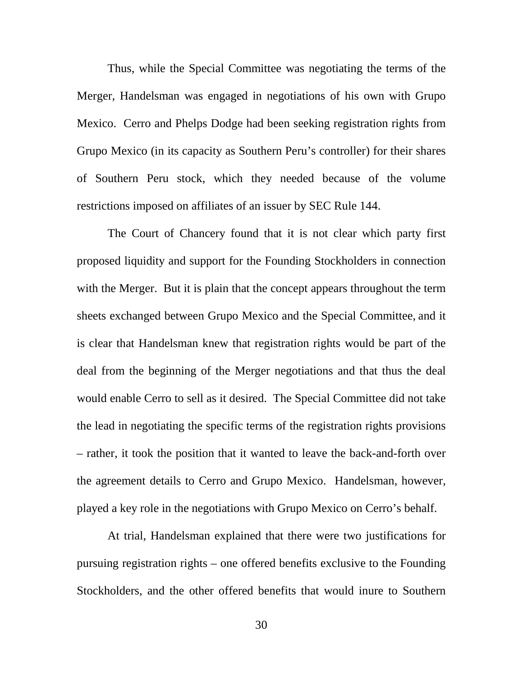Thus, while the Special Committee was negotiating the terms of the Merger, Handelsman was engaged in negotiations of his own with Grupo Mexico. Cerro and Phelps Dodge had been seeking registration rights from Grupo Mexico (in its capacity as Southern Peru's controller) for their shares of Southern Peru stock, which they needed because of the volume restrictions imposed on affiliates of an issuer by SEC Rule 144.

The Court of Chancery found that it is not clear which party first proposed liquidity and support for the Founding Stockholders in connection with the Merger. But it is plain that the concept appears throughout the term sheets exchanged between Grupo Mexico and the Special Committee, and it is clear that Handelsman knew that registration rights would be part of the deal from the beginning of the Merger negotiations and that thus the deal would enable Cerro to sell as it desired. The Special Committee did not take the lead in negotiating the specific terms of the registration rights provisions – rather, it took the position that it wanted to leave the back-and-forth over the agreement details to Cerro and Grupo Mexico. Handelsman, however, played a key role in the negotiations with Grupo Mexico on Cerro's behalf.

At trial, Handelsman explained that there were two justifications for pursuing registration rights – one offered benefits exclusive to the Founding Stockholders, and the other offered benefits that would inure to Southern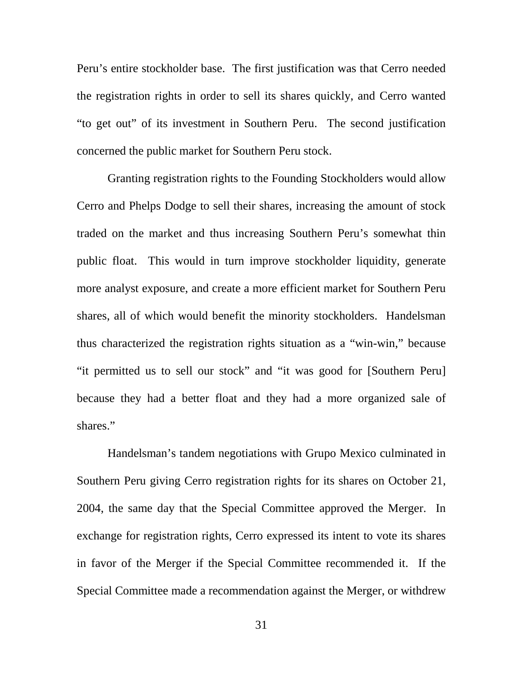Peru's entire stockholder base. The first justification was that Cerro needed the registration rights in order to sell its shares quickly, and Cerro wanted "to get out" of its investment in Southern Peru. The second justification concerned the public market for Southern Peru stock.

Granting registration rights to the Founding Stockholders would allow Cerro and Phelps Dodge to sell their shares, increasing the amount of stock traded on the market and thus increasing Southern Peru's somewhat thin public float. This would in turn improve stockholder liquidity, generate more analyst exposure, and create a more efficient market for Southern Peru shares, all of which would benefit the minority stockholders. Handelsman thus characterized the registration rights situation as a "win-win," because "it permitted us to sell our stock" and "it was good for [Southern Peru] because they had a better float and they had a more organized sale of shares."

 Handelsman's tandem negotiations with Grupo Mexico culminated in Southern Peru giving Cerro registration rights for its shares on October 21, 2004, the same day that the Special Committee approved the Merger. In exchange for registration rights, Cerro expressed its intent to vote its shares in favor of the Merger if the Special Committee recommended it. If the Special Committee made a recommendation against the Merger, or withdrew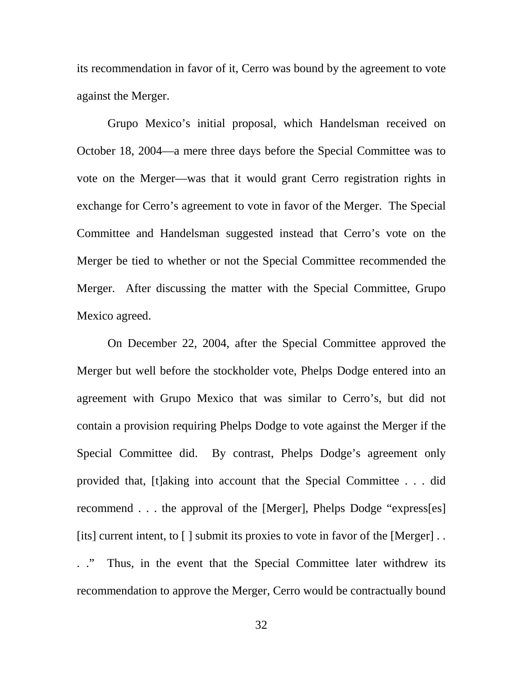its recommendation in favor of it, Cerro was bound by the agreement to vote against the Merger.

Grupo Mexico's initial proposal, which Handelsman received on October 18, 2004—a mere three days before the Special Committee was to vote on the Merger—was that it would grant Cerro registration rights in exchange for Cerro's agreement to vote in favor of the Merger. The Special Committee and Handelsman suggested instead that Cerro's vote on the Merger be tied to whether or not the Special Committee recommended the Merger. After discussing the matter with the Special Committee, Grupo Mexico agreed.

On December 22, 2004, after the Special Committee approved the Merger but well before the stockholder vote, Phelps Dodge entered into an agreement with Grupo Mexico that was similar to Cerro's, but did not contain a provision requiring Phelps Dodge to vote against the Merger if the Special Committee did. By contrast, Phelps Dodge's agreement only provided that, [t]aking into account that the Special Committee . . . did recommend . . . the approval of the [Merger], Phelps Dodge "express[es] [its] current intent, to  $\lceil \cdot \rceil$  submit its proxies to vote in favor of the [Merger]..

. ." Thus, in the event that the Special Committee later withdrew its recommendation to approve the Merger, Cerro would be contractually bound

32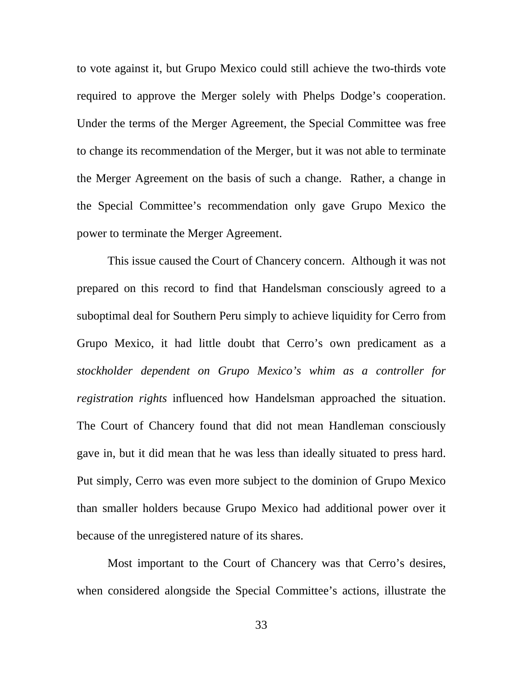to vote against it, but Grupo Mexico could still achieve the two-thirds vote required to approve the Merger solely with Phelps Dodge's cooperation. Under the terms of the Merger Agreement, the Special Committee was free to change its recommendation of the Merger, but it was not able to terminate the Merger Agreement on the basis of such a change. Rather, a change in the Special Committee's recommendation only gave Grupo Mexico the power to terminate the Merger Agreement.

This issue caused the Court of Chancery concern. Although it was not prepared on this record to find that Handelsman consciously agreed to a suboptimal deal for Southern Peru simply to achieve liquidity for Cerro from Grupo Mexico, it had little doubt that Cerro's own predicament as a *stockholder dependent on Grupo Mexico's whim as a controller for registration rights* influenced how Handelsman approached the situation. The Court of Chancery found that did not mean Handleman consciously gave in, but it did mean that he was less than ideally situated to press hard. Put simply, Cerro was even more subject to the dominion of Grupo Mexico than smaller holders because Grupo Mexico had additional power over it because of the unregistered nature of its shares.

Most important to the Court of Chancery was that Cerro's desires, when considered alongside the Special Committee's actions, illustrate the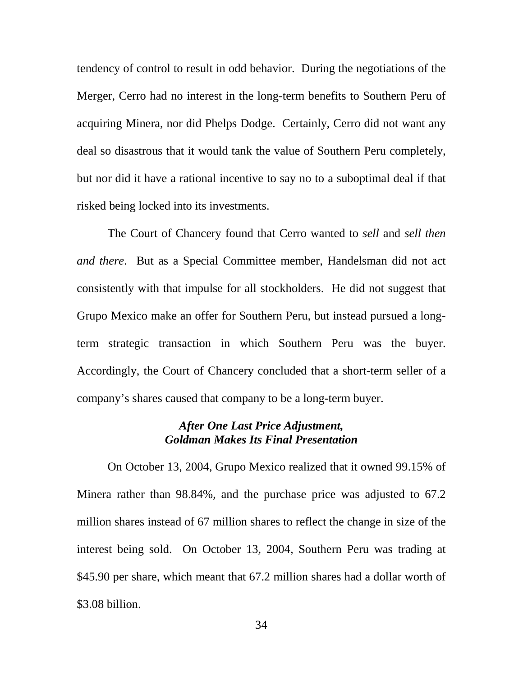tendency of control to result in odd behavior. During the negotiations of the Merger, Cerro had no interest in the long-term benefits to Southern Peru of acquiring Minera, nor did Phelps Dodge. Certainly, Cerro did not want any deal so disastrous that it would tank the value of Southern Peru completely, but nor did it have a rational incentive to say no to a suboptimal deal if that risked being locked into its investments.

The Court of Chancery found that Cerro wanted to *sell* and *sell then and there*. But as a Special Committee member, Handelsman did not act consistently with that impulse for all stockholders. He did not suggest that Grupo Mexico make an offer for Southern Peru, but instead pursued a longterm strategic transaction in which Southern Peru was the buyer. Accordingly, the Court of Chancery concluded that a short-term seller of a company's shares caused that company to be a long-term buyer.

### *After One Last Price Adjustment, Goldman Makes Its Final Presentation*

On October 13, 2004, Grupo Mexico realized that it owned 99.15% of Minera rather than 98.84%, and the purchase price was adjusted to 67.2 million shares instead of 67 million shares to reflect the change in size of the interest being sold. On October 13, 2004, Southern Peru was trading at \$45.90 per share, which meant that 67.2 million shares had a dollar worth of \$3.08 billion.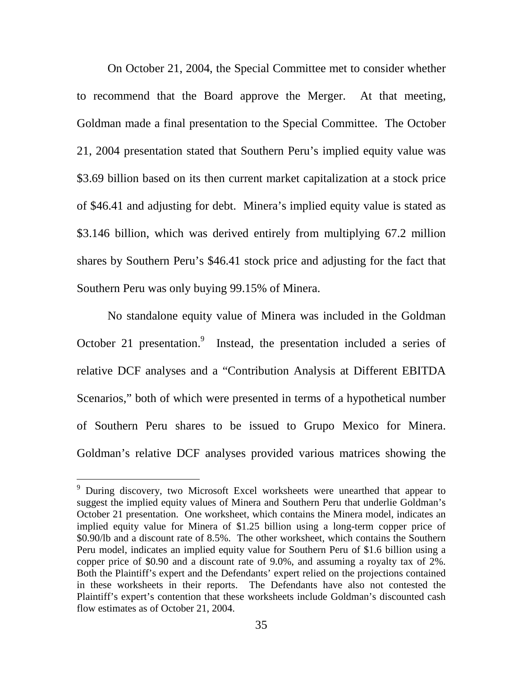On October 21, 2004, the Special Committee met to consider whether to recommend that the Board approve the Merger. At that meeting, Goldman made a final presentation to the Special Committee. The October 21, 2004 presentation stated that Southern Peru's implied equity value was \$3.69 billion based on its then current market capitalization at a stock price of \$46.41 and adjusting for debt. Minera's implied equity value is stated as \$3.146 billion, which was derived entirely from multiplying 67.2 million shares by Southern Peru's \$46.41 stock price and adjusting for the fact that Southern Peru was only buying 99.15% of Minera.

No standalone equity value of Minera was included in the Goldman October 21 presentation.<sup>9</sup> Instead, the presentation included a series of relative DCF analyses and a "Contribution Analysis at Different EBITDA Scenarios," both of which were presented in terms of a hypothetical number of Southern Peru shares to be issued to Grupo Mexico for Minera. Goldman's relative DCF analyses provided various matrices showing the

 9 During discovery, two Microsoft Excel worksheets were unearthed that appear to suggest the implied equity values of Minera and Southern Peru that underlie Goldman's October 21 presentation. One worksheet, which contains the Minera model, indicates an implied equity value for Minera of \$1.25 billion using a long-term copper price of \$0.90/lb and a discount rate of 8.5%. The other worksheet, which contains the Southern Peru model, indicates an implied equity value for Southern Peru of \$1.6 billion using a copper price of \$0.90 and a discount rate of 9.0%, and assuming a royalty tax of 2%. Both the Plaintiff's expert and the Defendants' expert relied on the projections contained in these worksheets in their reports. The Defendants have also not contested the Plaintiff's expert's contention that these worksheets include Goldman's discounted cash flow estimates as of October 21, 2004.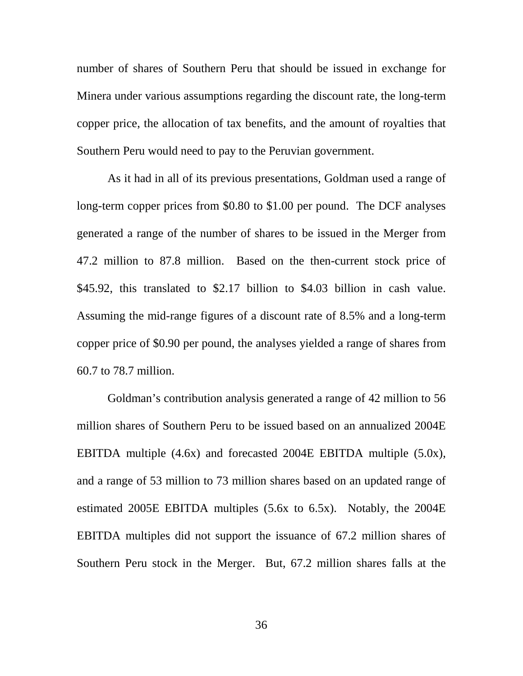number of shares of Southern Peru that should be issued in exchange for Minera under various assumptions regarding the discount rate, the long-term copper price, the allocation of tax benefits, and the amount of royalties that Southern Peru would need to pay to the Peruvian government.

As it had in all of its previous presentations, Goldman used a range of long-term copper prices from \$0.80 to \$1.00 per pound. The DCF analyses generated a range of the number of shares to be issued in the Merger from 47.2 million to 87.8 million. Based on the then-current stock price of \$45.92, this translated to \$2.17 billion to \$4.03 billion in cash value. Assuming the mid-range figures of a discount rate of 8.5% and a long-term copper price of \$0.90 per pound, the analyses yielded a range of shares from 60.7 to 78.7 million.

Goldman's contribution analysis generated a range of 42 million to 56 million shares of Southern Peru to be issued based on an annualized 2004E EBITDA multiple (4.6x) and forecasted 2004E EBITDA multiple (5.0x), and a range of 53 million to 73 million shares based on an updated range of estimated 2005E EBITDA multiples (5.6x to 6.5x). Notably, the 2004E EBITDA multiples did not support the issuance of 67.2 million shares of Southern Peru stock in the Merger. But, 67.2 million shares falls at the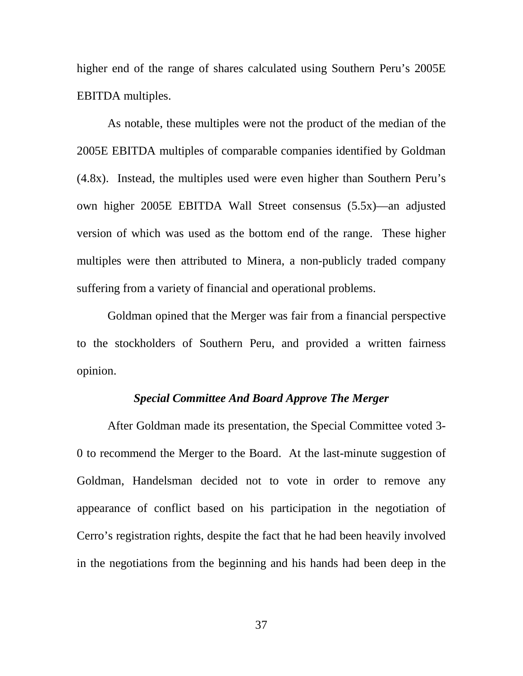higher end of the range of shares calculated using Southern Peru's 2005E EBITDA multiples.

As notable, these multiples were not the product of the median of the 2005E EBITDA multiples of comparable companies identified by Goldman (4.8x). Instead, the multiples used were even higher than Southern Peru's own higher 2005E EBITDA Wall Street consensus (5.5x)—an adjusted version of which was used as the bottom end of the range. These higher multiples were then attributed to Minera, a non-publicly traded company suffering from a variety of financial and operational problems.

Goldman opined that the Merger was fair from a financial perspective to the stockholders of Southern Peru, and provided a written fairness opinion.

# *Special Committee And Board Approve The Merger*

After Goldman made its presentation, the Special Committee voted 3- 0 to recommend the Merger to the Board. At the last-minute suggestion of Goldman, Handelsman decided not to vote in order to remove any appearance of conflict based on his participation in the negotiation of Cerro's registration rights, despite the fact that he had been heavily involved in the negotiations from the beginning and his hands had been deep in the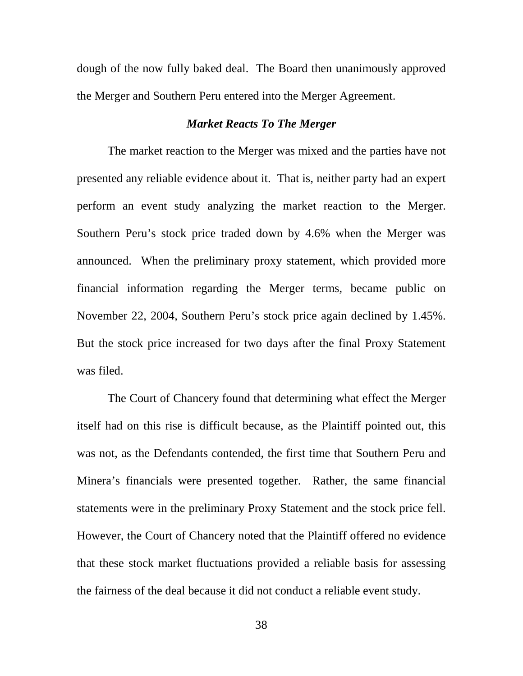dough of the now fully baked deal. The Board then unanimously approved the Merger and Southern Peru entered into the Merger Agreement.

## *Market Reacts To The Merger*

The market reaction to the Merger was mixed and the parties have not presented any reliable evidence about it. That is, neither party had an expert perform an event study analyzing the market reaction to the Merger. Southern Peru's stock price traded down by 4.6% when the Merger was announced. When the preliminary proxy statement, which provided more financial information regarding the Merger terms, became public on November 22, 2004, Southern Peru's stock price again declined by 1.45%. But the stock price increased for two days after the final Proxy Statement was filed.

The Court of Chancery found that determining what effect the Merger itself had on this rise is difficult because, as the Plaintiff pointed out, this was not, as the Defendants contended, the first time that Southern Peru and Minera's financials were presented together. Rather, the same financial statements were in the preliminary Proxy Statement and the stock price fell. However, the Court of Chancery noted that the Plaintiff offered no evidence that these stock market fluctuations provided a reliable basis for assessing the fairness of the deal because it did not conduct a reliable event study.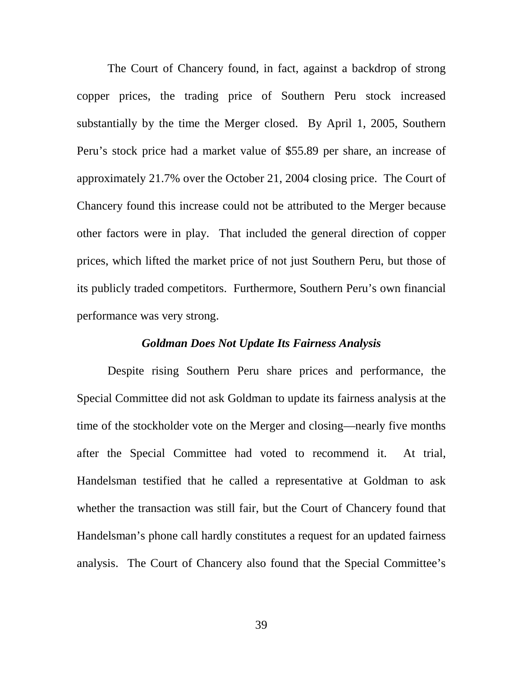The Court of Chancery found, in fact, against a backdrop of strong copper prices, the trading price of Southern Peru stock increased substantially by the time the Merger closed. By April 1, 2005, Southern Peru's stock price had a market value of \$55.89 per share, an increase of approximately 21.7% over the October 21, 2004 closing price. The Court of Chancery found this increase could not be attributed to the Merger because other factors were in play. That included the general direction of copper prices, which lifted the market price of not just Southern Peru, but those of its publicly traded competitors. Furthermore, Southern Peru's own financial performance was very strong.

## *Goldman Does Not Update Its Fairness Analysis*

Despite rising Southern Peru share prices and performance, the Special Committee did not ask Goldman to update its fairness analysis at the time of the stockholder vote on the Merger and closing—nearly five months after the Special Committee had voted to recommend it. At trial, Handelsman testified that he called a representative at Goldman to ask whether the transaction was still fair, but the Court of Chancery found that Handelsman's phone call hardly constitutes a request for an updated fairness analysis. The Court of Chancery also found that the Special Committee's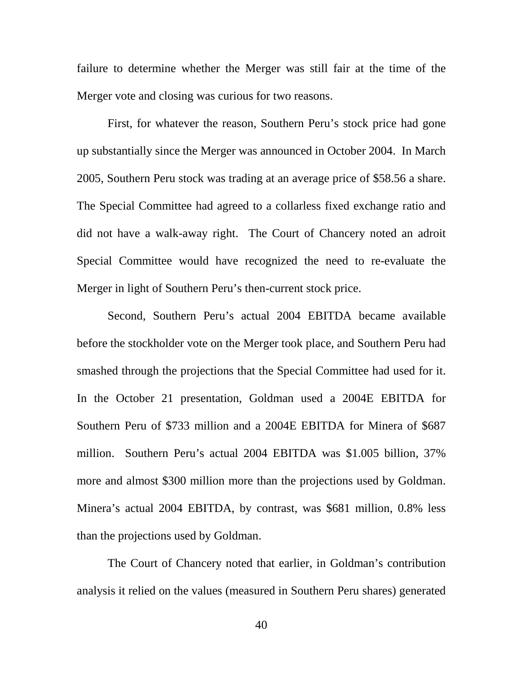failure to determine whether the Merger was still fair at the time of the Merger vote and closing was curious for two reasons.

 First, for whatever the reason, Southern Peru's stock price had gone up substantially since the Merger was announced in October 2004. In March 2005, Southern Peru stock was trading at an average price of \$58.56 a share. The Special Committee had agreed to a collarless fixed exchange ratio and did not have a walk-away right. The Court of Chancery noted an adroit Special Committee would have recognized the need to re-evaluate the Merger in light of Southern Peru's then-current stock price.

 Second, Southern Peru's actual 2004 EBITDA became available before the stockholder vote on the Merger took place, and Southern Peru had smashed through the projections that the Special Committee had used for it. In the October 21 presentation, Goldman used a 2004E EBITDA for Southern Peru of \$733 million and a 2004E EBITDA for Minera of \$687 million. Southern Peru's actual 2004 EBITDA was \$1.005 billion, 37% more and almost \$300 million more than the projections used by Goldman. Minera's actual 2004 EBITDA, by contrast, was \$681 million, 0.8% less than the projections used by Goldman.

The Court of Chancery noted that earlier, in Goldman's contribution analysis it relied on the values (measured in Southern Peru shares) generated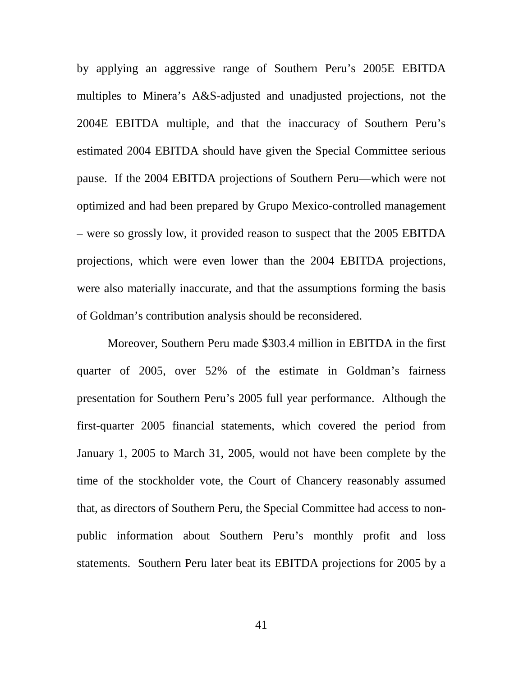by applying an aggressive range of Southern Peru's 2005E EBITDA multiples to Minera's A&S-adjusted and unadjusted projections, not the 2004E EBITDA multiple, and that the inaccuracy of Southern Peru's estimated 2004 EBITDA should have given the Special Committee serious pause. If the 2004 EBITDA projections of Southern Peru—which were not optimized and had been prepared by Grupo Mexico-controlled management – were so grossly low, it provided reason to suspect that the 2005 EBITDA projections, which were even lower than the 2004 EBITDA projections, were also materially inaccurate, and that the assumptions forming the basis of Goldman's contribution analysis should be reconsidered.

Moreover, Southern Peru made \$303.4 million in EBITDA in the first quarter of 2005, over 52% of the estimate in Goldman's fairness presentation for Southern Peru's 2005 full year performance. Although the first-quarter 2005 financial statements, which covered the period from January 1, 2005 to March 31, 2005, would not have been complete by the time of the stockholder vote, the Court of Chancery reasonably assumed that, as directors of Southern Peru, the Special Committee had access to nonpublic information about Southern Peru's monthly profit and loss statements. Southern Peru later beat its EBITDA projections for 2005 by a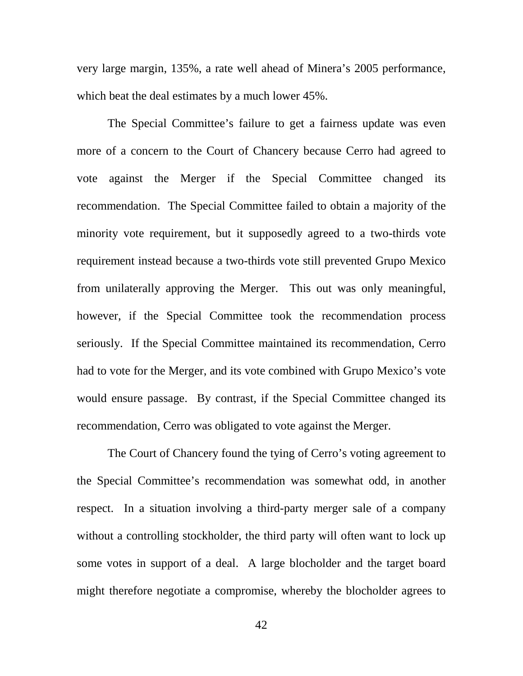very large margin, 135%, a rate well ahead of Minera's 2005 performance, which beat the deal estimates by a much lower 45%.

 The Special Committee's failure to get a fairness update was even more of a concern to the Court of Chancery because Cerro had agreed to vote against the Merger if the Special Committee changed its recommendation. The Special Committee failed to obtain a majority of the minority vote requirement, but it supposedly agreed to a two-thirds vote requirement instead because a two-thirds vote still prevented Grupo Mexico from unilaterally approving the Merger. This out was only meaningful, however, if the Special Committee took the recommendation process seriously. If the Special Committee maintained its recommendation, Cerro had to vote for the Merger, and its vote combined with Grupo Mexico's vote would ensure passage. By contrast, if the Special Committee changed its recommendation, Cerro was obligated to vote against the Merger.

 The Court of Chancery found the tying of Cerro's voting agreement to the Special Committee's recommendation was somewhat odd, in another respect. In a situation involving a third-party merger sale of a company without a controlling stockholder, the third party will often want to lock up some votes in support of a deal. A large blocholder and the target board might therefore negotiate a compromise, whereby the blocholder agrees to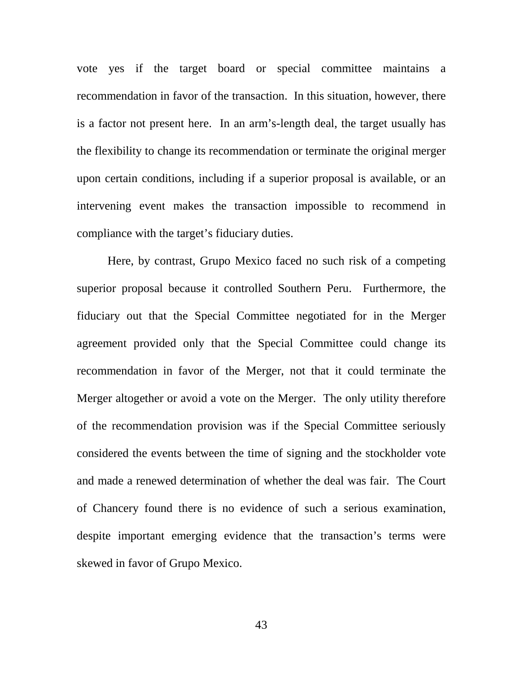vote yes if the target board or special committee maintains a recommendation in favor of the transaction. In this situation, however, there is a factor not present here. In an arm's-length deal, the target usually has the flexibility to change its recommendation or terminate the original merger upon certain conditions, including if a superior proposal is available, or an intervening event makes the transaction impossible to recommend in compliance with the target's fiduciary duties.

Here, by contrast, Grupo Mexico faced no such risk of a competing superior proposal because it controlled Southern Peru. Furthermore, the fiduciary out that the Special Committee negotiated for in the Merger agreement provided only that the Special Committee could change its recommendation in favor of the Merger, not that it could terminate the Merger altogether or avoid a vote on the Merger. The only utility therefore of the recommendation provision was if the Special Committee seriously considered the events between the time of signing and the stockholder vote and made a renewed determination of whether the deal was fair. The Court of Chancery found there is no evidence of such a serious examination, despite important emerging evidence that the transaction's terms were skewed in favor of Grupo Mexico.

43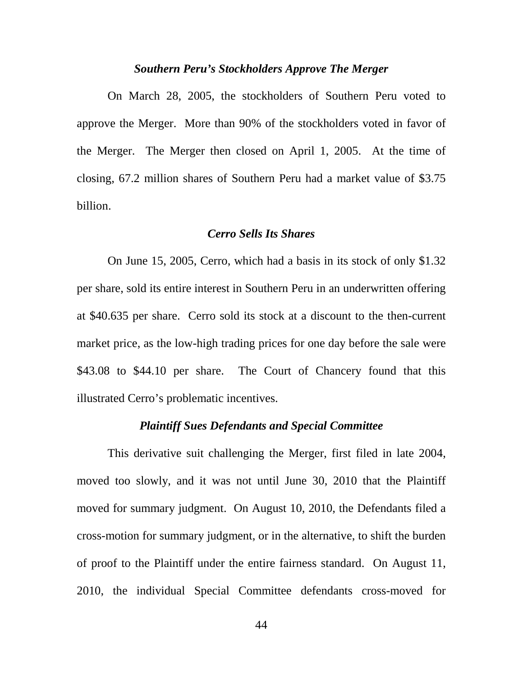#### *Southern Peru's Stockholders Approve The Merger*

 On March 28, 2005, the stockholders of Southern Peru voted to approve the Merger. More than 90% of the stockholders voted in favor of the Merger. The Merger then closed on April 1, 2005. At the time of closing, 67.2 million shares of Southern Peru had a market value of \$3.75 billion.

### *Cerro Sells Its Shares*

 On June 15, 2005, Cerro, which had a basis in its stock of only \$1.32 per share, sold its entire interest in Southern Peru in an underwritten offering at \$40.635 per share. Cerro sold its stock at a discount to the then-current market price, as the low-high trading prices for one day before the sale were \$43.08 to \$44.10 per share. The Court of Chancery found that this illustrated Cerro's problematic incentives.

### *Plaintiff Sues Defendants and Special Committee*

 This derivative suit challenging the Merger, first filed in late 2004, moved too slowly, and it was not until June 30, 2010 that the Plaintiff moved for summary judgment. On August 10, 2010, the Defendants filed a cross-motion for summary judgment, or in the alternative, to shift the burden of proof to the Plaintiff under the entire fairness standard. On August 11, 2010, the individual Special Committee defendants cross-moved for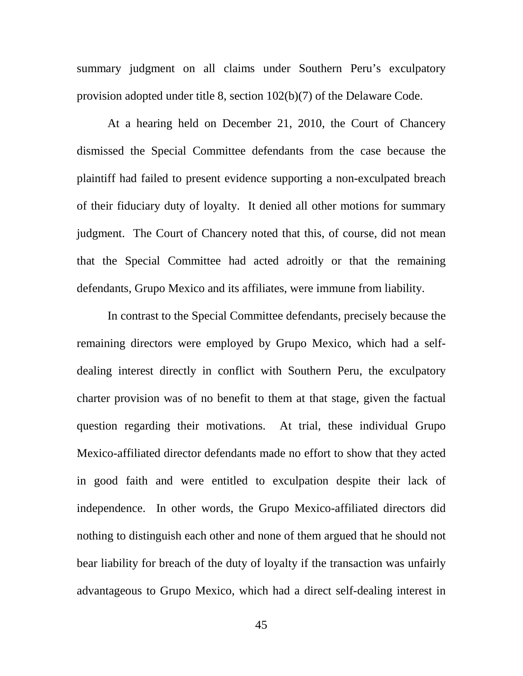summary judgment on all claims under Southern Peru's exculpatory provision adopted under title 8, section 102(b)(7) of the Delaware Code.

At a hearing held on December 21, 2010, the Court of Chancery dismissed the Special Committee defendants from the case because the plaintiff had failed to present evidence supporting a non-exculpated breach of their fiduciary duty of loyalty. It denied all other motions for summary judgment. The Court of Chancery noted that this, of course, did not mean that the Special Committee had acted adroitly or that the remaining defendants, Grupo Mexico and its affiliates, were immune from liability.

In contrast to the Special Committee defendants, precisely because the remaining directors were employed by Grupo Mexico, which had a selfdealing interest directly in conflict with Southern Peru, the exculpatory charter provision was of no benefit to them at that stage, given the factual question regarding their motivations. At trial, these individual Grupo Mexico-affiliated director defendants made no effort to show that they acted in good faith and were entitled to exculpation despite their lack of independence. In other words, the Grupo Mexico-affiliated directors did nothing to distinguish each other and none of them argued that he should not bear liability for breach of the duty of loyalty if the transaction was unfairly advantageous to Grupo Mexico, which had a direct self-dealing interest in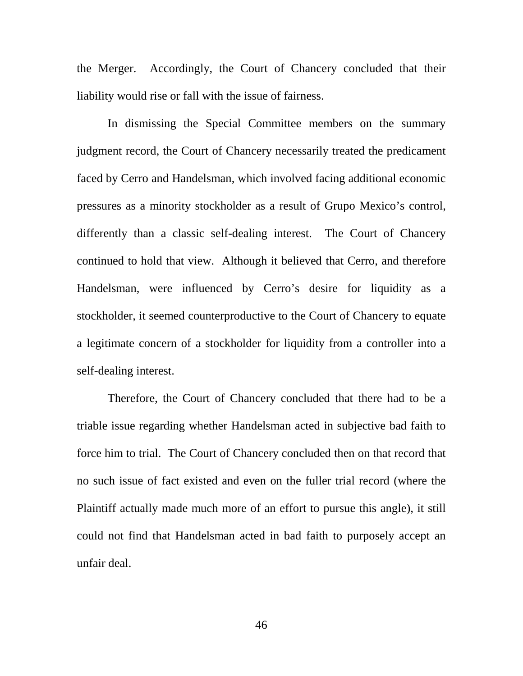the Merger. Accordingly, the Court of Chancery concluded that their liability would rise or fall with the issue of fairness.

In dismissing the Special Committee members on the summary judgment record, the Court of Chancery necessarily treated the predicament faced by Cerro and Handelsman, which involved facing additional economic pressures as a minority stockholder as a result of Grupo Mexico's control, differently than a classic self-dealing interest. The Court of Chancery continued to hold that view. Although it believed that Cerro, and therefore Handelsman, were influenced by Cerro's desire for liquidity as a stockholder, it seemed counterproductive to the Court of Chancery to equate a legitimate concern of a stockholder for liquidity from a controller into a self-dealing interest.

Therefore, the Court of Chancery concluded that there had to be a triable issue regarding whether Handelsman acted in subjective bad faith to force him to trial. The Court of Chancery concluded then on that record that no such issue of fact existed and even on the fuller trial record (where the Plaintiff actually made much more of an effort to pursue this angle), it still could not find that Handelsman acted in bad faith to purposely accept an unfair deal.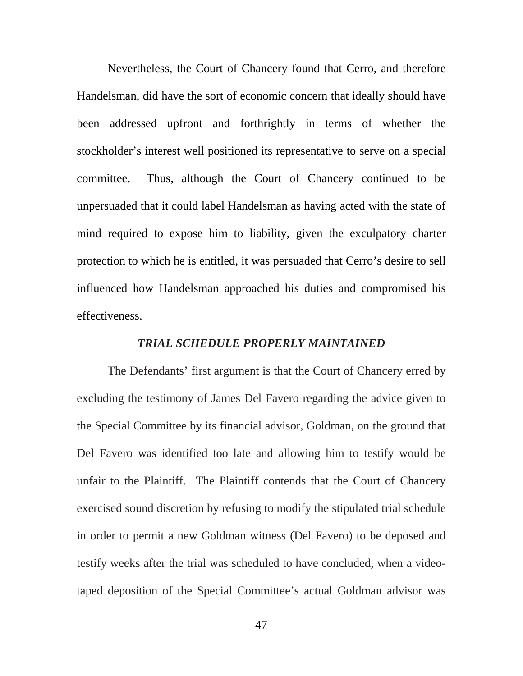Nevertheless, the Court of Chancery found that Cerro, and therefore Handelsman, did have the sort of economic concern that ideally should have been addressed upfront and forthrightly in terms of whether the stockholder's interest well positioned its representative to serve on a special committee. Thus, although the Court of Chancery continued to be unpersuaded that it could label Handelsman as having acted with the state of mind required to expose him to liability, given the exculpatory charter protection to which he is entitled, it was persuaded that Cerro's desire to sell influenced how Handelsman approached his duties and compromised his effectiveness.

### *TRIAL SCHEDULE PROPERLY MAINTAINED*

The Defendants' first argument is that the Court of Chancery erred by excluding the testimony of James Del Favero regarding the advice given to the Special Committee by its financial advisor, Goldman, on the ground that Del Favero was identified too late and allowing him to testify would be unfair to the Plaintiff. The Plaintiff contends that the Court of Chancery exercised sound discretion by refusing to modify the stipulated trial schedule in order to permit a new Goldman witness (Del Favero) to be deposed and testify weeks after the trial was scheduled to have concluded, when a videotaped deposition of the Special Committee's actual Goldman advisor was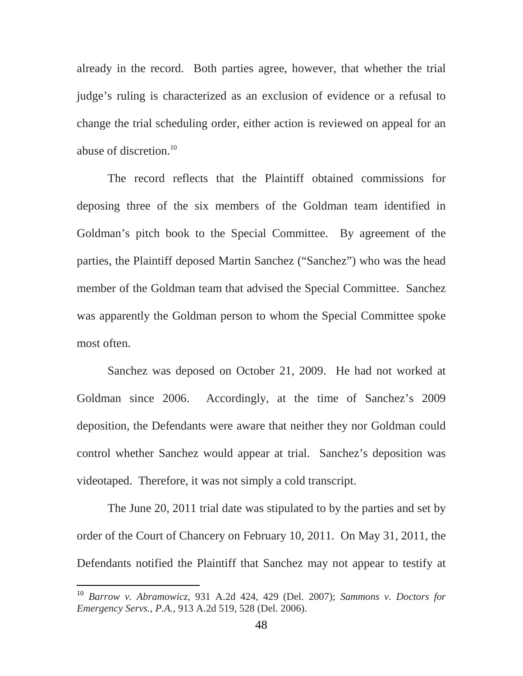already in the record. Both parties agree, however, that whether the trial judge's ruling is characterized as an exclusion of evidence or a refusal to change the trial scheduling order, either action is reviewed on appeal for an abuse of discretion. $10$ 

 The record reflects that the Plaintiff obtained commissions for deposing three of the six members of the Goldman team identified in Goldman's pitch book to the Special Committee. By agreement of the parties, the Plaintiff deposed Martin Sanchez ("Sanchez") who was the head member of the Goldman team that advised the Special Committee. Sanchez was apparently the Goldman person to whom the Special Committee spoke most often.

Sanchez was deposed on October 21, 2009. He had not worked at Goldman since 2006. Accordingly, at the time of Sanchez's 2009 deposition, the Defendants were aware that neither they nor Goldman could control whether Sanchez would appear at trial. Sanchez's deposition was videotaped. Therefore, it was not simply a cold transcript.

The June 20, 2011 trial date was stipulated to by the parties and set by order of the Court of Chancery on February 10, 2011. On May 31, 2011, the Defendants notified the Plaintiff that Sanchez may not appear to testify at

<sup>10</sup> *Barrow v. Abramowicz*, 931 A.2d 424, 429 (Del. 2007); *Sammons v. Doctors for Emergency Servs., P.A.*, 913 A.2d 519, 528 (Del. 2006).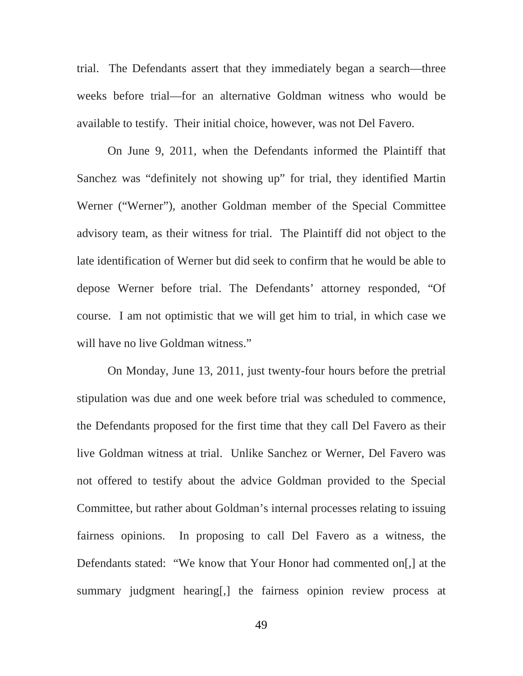trial. The Defendants assert that they immediately began a search—three weeks before trial—for an alternative Goldman witness who would be available to testify. Their initial choice, however, was not Del Favero.

On June 9, 2011, when the Defendants informed the Plaintiff that Sanchez was "definitely not showing up" for trial, they identified Martin Werner ("Werner"), another Goldman member of the Special Committee advisory team, as their witness for trial. The Plaintiff did not object to the late identification of Werner but did seek to confirm that he would be able to depose Werner before trial. The Defendants' attorney responded, "Of course. I am not optimistic that we will get him to trial, in which case we will have no live Goldman witness."

On Monday, June 13, 2011, just twenty-four hours before the pretrial stipulation was due and one week before trial was scheduled to commence, the Defendants proposed for the first time that they call Del Favero as their live Goldman witness at trial. Unlike Sanchez or Werner, Del Favero was not offered to testify about the advice Goldman provided to the Special Committee, but rather about Goldman's internal processes relating to issuing fairness opinions. In proposing to call Del Favero as a witness, the Defendants stated: "We know that Your Honor had commented on[,] at the summary judgment hearing[,] the fairness opinion review process at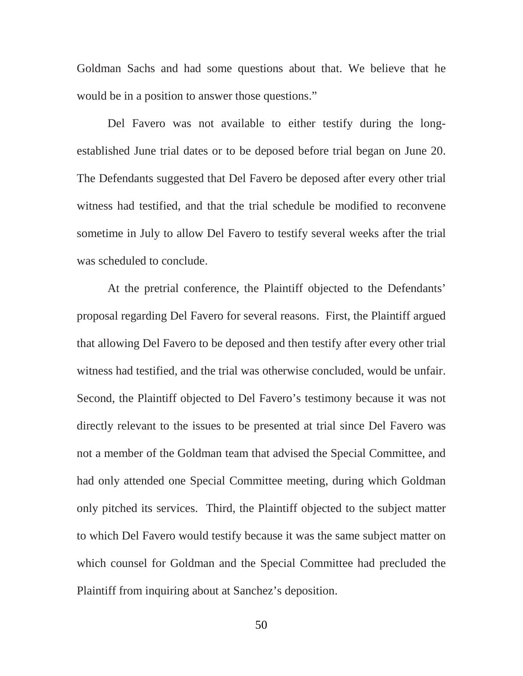Goldman Sachs and had some questions about that. We believe that he would be in a position to answer those questions."

 Del Favero was not available to either testify during the longestablished June trial dates or to be deposed before trial began on June 20. The Defendants suggested that Del Favero be deposed after every other trial witness had testified, and that the trial schedule be modified to reconvene sometime in July to allow Del Favero to testify several weeks after the trial was scheduled to conclude.

 At the pretrial conference, the Plaintiff objected to the Defendants' proposal regarding Del Favero for several reasons. First, the Plaintiff argued that allowing Del Favero to be deposed and then testify after every other trial witness had testified, and the trial was otherwise concluded, would be unfair. Second, the Plaintiff objected to Del Favero's testimony because it was not directly relevant to the issues to be presented at trial since Del Favero was not a member of the Goldman team that advised the Special Committee, and had only attended one Special Committee meeting, during which Goldman only pitched its services. Third, the Plaintiff objected to the subject matter to which Del Favero would testify because it was the same subject matter on which counsel for Goldman and the Special Committee had precluded the Plaintiff from inquiring about at Sanchez's deposition.

50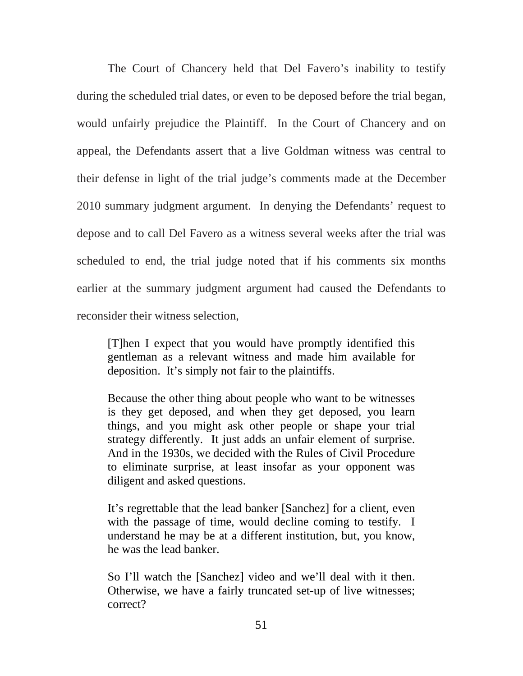The Court of Chancery held that Del Favero's inability to testify during the scheduled trial dates, or even to be deposed before the trial began, would unfairly prejudice the Plaintiff. In the Court of Chancery and on appeal, the Defendants assert that a live Goldman witness was central to their defense in light of the trial judge's comments made at the December 2010 summary judgment argument. In denying the Defendants' request to depose and to call Del Favero as a witness several weeks after the trial was scheduled to end, the trial judge noted that if his comments six months earlier at the summary judgment argument had caused the Defendants to reconsider their witness selection,

[T]hen I expect that you would have promptly identified this gentleman as a relevant witness and made him available for deposition. It's simply not fair to the plaintiffs.

Because the other thing about people who want to be witnesses is they get deposed, and when they get deposed, you learn things, and you might ask other people or shape your trial strategy differently. It just adds an unfair element of surprise. And in the 1930s, we decided with the Rules of Civil Procedure to eliminate surprise, at least insofar as your opponent was diligent and asked questions.

It's regrettable that the lead banker [Sanchez] for a client, even with the passage of time, would decline coming to testify. I understand he may be at a different institution, but, you know, he was the lead banker.

So I'll watch the [Sanchez] video and we'll deal with it then. Otherwise, we have a fairly truncated set-up of live witnesses; correct?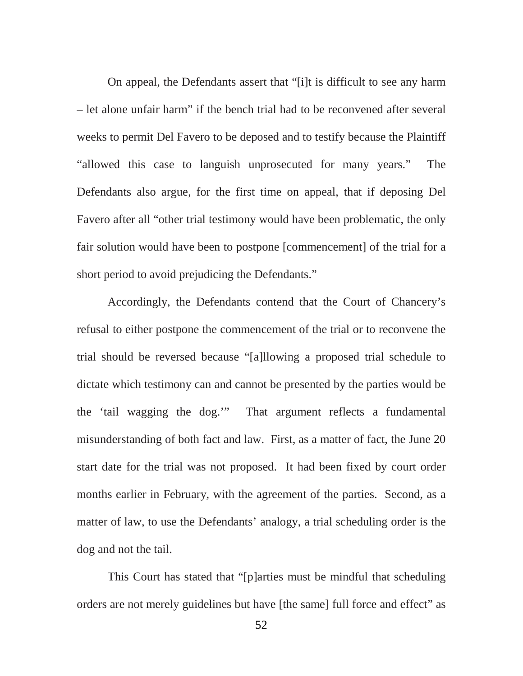On appeal, the Defendants assert that "[i]t is difficult to see any harm – let alone unfair harm" if the bench trial had to be reconvened after several weeks to permit Del Favero to be deposed and to testify because the Plaintiff "allowed this case to languish unprosecuted for many years." The Defendants also argue, for the first time on appeal, that if deposing Del Favero after all "other trial testimony would have been problematic, the only fair solution would have been to postpone [commencement] of the trial for a short period to avoid prejudicing the Defendants."

Accordingly, the Defendants contend that the Court of Chancery's refusal to either postpone the commencement of the trial or to reconvene the trial should be reversed because "[a]llowing a proposed trial schedule to dictate which testimony can and cannot be presented by the parties would be the 'tail wagging the dog.'" That argument reflects a fundamental misunderstanding of both fact and law. First, as a matter of fact, the June 20 start date for the trial was not proposed. It had been fixed by court order months earlier in February, with the agreement of the parties. Second, as a matter of law, to use the Defendants' analogy, a trial scheduling order is the dog and not the tail.

This Court has stated that "[p]arties must be mindful that scheduling orders are not merely guidelines but have [the same] full force and effect" as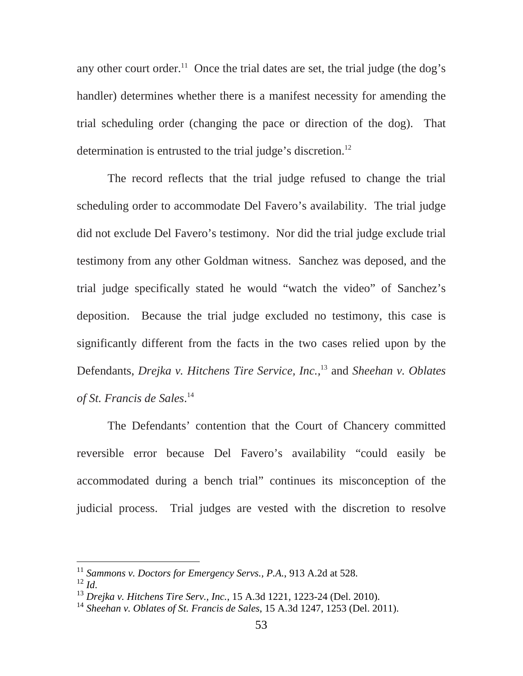any other court order.<sup>11</sup> Once the trial dates are set, the trial judge (the dog's handler) determines whether there is a manifest necessity for amending the trial scheduling order (changing the pace or direction of the dog). That determination is entrusted to the trial judge's discretion.<sup>12</sup>

The record reflects that the trial judge refused to change the trial scheduling order to accommodate Del Favero's availability. The trial judge did not exclude Del Favero's testimony. Nor did the trial judge exclude trial testimony from any other Goldman witness. Sanchez was deposed, and the trial judge specifically stated he would "watch the video" of Sanchez's deposition. Because the trial judge excluded no testimony, this case is significantly different from the facts in the two cases relied upon by the Defendants, *Drejka v. Hitchens Tire Service, Inc.,*<sup>13</sup> and *Sheehan v. Oblates of St. Francis de Sales*. 14

The Defendants' contention that the Court of Chancery committed reversible error because Del Favero's availability "could easily be accommodated during a bench trial" continues its misconception of the judicial process. Trial judges are vested with the discretion to resolve

<sup>11</sup> *Sammons v. Doctors for Emergency Servs., P.A.*, 913 A.2d at 528.

 $^{12}$  *Id.* 

<sup>13</sup> *Drejka v. Hitchens Tire Serv., Inc.*, 15 A.3d 1221, 1223-24 (Del. 2010).

<sup>14</sup> *Sheehan v. Oblates of St. Francis de Sales*, 15 A.3d 1247, 1253 (Del. 2011).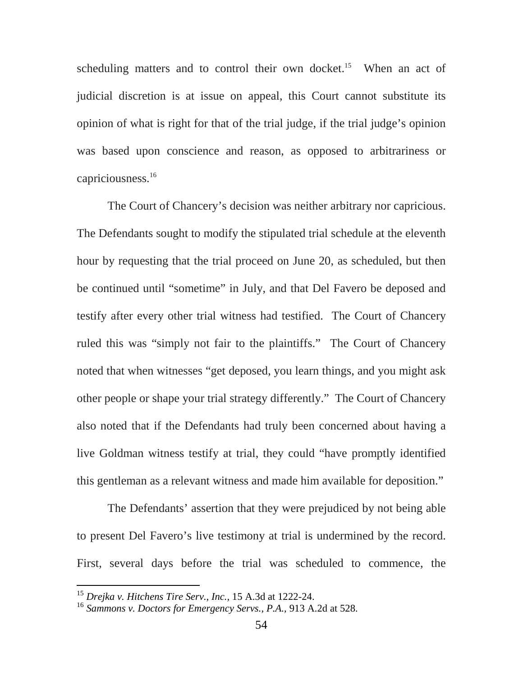scheduling matters and to control their own docket.<sup>15</sup> When an act of judicial discretion is at issue on appeal, this Court cannot substitute its opinion of what is right for that of the trial judge, if the trial judge's opinion was based upon conscience and reason, as opposed to arbitrariness or capriciousness.<sup>16</sup>

The Court of Chancery's decision was neither arbitrary nor capricious. The Defendants sought to modify the stipulated trial schedule at the eleventh hour by requesting that the trial proceed on June 20, as scheduled, but then be continued until "sometime" in July, and that Del Favero be deposed and testify after every other trial witness had testified. The Court of Chancery ruled this was "simply not fair to the plaintiffs." The Court of Chancery noted that when witnesses "get deposed, you learn things, and you might ask other people or shape your trial strategy differently." The Court of Chancery also noted that if the Defendants had truly been concerned about having a live Goldman witness testify at trial, they could "have promptly identified this gentleman as a relevant witness and made him available for deposition."

The Defendants' assertion that they were prejudiced by not being able to present Del Favero's live testimony at trial is undermined by the record. First, several days before the trial was scheduled to commence, the

<sup>15</sup> *Drejka v. Hitchens Tire Serv., Inc.,* 15 A.3d at 1222-24.

<sup>16</sup> *Sammons v. Doctors for Emergency Servs., P.A.*, 913 A.2d at 528.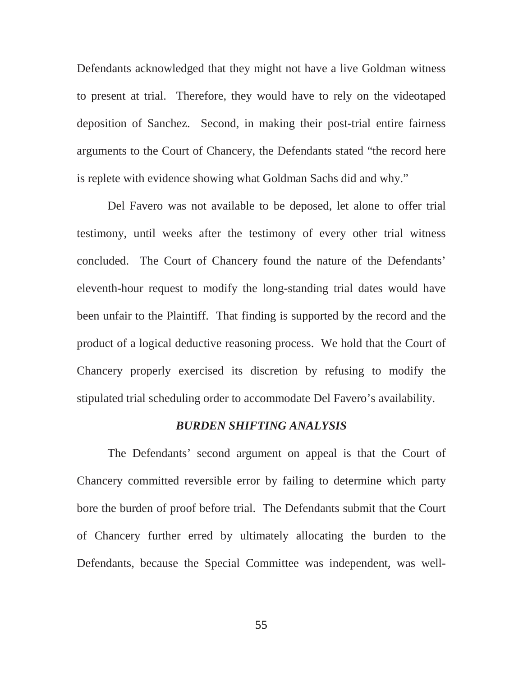Defendants acknowledged that they might not have a live Goldman witness to present at trial. Therefore, they would have to rely on the videotaped deposition of Sanchez. Second, in making their post-trial entire fairness arguments to the Court of Chancery, the Defendants stated "the record here is replete with evidence showing what Goldman Sachs did and why."

Del Favero was not available to be deposed*,* let alone to offer trial testimony, until weeks after the testimony of every other trial witness concluded. The Court of Chancery found the nature of the Defendants' eleventh-hour request to modify the long-standing trial dates would have been unfair to the Plaintiff. That finding is supported by the record and the product of a logical deductive reasoning process. We hold that the Court of Chancery properly exercised its discretion by refusing to modify the stipulated trial scheduling order to accommodate Del Favero's availability.

### *BURDEN SHIFTING ANALYSIS*

The Defendants' second argument on appeal is that the Court of Chancery committed reversible error by failing to determine which party bore the burden of proof before trial. The Defendants submit that the Court of Chancery further erred by ultimately allocating the burden to the Defendants, because the Special Committee was independent, was well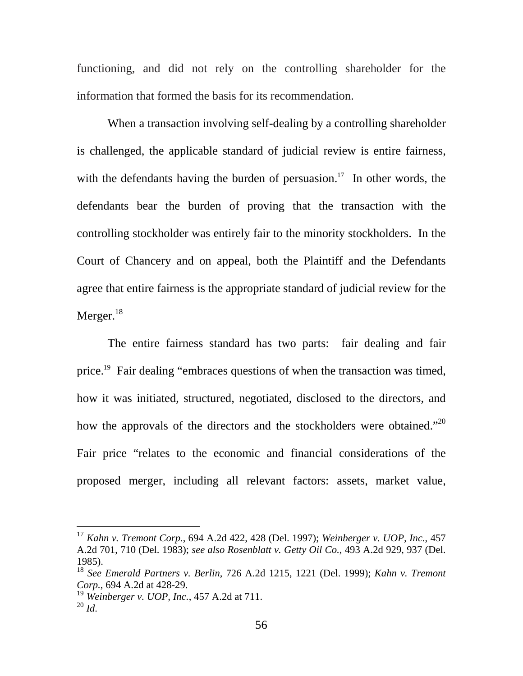functioning, and did not rely on the controlling shareholder for the information that formed the basis for its recommendation.

When a transaction involving self-dealing by a controlling shareholder is challenged, the applicable standard of judicial review is entire fairness, with the defendants having the burden of persuasion.<sup>17</sup> In other words, the defendants bear the burden of proving that the transaction with the controlling stockholder was entirely fair to the minority stockholders. In the Court of Chancery and on appeal, both the Plaintiff and the Defendants agree that entire fairness is the appropriate standard of judicial review for the Merger. $^{18}$ 

 The entire fairness standard has two parts: fair dealing and fair price.<sup>19</sup> Fair dealing "embraces questions of when the transaction was timed, how it was initiated, structured, negotiated, disclosed to the directors, and how the approvals of the directors and the stockholders were obtained."<sup>20</sup> Fair price "relates to the economic and financial considerations of the proposed merger, including all relevant factors: assets, market value,

<sup>17</sup> *Kahn v. Tremont Corp.*, 694 A.2d 422, 428 (Del. 1997); *Weinberger v. UOP, Inc.*, 457 A.2d 701, 710 (Del. 1983); *see also Rosenblatt v. Getty Oil Co.*, 493 A.2d 929, 937 (Del. 1985).

<sup>18</sup> *See Emerald Partners v. Berlin*, 726 A.2d 1215, 1221 (Del. 1999); *Kahn v. Tremont Corp.*, 694 A.2d at 428-29.

<sup>19</sup> *Weinberger v. UOP, Inc.*, 457 A.2d at 711.

 $^{20}$  *Id.*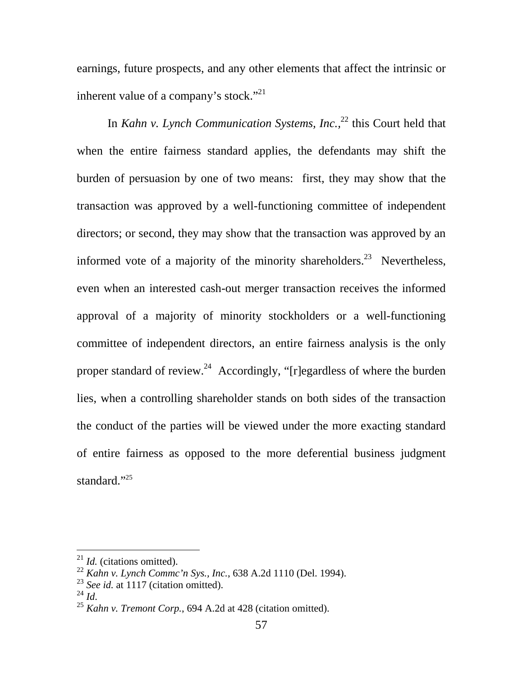earnings, future prospects, and any other elements that affect the intrinsic or inherent value of a company's stock."<sup>21</sup>

In *Kahn v. Lynch Communication Systems, Inc.*<sup>22</sup> this Court held that when the entire fairness standard applies, the defendants may shift the burden of persuasion by one of two means: first, they may show that the transaction was approved by a well-functioning committee of independent directors; or second, they may show that the transaction was approved by an informed vote of a majority of the minority shareholders.<sup>23</sup> Nevertheless, even when an interested cash-out merger transaction receives the informed approval of a majority of minority stockholders or a well-functioning committee of independent directors, an entire fairness analysis is the only proper standard of review.<sup>24</sup> Accordingly, "[r]egardless of where the burden lies, when a controlling shareholder stands on both sides of the transaction the conduct of the parties will be viewed under the more exacting standard of entire fairness as opposed to the more deferential business judgment standard."<sup>25</sup>

<sup>21</sup> *Id.* (citations omitted).

<sup>22</sup> *Kahn v. Lynch Commc'n Sys., Inc.*, 638 A.2d 1110 (Del. 1994).

<sup>&</sup>lt;sup>23</sup> *See id.* at 1117 (citation omitted).

<sup>24</sup> *Id*.

<sup>25</sup> *Kahn v. Tremont Corp.*, 694 A.2d at 428 (citation omitted).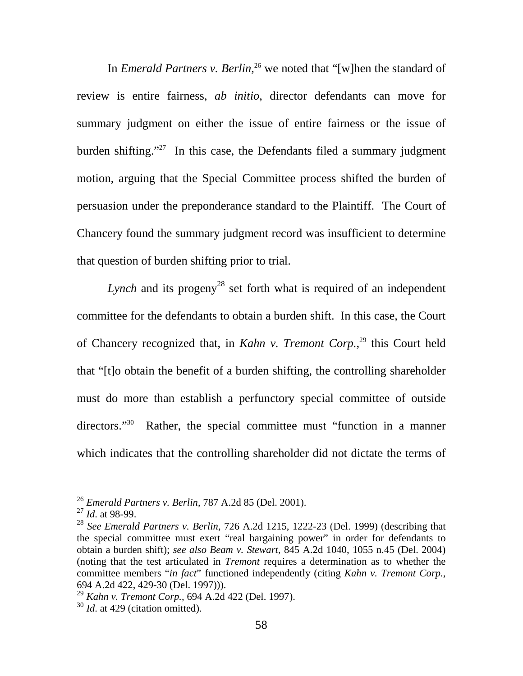In *Emerald Partners v. Berlin*, <sup>26</sup> we noted that "[w]hen the standard of review is entire fairness, *ab initio*, director defendants can move for summary judgment on either the issue of entire fairness or the issue of burden shifting."<sup>27</sup> In this case, the Defendants filed a summary judgment motion, arguing that the Special Committee process shifted the burden of persuasion under the preponderance standard to the Plaintiff. The Court of Chancery found the summary judgment record was insufficient to determine that question of burden shifting prior to trial.

*Lynch* and its progeny<sup>28</sup> set forth what is required of an independent committee for the defendants to obtain a burden shift. In this case, the Court of Chancery recognized that, in *Kahn v. Tremont Corp.*, <sup>29</sup> this Court held that "[t]o obtain the benefit of a burden shifting, the controlling shareholder must do more than establish a perfunctory special committee of outside directors."<sup>30</sup> Rather, the special committee must "function in a manner" which indicates that the controlling shareholder did not dictate the terms of

<sup>26</sup> *Emerald Partners v. Berlin*, 787 A.2d 85 (Del. 2001).

<sup>27</sup> *Id*. at 98-99.

<sup>28</sup> *See Emerald Partners v. Berlin*, 726 A.2d 1215, 1222-23 (Del. 1999) (describing that the special committee must exert "real bargaining power" in order for defendants to obtain a burden shift); *see also Beam v. Stewart*, 845 A.2d 1040, 1055 n.45 (Del. 2004) (noting that the test articulated in *Tremont* requires a determination as to whether the committee members "*in fact*" functioned independently (citing *Kahn v. Tremont Corp.*, 694 A.2d 422, 429-30 (Del. 1997))).

<sup>29</sup> *Kahn v. Tremont Corp.*, 694 A.2d 422 (Del. 1997).

<sup>&</sup>lt;sup>30</sup> *Id.* at 429 (citation omitted).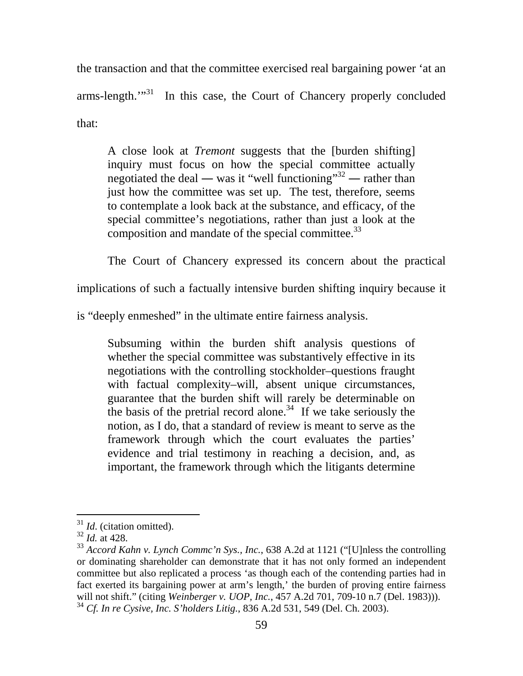the transaction and that the committee exercised real bargaining power 'at an arms-length."<sup>31</sup> In this case, the Court of Chancery properly concluded that:

A close look at *Tremont* suggests that the [burden shifting] inquiry must focus on how the special committee actually negotiated the deal — was it "well functioning"<sup>32</sup> — rather than just how the committee was set up. The test, therefore, seems to contemplate a look back at the substance, and efficacy, of the special committee's negotiations, rather than just a look at the composition and mandate of the special committee.<sup>33</sup>

The Court of Chancery expressed its concern about the practical

implications of such a factually intensive burden shifting inquiry because it

is "deeply enmeshed" in the ultimate entire fairness analysis.

Subsuming within the burden shift analysis questions of whether the special committee was substantively effective in its negotiations with the controlling stockholder–questions fraught with factual complexity–will, absent unique circumstances, guarantee that the burden shift will rarely be determinable on the basis of the pretrial record alone.<sup>34</sup> If we take seriously the notion, as I do, that a standard of review is meant to serve as the framework through which the court evaluates the parties' evidence and trial testimony in reaching a decision, and, as important, the framework through which the litigants determine

<sup>31</sup> *Id*. (citation omitted).

<sup>32</sup> *Id.* at 428.

<sup>33</sup> *Accord Kahn v. Lynch Commc'n Sys., Inc.*, 638 A.2d at 1121 ("[U]nless the controlling or dominating shareholder can demonstrate that it has not only formed an independent committee but also replicated a process 'as though each of the contending parties had in fact exerted its bargaining power at arm's length,' the burden of proving entire fairness will not shift." (citing *Weinberger v. UOP, Inc.*, 457 A.2d 701, 709-10 n.7 (Del. 1983))). <sup>34</sup> *Cf. In re Cysive, Inc. S'holders Litig.*, 836 A.2d 531, 549 (Del. Ch. 2003).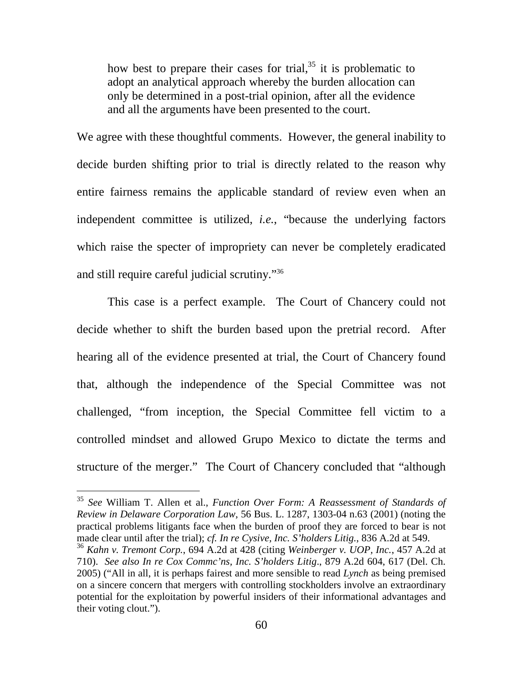how best to prepare their cases for trial, $35$  it is problematic to adopt an analytical approach whereby the burden allocation can only be determined in a post-trial opinion, after all the evidence and all the arguments have been presented to the court.

We agree with these thoughtful comments. However, the general inability to decide burden shifting prior to trial is directly related to the reason why entire fairness remains the applicable standard of review even when an independent committee is utilized, *i.e.*, "because the underlying factors which raise the specter of impropriety can never be completely eradicated and still require careful judicial scrutiny."<sup>36</sup>

This case is a perfect example. The Court of Chancery could not decide whether to shift the burden based upon the pretrial record. After hearing all of the evidence presented at trial, the Court of Chancery found that, although the independence of the Special Committee was not challenged, "from inception, the Special Committee fell victim to a controlled mindset and allowed Grupo Mexico to dictate the terms and structure of the merger." The Court of Chancery concluded that "although

<sup>35</sup> *See* William T. Allen et al., *Function Over Form: A Reassessment of Standards of Review in Delaware Corporation Law*, 56 Bus. L. 1287, 1303-04 n.63 (2001) (noting the practical problems litigants face when the burden of proof they are forced to bear is not made clear until after the trial); *cf. In re Cysive, Inc. S'holders Litig.*, 836 A.2d at 549.

<sup>36</sup> *Kahn v. Tremont Corp.*, 694 A.2d at 428 (citing *Weinberger v. UOP, Inc.*, 457 A.2d at 710). *See also In re Cox Commc'ns, Inc. S'holders Litig*., 879 A.2d 604, 617 (Del. Ch. 2005) ("All in all, it is perhaps fairest and more sensible to read *Lynch* as being premised on a sincere concern that mergers with controlling stockholders involve an extraordinary potential for the exploitation by powerful insiders of their informational advantages and their voting clout.").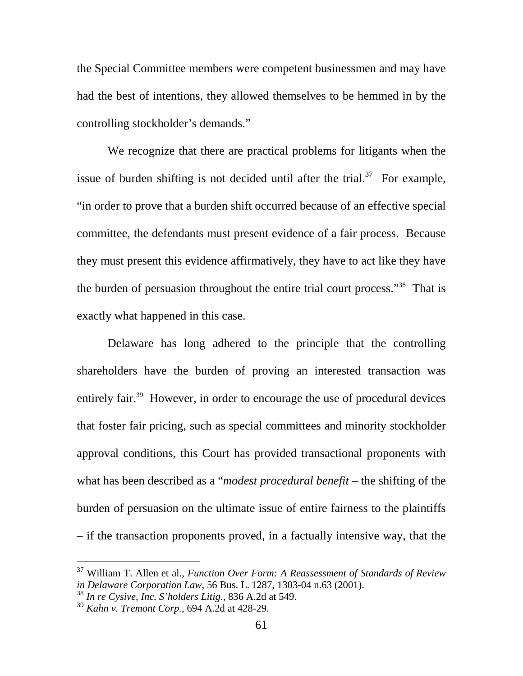the Special Committee members were competent businessmen and may have had the best of intentions, they allowed themselves to be hemmed in by the controlling stockholder's demands."

We recognize that there are practical problems for litigants when the issue of burden shifting is not decided until after the trial. $37$  For example, "in order to prove that a burden shift occurred because of an effective special committee, the defendants must present evidence of a fair process. Because they must present this evidence affirmatively, they have to act like they have the burden of persuasion throughout the entire trial court process."<sup>38</sup> That is exactly what happened in this case.

Delaware has long adhered to the principle that the controlling shareholders have the burden of proving an interested transaction was entirely fair.<sup>39</sup> However, in order to encourage the use of procedural devices that foster fair pricing, such as special committees and minority stockholder approval conditions, this Court has provided transactional proponents with what has been described as a "*modest procedural benefit* – the shifting of the burden of persuasion on the ultimate issue of entire fairness to the plaintiffs – if the transaction proponents proved, in a factually intensive way, that the

 $\overline{a}$ 

<sup>37</sup> William T. Allen et al., *Function Over Form: A Reassessment of Standards of Review in Delaware Corporation Law*, 56 Bus. L. 1287, 1303-04 n.63 (2001).

<sup>38</sup> *In re Cysive, Inc. S'holders Litig.*, 836 A.2d at 549.

<sup>39</sup> *Kahn v. Tremont Corp.*, 694 A.2d at 428-29.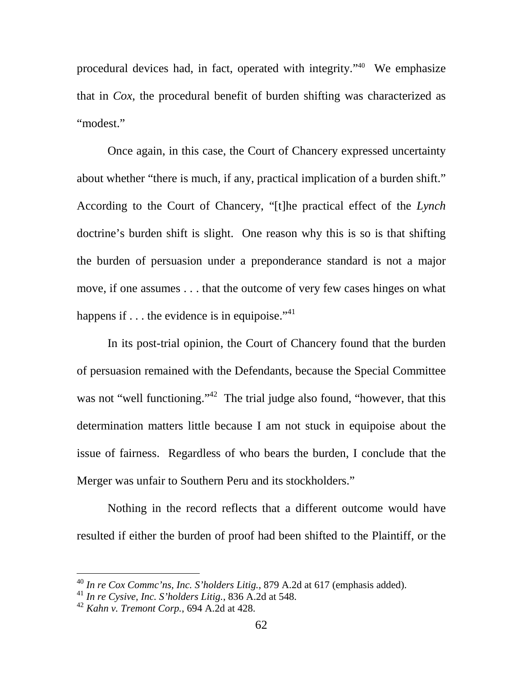procedural devices had, in fact, operated with integrity."<sup>40</sup> We emphasize that in *Cox*, the procedural benefit of burden shifting was characterized as "modest."

Once again, in this case, the Court of Chancery expressed uncertainty about whether "there is much, if any, practical implication of a burden shift." According to the Court of Chancery, "[t]he practical effect of the *Lynch* doctrine's burden shift is slight. One reason why this is so is that shifting the burden of persuasion under a preponderance standard is not a major move, if one assumes . . . that the outcome of very few cases hinges on what happens if  $\dots$  the evidence is in equipoise.<sup> $,41$ </sup>

In its post-trial opinion, the Court of Chancery found that the burden of persuasion remained with the Defendants, because the Special Committee was not "well functioning."<sup>42</sup> The trial judge also found, "however, that this determination matters little because I am not stuck in equipoise about the issue of fairness. Regardless of who bears the burden, I conclude that the Merger was unfair to Southern Peru and its stockholders."

Nothing in the record reflects that a different outcome would have resulted if either the burden of proof had been shifted to the Plaintiff, or the

<sup>40</sup> *In re Cox Commc'ns, Inc. S'holders Litig.*, 879 A.2d at 617 (emphasis added).

<sup>41</sup> *In re Cysive, Inc. S'holders Litig.*, 836 A.2d at 548.

<sup>42</sup> *Kahn v. Tremont Corp.*, 694 A.2d at 428.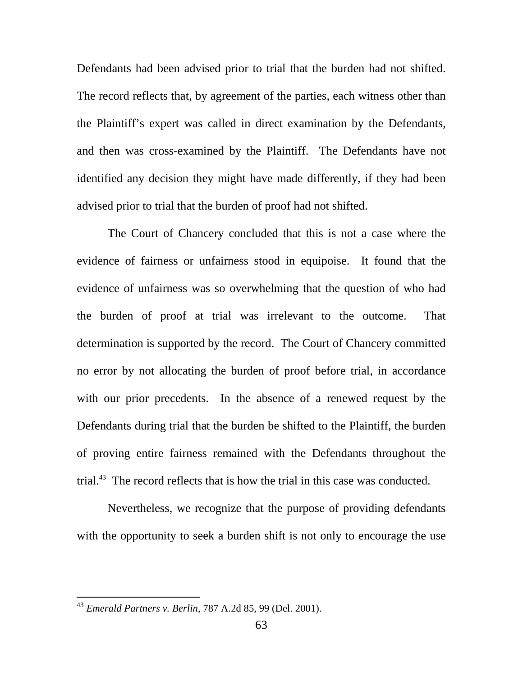Defendants had been advised prior to trial that the burden had not shifted. The record reflects that, by agreement of the parties, each witness other than the Plaintiff's expert was called in direct examination by the Defendants, and then was cross-examined by the Plaintiff. The Defendants have not identified any decision they might have made differently, if they had been advised prior to trial that the burden of proof had not shifted.

The Court of Chancery concluded that this is not a case where the evidence of fairness or unfairness stood in equipoise. It found that the evidence of unfairness was so overwhelming that the question of who had the burden of proof at trial was irrelevant to the outcome. That determination is supported by the record. The Court of Chancery committed no error by not allocating the burden of proof before trial, in accordance with our prior precedents. In the absence of a renewed request by the Defendants during trial that the burden be shifted to the Plaintiff, the burden of proving entire fairness remained with the Defendants throughout the trial.<sup>43</sup> The record reflects that is how the trial in this case was conducted.

Nevertheless, we recognize that the purpose of providing defendants with the opportunity to seek a burden shift is not only to encourage the use

<sup>43</sup> *Emerald Partners v. Berlin*, 787 A.2d 85, 99 (Del. 2001).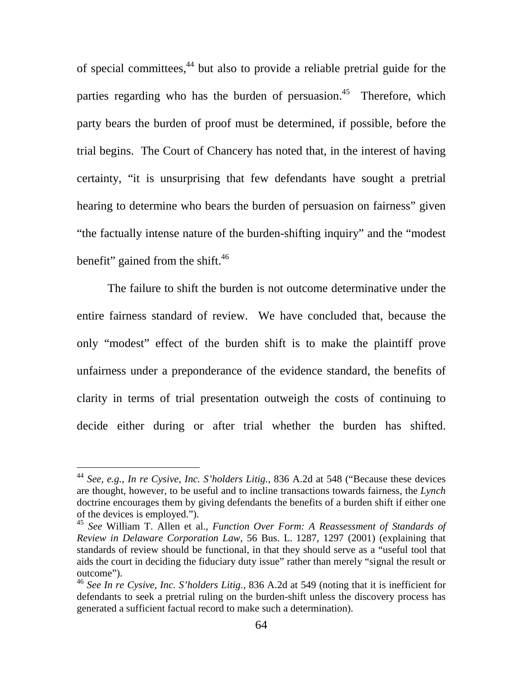of special committees,<sup>44</sup> but also to provide a reliable pretrial guide for the parties regarding who has the burden of persuasion.<sup>45</sup> Therefore, which party bears the burden of proof must be determined, if possible, before the trial begins. The Court of Chancery has noted that, in the interest of having certainty, "it is unsurprising that few defendants have sought a pretrial hearing to determine who bears the burden of persuasion on fairness" given "the factually intense nature of the burden-shifting inquiry" and the "modest benefit" gained from the shift.<sup>46</sup>

The failure to shift the burden is not outcome determinative under the entire fairness standard of review. We have concluded that, because the only "modest" effect of the burden shift is to make the plaintiff prove unfairness under a preponderance of the evidence standard, the benefits of clarity in terms of trial presentation outweigh the costs of continuing to decide either during or after trial whether the burden has shifted.

<sup>44</sup> *See, e.g.*, *In re Cysive, Inc. S'holders Litig.*, 836 A.2d at 548 ("Because these devices are thought, however, to be useful and to incline transactions towards fairness, the *Lynch* doctrine encourages them by giving defendants the benefits of a burden shift if either one of the devices is employed.").

<sup>45</sup> *See* William T. Allen et al., *Function Over Form: A Reassessment of Standards of Review in Delaware Corporation Law*, 56 Bus. L. 1287, 1297 (2001) (explaining that standards of review should be functional, in that they should serve as a "useful tool that aids the court in deciding the fiduciary duty issue" rather than merely "signal the result or outcome").

<sup>46</sup> *See In re Cysive, Inc. S'holders Litig.*, 836 A.2d at 549 (noting that it is inefficient for defendants to seek a pretrial ruling on the burden-shift unless the discovery process has generated a sufficient factual record to make such a determination).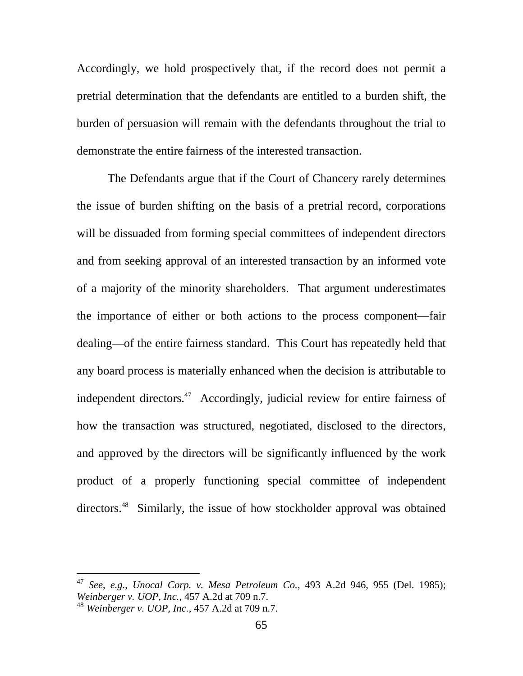Accordingly, we hold prospectively that, if the record does not permit a pretrial determination that the defendants are entitled to a burden shift, the burden of persuasion will remain with the defendants throughout the trial to demonstrate the entire fairness of the interested transaction.

The Defendants argue that if the Court of Chancery rarely determines the issue of burden shifting on the basis of a pretrial record, corporations will be dissuaded from forming special committees of independent directors and from seeking approval of an interested transaction by an informed vote of a majority of the minority shareholders. That argument underestimates the importance of either or both actions to the process component—fair dealing—of the entire fairness standard. This Court has repeatedly held that any board process is materially enhanced when the decision is attributable to independent directors.<sup>47</sup> Accordingly, judicial review for entire fairness of how the transaction was structured, negotiated, disclosed to the directors, and approved by the directors will be significantly influenced by the work product of a properly functioning special committee of independent directors.<sup>48</sup> Similarly, the issue of how stockholder approval was obtained

<sup>47</sup> *See*, *e.g.*, *Unocal Corp. v. Mesa Petroleum Co.*, 493 A.2d 946, 955 (Del. 1985); *Weinberger v. UOP, Inc.*, 457 A.2d at 709 n.7.

<sup>48</sup> *Weinberger v. UOP, Inc.*, 457 A.2d at 709 n.7.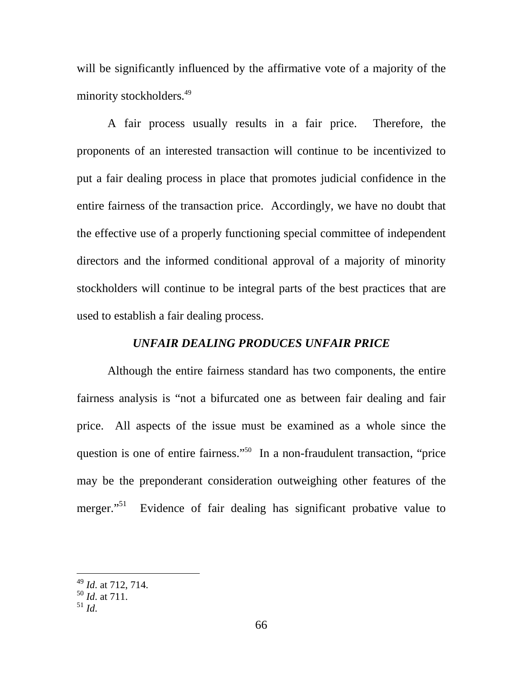will be significantly influenced by the affirmative vote of a majority of the minority stockholders.<sup>49</sup>

 A fair process usually results in a fair price. Therefore, the proponents of an interested transaction will continue to be incentivized to put a fair dealing process in place that promotes judicial confidence in the entire fairness of the transaction price. Accordingly, we have no doubt that the effective use of a properly functioning special committee of independent directors and the informed conditional approval of a majority of minority stockholders will continue to be integral parts of the best practices that are used to establish a fair dealing process.

# *UNFAIR DEALING PRODUCES UNFAIR PRICE*

Although the entire fairness standard has two components, the entire fairness analysis is "not a bifurcated one as between fair dealing and fair price. All aspects of the issue must be examined as a whole since the question is one of entire fairness."<sup>50</sup> In a non-fraudulent transaction, "price may be the preponderant consideration outweighing other features of the merger."<sup>51</sup> Evidence of fair dealing has significant probative value to

<sup>49</sup> *Id*. at 712, 714.

<sup>50</sup> *Id*. at 711.

 $^{51}$  *Id*.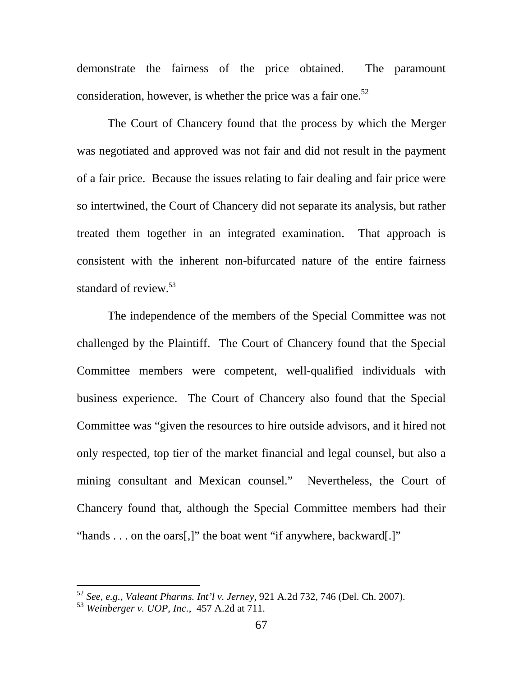demonstrate the fairness of the price obtained. The paramount consideration, however, is whether the price was a fair one. $52$ 

The Court of Chancery found that the process by which the Merger was negotiated and approved was not fair and did not result in the payment of a fair price. Because the issues relating to fair dealing and fair price were so intertwined, the Court of Chancery did not separate its analysis, but rather treated them together in an integrated examination. That approach is consistent with the inherent non-bifurcated nature of the entire fairness standard of review.<sup>53</sup>

The independence of the members of the Special Committee was not challenged by the Plaintiff. The Court of Chancery found that the Special Committee members were competent, well-qualified individuals with business experience. The Court of Chancery also found that the Special Committee was "given the resources to hire outside advisors, and it hired not only respected, top tier of the market financial and legal counsel, but also a mining consultant and Mexican counsel." Nevertheless, the Court of Chancery found that, although the Special Committee members had their "hands . . . on the oars[,]" the boat went "if anywhere, backward[.]"

<sup>52</sup> *See, e.g.*, *Valeant Pharms. Int'l v. Jerney*, 921 A.2d 732, 746 (Del. Ch. 2007).

<sup>53</sup> *Weinberger v. UOP, Inc.*, 457 A.2d at 711.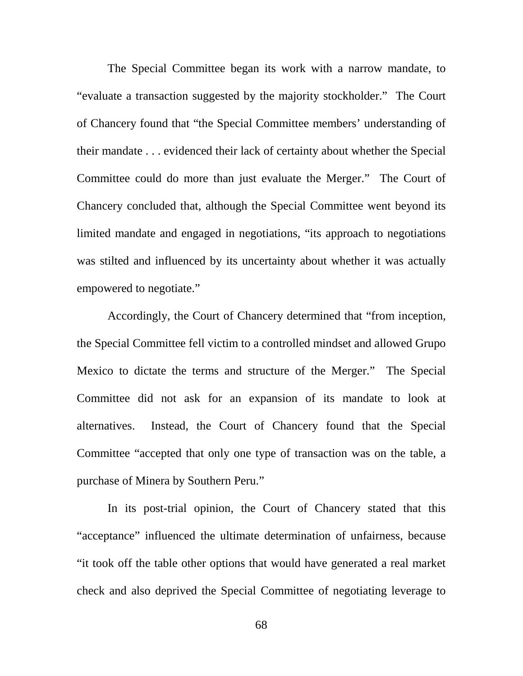The Special Committee began its work with a narrow mandate, to "evaluate a transaction suggested by the majority stockholder." The Court of Chancery found that "the Special Committee members' understanding of their mandate . . . evidenced their lack of certainty about whether the Special Committee could do more than just evaluate the Merger." The Court of Chancery concluded that, although the Special Committee went beyond its limited mandate and engaged in negotiations, "its approach to negotiations was stilted and influenced by its uncertainty about whether it was actually empowered to negotiate."

Accordingly, the Court of Chancery determined that "from inception, the Special Committee fell victim to a controlled mindset and allowed Grupo Mexico to dictate the terms and structure of the Merger." The Special Committee did not ask for an expansion of its mandate to look at alternatives. Instead, the Court of Chancery found that the Special Committee "accepted that only one type of transaction was on the table, a purchase of Minera by Southern Peru."

In its post-trial opinion, the Court of Chancery stated that this "acceptance" influenced the ultimate determination of unfairness, because "it took off the table other options that would have generated a real market check and also deprived the Special Committee of negotiating leverage to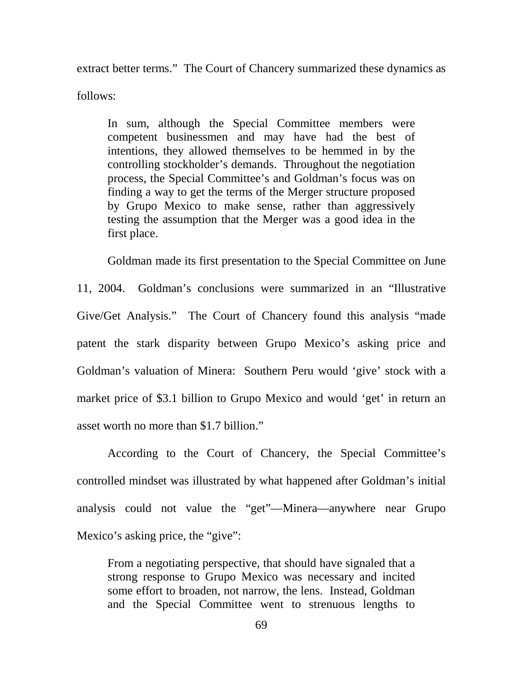extract better terms." The Court of Chancery summarized these dynamics as

follows:

In sum, although the Special Committee members were competent businessmen and may have had the best of intentions, they allowed themselves to be hemmed in by the controlling stockholder's demands. Throughout the negotiation process, the Special Committee's and Goldman's focus was on finding a way to get the terms of the Merger structure proposed by Grupo Mexico to make sense, rather than aggressively testing the assumption that the Merger was a good idea in the first place.

 Goldman made its first presentation to the Special Committee on June 11, 2004. Goldman's conclusions were summarized in an "Illustrative Give/Get Analysis." The Court of Chancery found this analysis "made patent the stark disparity between Grupo Mexico's asking price and Goldman's valuation of Minera: Southern Peru would 'give' stock with a market price of \$3.1 billion to Grupo Mexico and would 'get' in return an asset worth no more than \$1.7 billion."

According to the Court of Chancery, the Special Committee's controlled mindset was illustrated by what happened after Goldman's initial analysis could not value the "get"—Minera—anywhere near Grupo Mexico's asking price, the "give":

From a negotiating perspective, that should have signaled that a strong response to Grupo Mexico was necessary and incited some effort to broaden, not narrow, the lens. Instead, Goldman and the Special Committee went to strenuous lengths to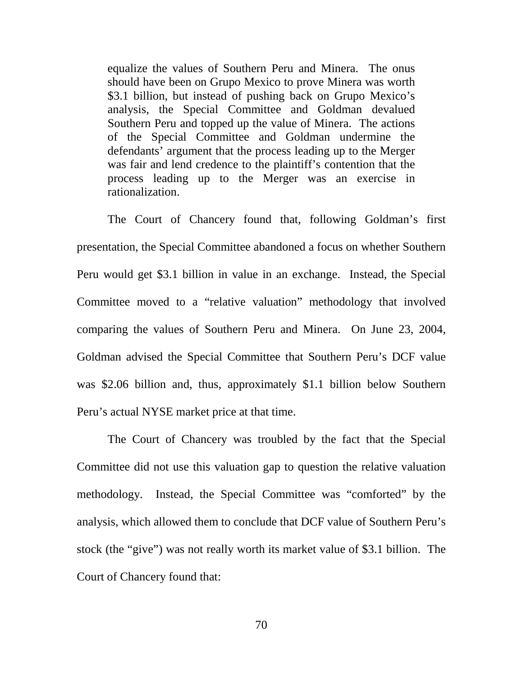equalize the values of Southern Peru and Minera. The onus should have been on Grupo Mexico to prove Minera was worth \$3.1 billion, but instead of pushing back on Grupo Mexico's analysis, the Special Committee and Goldman devalued Southern Peru and topped up the value of Minera. The actions of the Special Committee and Goldman undermine the defendants' argument that the process leading up to the Merger was fair and lend credence to the plaintiff's contention that the process leading up to the Merger was an exercise in rationalization.

 The Court of Chancery found that, following Goldman's first presentation, the Special Committee abandoned a focus on whether Southern Peru would get \$3.1 billion in value in an exchange. Instead, the Special Committee moved to a "relative valuation" methodology that involved comparing the values of Southern Peru and Minera. On June 23, 2004, Goldman advised the Special Committee that Southern Peru's DCF value was \$2.06 billion and, thus, approximately \$1.1 billion below Southern Peru's actual NYSE market price at that time.

The Court of Chancery was troubled by the fact that the Special Committee did not use this valuation gap to question the relative valuation methodology. Instead, the Special Committee was "comforted" by the analysis, which allowed them to conclude that DCF value of Southern Peru's stock (the "give") was not really worth its market value of \$3.1 billion. The Court of Chancery found that: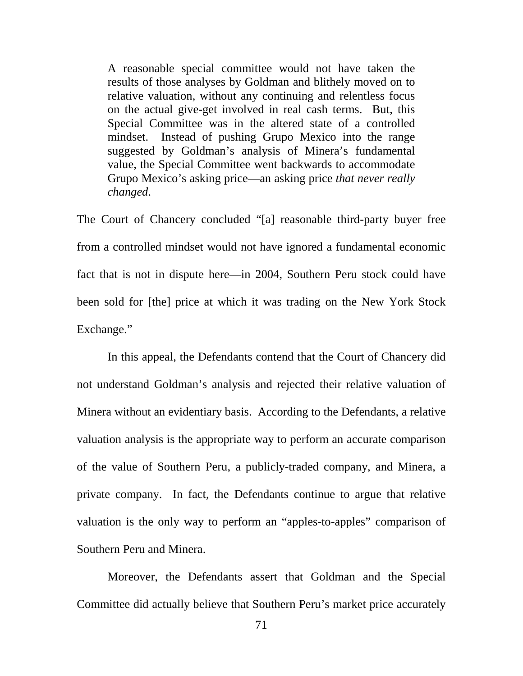A reasonable special committee would not have taken the results of those analyses by Goldman and blithely moved on to relative valuation, without any continuing and relentless focus on the actual give-get involved in real cash terms. But, this Special Committee was in the altered state of a controlled mindset. Instead of pushing Grupo Mexico into the range suggested by Goldman's analysis of Minera's fundamental value, the Special Committee went backwards to accommodate Grupo Mexico's asking price—an asking price *that never really changed*.

The Court of Chancery concluded "[a] reasonable third-party buyer free from a controlled mindset would not have ignored a fundamental economic fact that is not in dispute here—in 2004, Southern Peru stock could have been sold for [the] price at which it was trading on the New York Stock Exchange."

 In this appeal, the Defendants contend that the Court of Chancery did not understand Goldman's analysis and rejected their relative valuation of Minera without an evidentiary basis. According to the Defendants, a relative valuation analysis is the appropriate way to perform an accurate comparison of the value of Southern Peru, a publicly-traded company, and Minera, a private company. In fact, the Defendants continue to argue that relative valuation is the only way to perform an "apples-to-apples" comparison of Southern Peru and Minera.

Moreover, the Defendants assert that Goldman and the Special Committee did actually believe that Southern Peru's market price accurately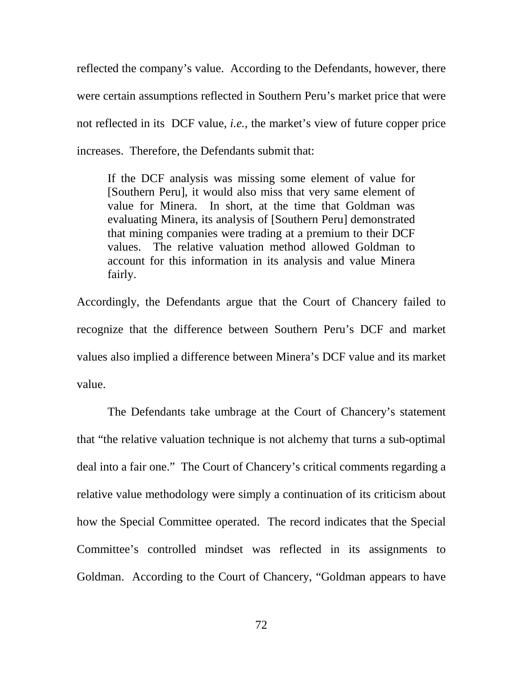reflected the company's value. According to the Defendants, however, there were certain assumptions reflected in Southern Peru's market price that were not reflected in its DCF value, *i.e.*, the market's view of future copper price increases. Therefore, the Defendants submit that:

If the DCF analysis was missing some element of value for [Southern Peru], it would also miss that very same element of value for Minera. In short, at the time that Goldman was evaluating Minera, its analysis of [Southern Peru] demonstrated that mining companies were trading at a premium to their DCF values. The relative valuation method allowed Goldman to account for this information in its analysis and value Minera fairly.

Accordingly, the Defendants argue that the Court of Chancery failed to recognize that the difference between Southern Peru's DCF and market values also implied a difference between Minera's DCF value and its market value.

The Defendants take umbrage at the Court of Chancery's statement that "the relative valuation technique is not alchemy that turns a sub-optimal deal into a fair one." The Court of Chancery's critical comments regarding a relative value methodology were simply a continuation of its criticism about how the Special Committee operated. The record indicates that the Special Committee's controlled mindset was reflected in its assignments to Goldman. According to the Court of Chancery, "Goldman appears to have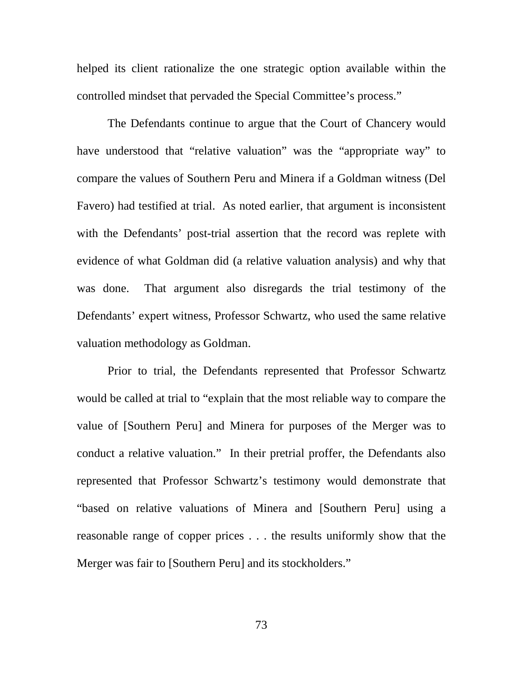helped its client rationalize the one strategic option available within the controlled mindset that pervaded the Special Committee's process."

 The Defendants continue to argue that the Court of Chancery would have understood that "relative valuation" was the "appropriate way" to compare the values of Southern Peru and Minera if a Goldman witness (Del Favero) had testified at trial. As noted earlier, that argument is inconsistent with the Defendants' post-trial assertion that the record was replete with evidence of what Goldman did (a relative valuation analysis) and why that was done. That argument also disregards the trial testimony of the Defendants' expert witness, Professor Schwartz, who used the same relative valuation methodology as Goldman.

 Prior to trial, the Defendants represented that Professor Schwartz would be called at trial to "explain that the most reliable way to compare the value of [Southern Peru] and Minera for purposes of the Merger was to conduct a relative valuation." In their pretrial proffer, the Defendants also represented that Professor Schwartz's testimony would demonstrate that "based on relative valuations of Minera and [Southern Peru] using a reasonable range of copper prices . . . the results uniformly show that the Merger was fair to [Southern Peru] and its stockholders."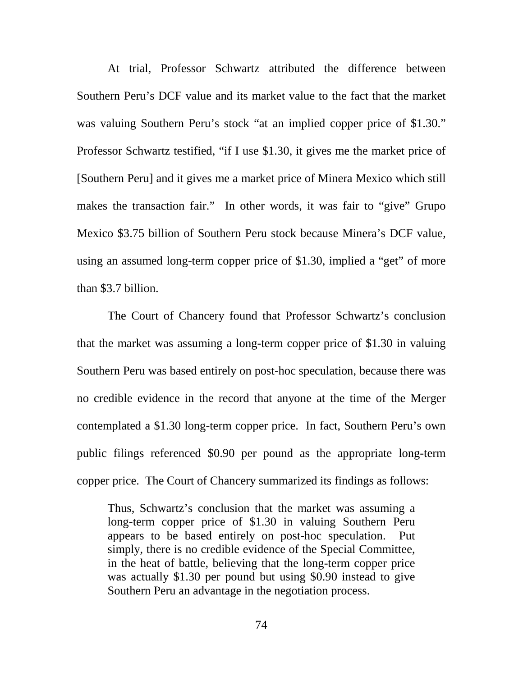At trial, Professor Schwartz attributed the difference between Southern Peru's DCF value and its market value to the fact that the market was valuing Southern Peru's stock "at an implied copper price of \$1.30." Professor Schwartz testified, "if I use \$1.30, it gives me the market price of [Southern Peru] and it gives me a market price of Minera Mexico which still makes the transaction fair." In other words, it was fair to "give" Grupo Mexico \$3.75 billion of Southern Peru stock because Minera's DCF value, using an assumed long-term copper price of \$1.30, implied a "get" of more than \$3.7 billion.

 The Court of Chancery found that Professor Schwartz's conclusion that the market was assuming a long-term copper price of \$1.30 in valuing Southern Peru was based entirely on post-hoc speculation, because there was no credible evidence in the record that anyone at the time of the Merger contemplated a \$1.30 long-term copper price. In fact, Southern Peru's own public filings referenced \$0.90 per pound as the appropriate long-term copper price. The Court of Chancery summarized its findings as follows:

Thus, Schwartz's conclusion that the market was assuming a long-term copper price of \$1.30 in valuing Southern Peru appears to be based entirely on post-hoc speculation. Put simply, there is no credible evidence of the Special Committee, in the heat of battle, believing that the long-term copper price was actually \$1.30 per pound but using \$0.90 instead to give Southern Peru an advantage in the negotiation process.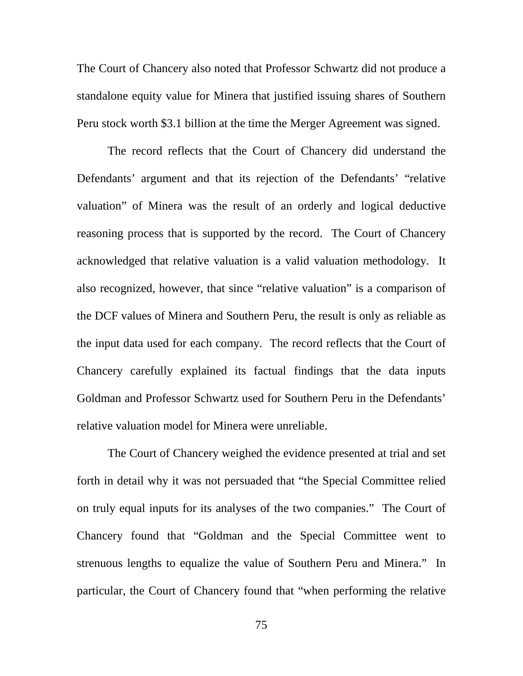The Court of Chancery also noted that Professor Schwartz did not produce a standalone equity value for Minera that justified issuing shares of Southern Peru stock worth \$3.1 billion at the time the Merger Agreement was signed.

The record reflects that the Court of Chancery did understand the Defendants' argument and that its rejection of the Defendants' "relative valuation" of Minera was the result of an orderly and logical deductive reasoning process that is supported by the record. The Court of Chancery acknowledged that relative valuation is a valid valuation methodology. It also recognized, however, that since "relative valuation" is a comparison of the DCF values of Minera and Southern Peru, the result is only as reliable as the input data used for each company. The record reflects that the Court of Chancery carefully explained its factual findings that the data inputs Goldman and Professor Schwartz used for Southern Peru in the Defendants' relative valuation model for Minera were unreliable.

The Court of Chancery weighed the evidence presented at trial and set forth in detail why it was not persuaded that "the Special Committee relied on truly equal inputs for its analyses of the two companies." The Court of Chancery found that "Goldman and the Special Committee went to strenuous lengths to equalize the value of Southern Peru and Minera." In particular, the Court of Chancery found that "when performing the relative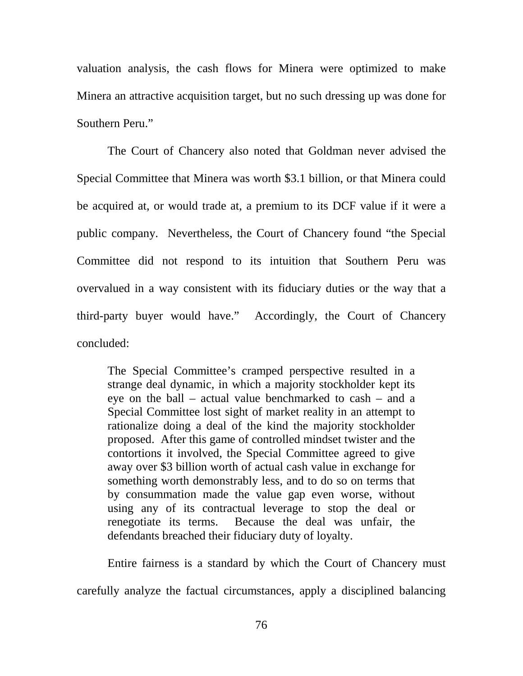valuation analysis, the cash flows for Minera were optimized to make Minera an attractive acquisition target, but no such dressing up was done for Southern Peru."

The Court of Chancery also noted that Goldman never advised the Special Committee that Minera was worth \$3.1 billion, or that Minera could be acquired at, or would trade at, a premium to its DCF value if it were a public company. Nevertheless, the Court of Chancery found "the Special Committee did not respond to its intuition that Southern Peru was overvalued in a way consistent with its fiduciary duties or the way that a third-party buyer would have." Accordingly, the Court of Chancery concluded:

The Special Committee's cramped perspective resulted in a strange deal dynamic, in which a majority stockholder kept its eye on the ball – actual value benchmarked to cash – and a Special Committee lost sight of market reality in an attempt to rationalize doing a deal of the kind the majority stockholder proposed. After this game of controlled mindset twister and the contortions it involved, the Special Committee agreed to give away over \$3 billion worth of actual cash value in exchange for something worth demonstrably less, and to do so on terms that by consummation made the value gap even worse, without using any of its contractual leverage to stop the deal or renegotiate its terms. Because the deal was unfair, the defendants breached their fiduciary duty of loyalty.

Entire fairness is a standard by which the Court of Chancery must carefully analyze the factual circumstances, apply a disciplined balancing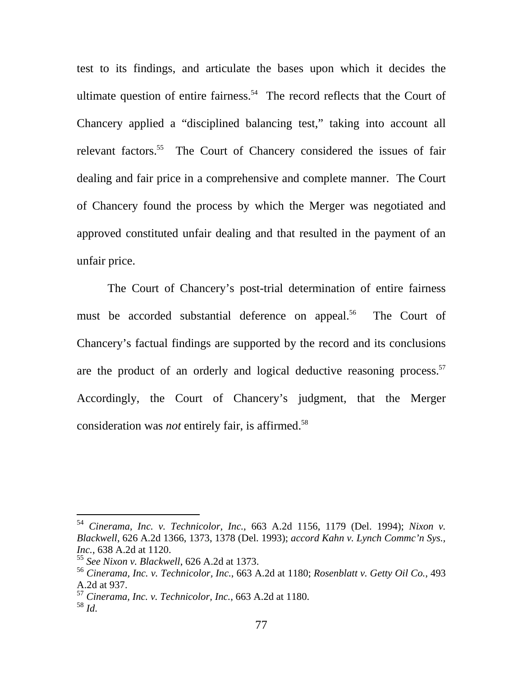test to its findings, and articulate the bases upon which it decides the ultimate question of entire fairness.<sup>54</sup> The record reflects that the Court of Chancery applied a "disciplined balancing test," taking into account all relevant factors.<sup>55</sup> The Court of Chancery considered the issues of fair dealing and fair price in a comprehensive and complete manner. The Court of Chancery found the process by which the Merger was negotiated and approved constituted unfair dealing and that resulted in the payment of an unfair price.

The Court of Chancery's post-trial determination of entire fairness must be accorded substantial deference on appeal.<sup>56</sup> The Court of Chancery's factual findings are supported by the record and its conclusions are the product of an orderly and logical deductive reasoning process.<sup>57</sup> Accordingly, the Court of Chancery's judgment, that the Merger consideration was *not* entirely fair, is affirmed.<sup>58</sup>

<sup>54</sup> *Cinerama, Inc. v. Technicolor, Inc.*, 663 A.2d 1156, 1179 (Del. 1994); *Nixon v. Blackwell*, 626 A.2d 1366, 1373, 1378 (Del. 1993); *accord Kahn v. Lynch Commc'n Sys., Inc.*, 638 A.2d at 1120.

<sup>55</sup> *See Nixon v. Blackwell*, 626 A.2d at 1373.

<sup>56</sup> *Cinerama, Inc. v. Technicolor, Inc.*, 663 A.2d at 1180; *Rosenblatt v. Getty Oil Co.*, 493 A.2d at 937.

<sup>57</sup> *Cinerama, Inc. v. Technicolor, Inc.*, 663 A.2d at 1180. <sup>58</sup> *Id*.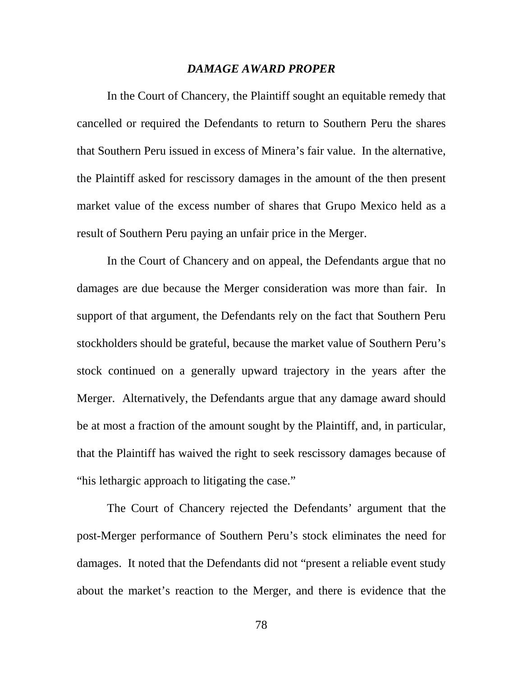#### *DAMAGE AWARD PROPER*

 In the Court of Chancery, the Plaintiff sought an equitable remedy that cancelled or required the Defendants to return to Southern Peru the shares that Southern Peru issued in excess of Minera's fair value. In the alternative, the Plaintiff asked for rescissory damages in the amount of the then present market value of the excess number of shares that Grupo Mexico held as a result of Southern Peru paying an unfair price in the Merger.

 In the Court of Chancery and on appeal, the Defendants argue that no damages are due because the Merger consideration was more than fair. In support of that argument, the Defendants rely on the fact that Southern Peru stockholders should be grateful, because the market value of Southern Peru's stock continued on a generally upward trajectory in the years after the Merger. Alternatively, the Defendants argue that any damage award should be at most a fraction of the amount sought by the Plaintiff, and, in particular, that the Plaintiff has waived the right to seek rescissory damages because of "his lethargic approach to litigating the case."

 The Court of Chancery rejected the Defendants' argument that the post-Merger performance of Southern Peru's stock eliminates the need for damages. It noted that the Defendants did not "present a reliable event study about the market's reaction to the Merger, and there is evidence that the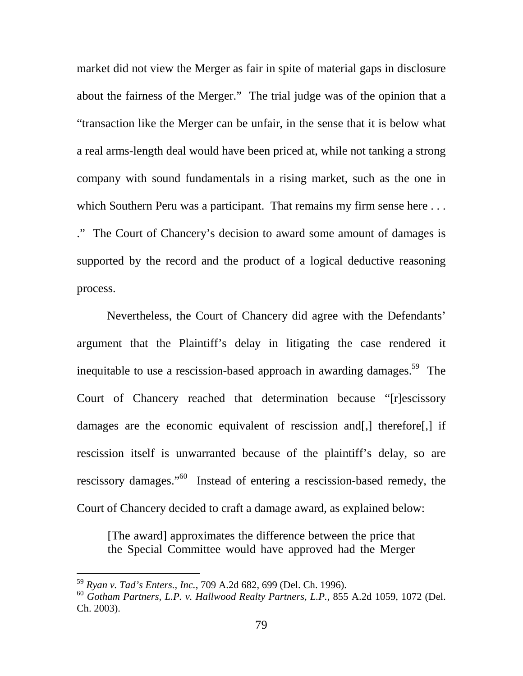market did not view the Merger as fair in spite of material gaps in disclosure about the fairness of the Merger." The trial judge was of the opinion that a "transaction like the Merger can be unfair, in the sense that it is below what a real arms-length deal would have been priced at, while not tanking a strong company with sound fundamentals in a rising market, such as the one in which Southern Peru was a participant. That remains my firm sense here ... ." The Court of Chancery's decision to award some amount of damages is supported by the record and the product of a logical deductive reasoning process.

 Nevertheless, the Court of Chancery did agree with the Defendants' argument that the Plaintiff's delay in litigating the case rendered it inequitable to use a rescission-based approach in awarding damages.<sup>59</sup> The Court of Chancery reached that determination because "[r]escissory damages are the economic equivalent of rescission and[,] therefore[,] if rescission itself is unwarranted because of the plaintiff's delay, so are rescissory damages."<sup>60</sup> Instead of entering a rescission-based remedy, the Court of Chancery decided to craft a damage award, as explained below:

[The award] approximates the difference between the price that the Special Committee would have approved had the Merger

<sup>59</sup> *Ryan v. Tad's Enters., Inc.*, 709 A.2d 682, 699 (Del. Ch. 1996).

<sup>60</sup> *Gotham Partners, L.P. v. Hallwood Realty Partners, L.P.*, 855 A.2d 1059, 1072 (Del. Ch. 2003).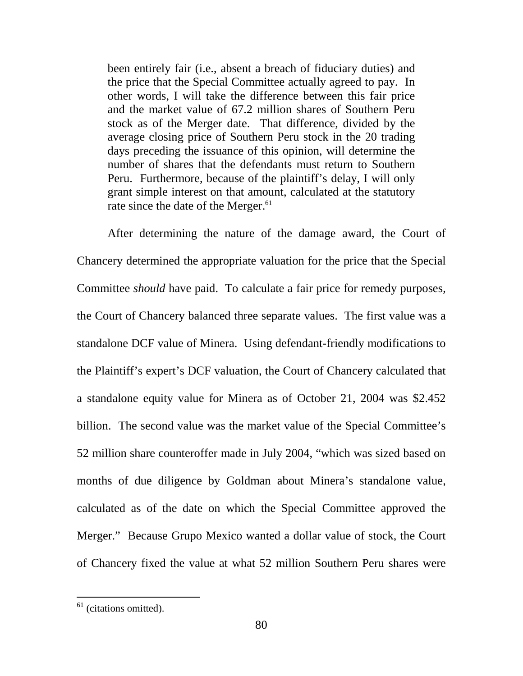been entirely fair (i.e., absent a breach of fiduciary duties) and the price that the Special Committee actually agreed to pay. In other words, I will take the difference between this fair price and the market value of 67.2 million shares of Southern Peru stock as of the Merger date. That difference, divided by the average closing price of Southern Peru stock in the 20 trading days preceding the issuance of this opinion, will determine the number of shares that the defendants must return to Southern Peru. Furthermore, because of the plaintiff's delay, I will only grant simple interest on that amount, calculated at the statutory rate since the date of the Merger.<sup>61</sup>

After determining the nature of the damage award, the Court of Chancery determined the appropriate valuation for the price that the Special Committee *should* have paid. To calculate a fair price for remedy purposes, the Court of Chancery balanced three separate values. The first value was a standalone DCF value of Minera. Using defendant-friendly modifications to the Plaintiff's expert's DCF valuation, the Court of Chancery calculated that a standalone equity value for Minera as of October 21, 2004 was \$2.452 billion. The second value was the market value of the Special Committee's 52 million share counteroffer made in July 2004, "which was sized based on months of due diligence by Goldman about Minera's standalone value, calculated as of the date on which the Special Committee approved the Merger." Because Grupo Mexico wanted a dollar value of stock, the Court of Chancery fixed the value at what 52 million Southern Peru shares were

 $61$  (citations omitted).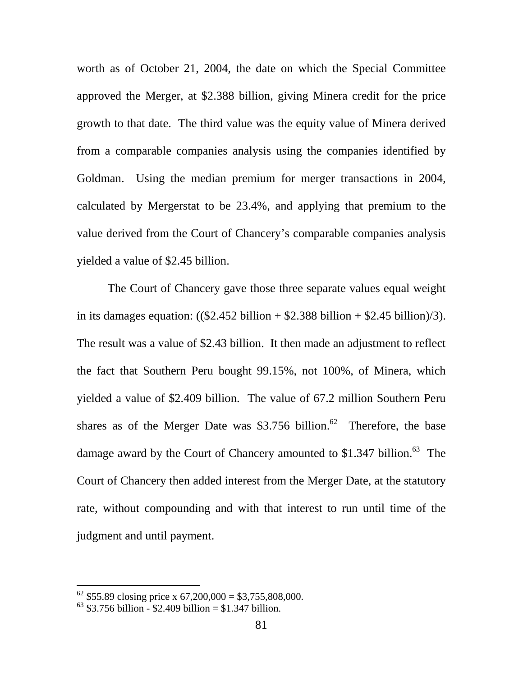worth as of October 21, 2004, the date on which the Special Committee approved the Merger, at \$2.388 billion, giving Minera credit for the price growth to that date. The third value was the equity value of Minera derived from a comparable companies analysis using the companies identified by Goldman. Using the median premium for merger transactions in 2004, calculated by Mergerstat to be 23.4%, and applying that premium to the value derived from the Court of Chancery's comparable companies analysis yielded a value of \$2.45 billion.

The Court of Chancery gave those three separate values equal weight in its damages equation:  $((\$2.452 \text{ billion} + \$2.388 \text{ billion} + \$2.45 \text{ billion})/3)$ . The result was a value of \$2.43 billion. It then made an adjustment to reflect the fact that Southern Peru bought 99.15%, not 100%, of Minera, which yielded a value of \$2.409 billion. The value of 67.2 million Southern Peru shares as of the Merger Date was \$3.756 billion.<sup>62</sup> Therefore, the base damage award by the Court of Chancery amounted to  $$1.347$  billion.<sup>63</sup> The Court of Chancery then added interest from the Merger Date, at the statutory rate, without compounding and with that interest to run until time of the judgment and until payment.

 $62$  \$55.89 closing price x 67,200,000 = \$3,755,808,000.

 $63$  \$3.756 billion - \$2.409 billion = \$1.347 billion.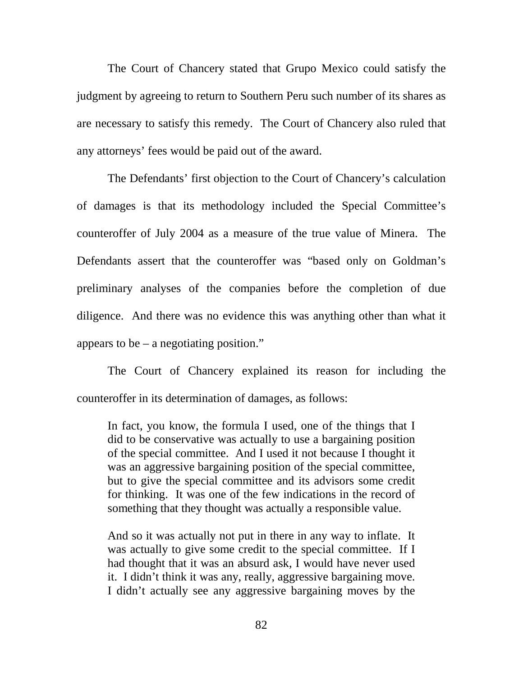The Court of Chancery stated that Grupo Mexico could satisfy the judgment by agreeing to return to Southern Peru such number of its shares as are necessary to satisfy this remedy. The Court of Chancery also ruled that any attorneys' fees would be paid out of the award.

 The Defendants' first objection to the Court of Chancery's calculation of damages is that its methodology included the Special Committee's counteroffer of July 2004 as a measure of the true value of Minera. The Defendants assert that the counteroffer was "based only on Goldman's preliminary analyses of the companies before the completion of due diligence. And there was no evidence this was anything other than what it appears to be – a negotiating position."

 The Court of Chancery explained its reason for including the counteroffer in its determination of damages, as follows:

In fact, you know, the formula I used, one of the things that I did to be conservative was actually to use a bargaining position of the special committee. And I used it not because I thought it was an aggressive bargaining position of the special committee, but to give the special committee and its advisors some credit for thinking. It was one of the few indications in the record of something that they thought was actually a responsible value.

And so it was actually not put in there in any way to inflate. It was actually to give some credit to the special committee. If I had thought that it was an absurd ask, I would have never used it. I didn't think it was any, really, aggressive bargaining move. I didn't actually see any aggressive bargaining moves by the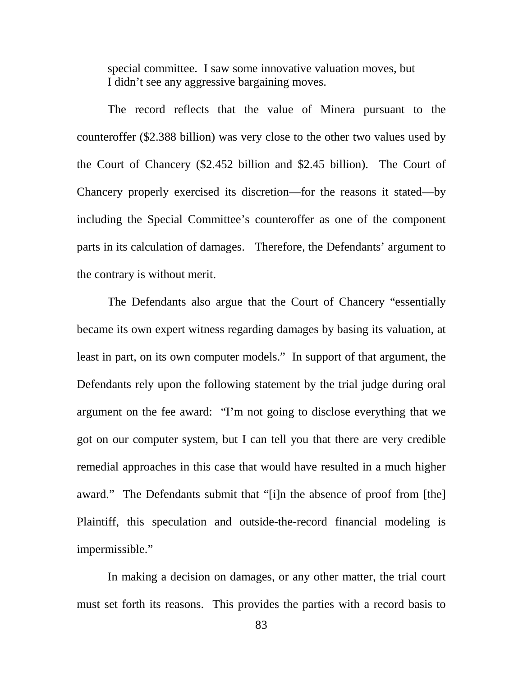special committee. I saw some innovative valuation moves, but I didn't see any aggressive bargaining moves.

The record reflects that the value of Minera pursuant to the counteroffer (\$2.388 billion) was very close to the other two values used by the Court of Chancery (\$2.452 billion and \$2.45 billion). The Court of Chancery properly exercised its discretion—for the reasons it stated—by including the Special Committee's counteroffer as one of the component parts in its calculation of damages. Therefore, the Defendants' argument to the contrary is without merit.

 The Defendants also argue that the Court of Chancery "essentially became its own expert witness regarding damages by basing its valuation, at least in part, on its own computer models." In support of that argument, the Defendants rely upon the following statement by the trial judge during oral argument on the fee award: "I'm not going to disclose everything that we got on our computer system, but I can tell you that there are very credible remedial approaches in this case that would have resulted in a much higher award." The Defendants submit that "[i]n the absence of proof from [the] Plaintiff, this speculation and outside-the-record financial modeling is impermissible."

 In making a decision on damages, or any other matter, the trial court must set forth its reasons. This provides the parties with a record basis to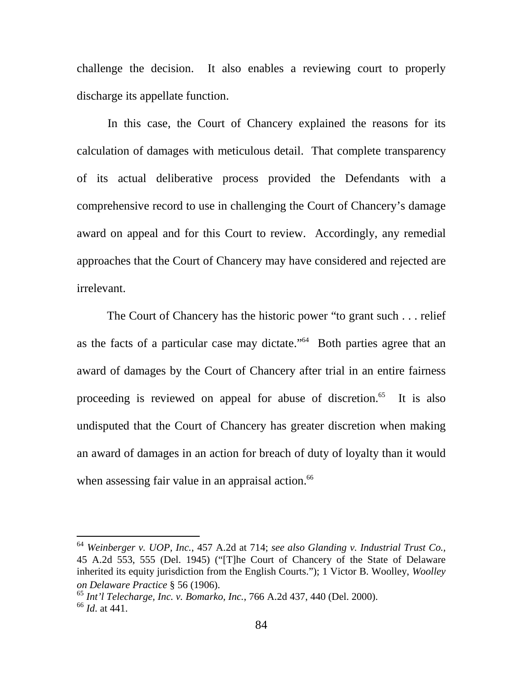challenge the decision. It also enables a reviewing court to properly discharge its appellate function.

 In this case, the Court of Chancery explained the reasons for its calculation of damages with meticulous detail. That complete transparency of its actual deliberative process provided the Defendants with a comprehensive record to use in challenging the Court of Chancery's damage award on appeal and for this Court to review. Accordingly, any remedial approaches that the Court of Chancery may have considered and rejected are irrelevant.

 The Court of Chancery has the historic power "to grant such . . . relief as the facts of a particular case may dictate."<sup>64</sup> Both parties agree that an award of damages by the Court of Chancery after trial in an entire fairness proceeding is reviewed on appeal for abuse of discretion.<sup>65</sup> It is also undisputed that the Court of Chancery has greater discretion when making an award of damages in an action for breach of duty of loyalty than it would when assessing fair value in an appraisal action.<sup>66</sup>

<sup>64</sup> *Weinberger v. UOP, Inc.*, 457 A.2d at 714; *see also Glanding v. Industrial Trust Co.,* 45 A.2d 553, 555 (Del. 1945) ("[T]he Court of Chancery of the State of Delaware inherited its equity jurisdiction from the English Courts."); 1 Victor B. Woolley, *Woolley on Delaware Practice* § 56 (1906).

<sup>65</sup> *Int'l Telecharge, Inc. v. Bomarko, Inc.*, 766 A.2d 437, 440 (Del. 2000). <sup>66</sup> *Id*. at 441.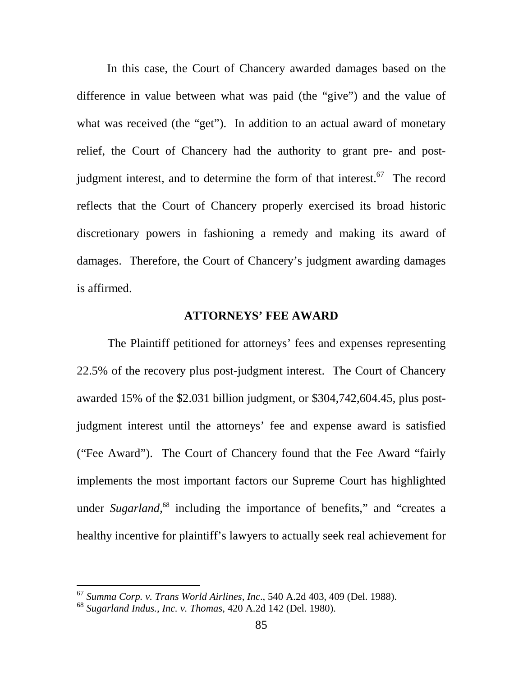In this case, the Court of Chancery awarded damages based on the difference in value between what was paid (the "give") and the value of what was received (the "get"). In addition to an actual award of monetary relief, the Court of Chancery had the authority to grant pre- and postjudgment interest, and to determine the form of that interest. $67$  The record reflects that the Court of Chancery properly exercised its broad historic discretionary powers in fashioning a remedy and making its award of damages. Therefore, the Court of Chancery's judgment awarding damages is affirmed.

## **ATTORNEYS' FEE AWARD**

 The Plaintiff petitioned for attorneys' fees and expenses representing 22.5% of the recovery plus post-judgment interest. The Court of Chancery awarded 15% of the \$2.031 billion judgment, or \$304,742,604.45, plus postjudgment interest until the attorneys' fee and expense award is satisfied ("Fee Award"). The Court of Chancery found that the Fee Award "fairly implements the most important factors our Supreme Court has highlighted under Sugarland,<sup>68</sup> including the importance of benefits," and "creates a healthy incentive for plaintiff's lawyers to actually seek real achievement for

<sup>67</sup> *Summa Corp. v. Trans World Airlines, Inc*., 540 A.2d 403, 409 (Del. 1988).

<sup>68</sup> *Sugarland Indus., Inc. v. Thomas*, 420 A.2d 142 (Del. 1980).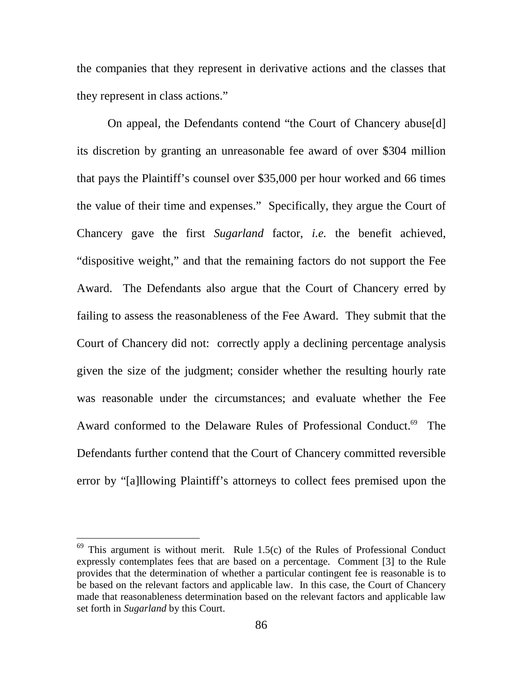the companies that they represent in derivative actions and the classes that they represent in class actions."

 On appeal, the Defendants contend "the Court of Chancery abuse[d] its discretion by granting an unreasonable fee award of over \$304 million that pays the Plaintiff's counsel over \$35,000 per hour worked and 66 times the value of their time and expenses." Specifically, they argue the Court of Chancery gave the first *Sugarland* factor, *i.e.* the benefit achieved, "dispositive weight," and that the remaining factors do not support the Fee Award. The Defendants also argue that the Court of Chancery erred by failing to assess the reasonableness of the Fee Award. They submit that the Court of Chancery did not: correctly apply a declining percentage analysis given the size of the judgment; consider whether the resulting hourly rate was reasonable under the circumstances; and evaluate whether the Fee Award conformed to the Delaware Rules of Professional Conduct.<sup>69</sup> The Defendants further contend that the Court of Chancery committed reversible error by "[a]llowing Plaintiff's attorneys to collect fees premised upon the

 $69$  This argument is without merit. Rule 1.5(c) of the Rules of Professional Conduct expressly contemplates fees that are based on a percentage. Comment [3] to the Rule provides that the determination of whether a particular contingent fee is reasonable is to be based on the relevant factors and applicable law. In this case, the Court of Chancery made that reasonableness determination based on the relevant factors and applicable law set forth in *Sugarland* by this Court.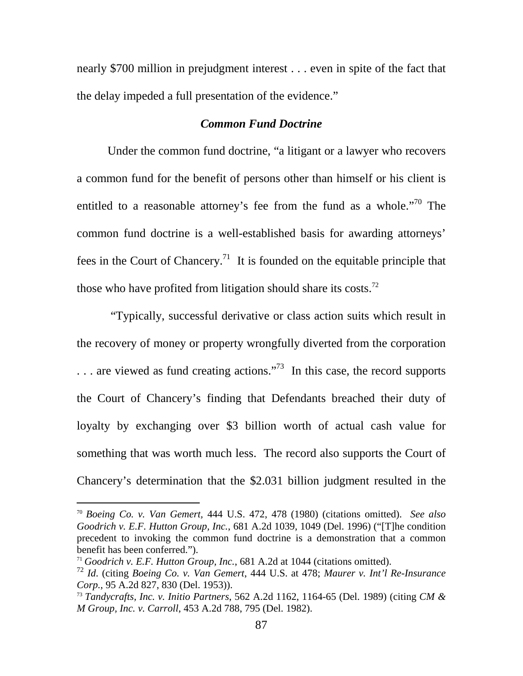nearly \$700 million in prejudgment interest . . . even in spite of the fact that the delay impeded a full presentation of the evidence."

## *Common Fund Doctrine*

 Under the common fund doctrine, "a litigant or a lawyer who recovers a common fund for the benefit of persons other than himself or his client is entitled to a reasonable attorney's fee from the fund as a whole."<sup>70</sup> The common fund doctrine is a well-established basis for awarding attorneys' fees in the Court of Chancery.<sup>71</sup> It is founded on the equitable principle that those who have profited from litigation should share its costs.<sup>72</sup>

 "Typically, successful derivative or class action suits which result in the recovery of money or property wrongfully diverted from the corporation ... are viewed as fund creating actions."<sup>73</sup> In this case, the record supports the Court of Chancery's finding that Defendants breached their duty of loyalty by exchanging over \$3 billion worth of actual cash value for something that was worth much less. The record also supports the Court of Chancery's determination that the \$2.031 billion judgment resulted in the

<sup>70</sup> *Boeing Co. v. Van Gemert,* 444 U.S. 472, 478 (1980) (citations omitted). *See also Goodrich v. E.F. Hutton Group, Inc.*, 681 A.2d 1039, 1049 (Del. 1996) ("[T]he condition precedent to invoking the common fund doctrine is a demonstration that a common benefit has been conferred.").

<sup>71</sup> *Goodrich v. E.F. Hutton Group, Inc.*, 681 A.2d at 1044 (citations omitted).

<sup>72</sup> *Id*. (citing *Boeing Co. v. Van Gemert*, 444 U.S. at 478; *Maurer v. Int'l Re-Insurance Corp.*, 95 A.2d 827, 830 (Del. 1953)).

<sup>73</sup> *Tandycrafts, Inc. v. Initio Partners*, 562 A.2d 1162, 1164-65 (Del. 1989) (citing *CM & M Group, Inc. v. Carroll*, 453 A.2d 788, 795 (Del. 1982).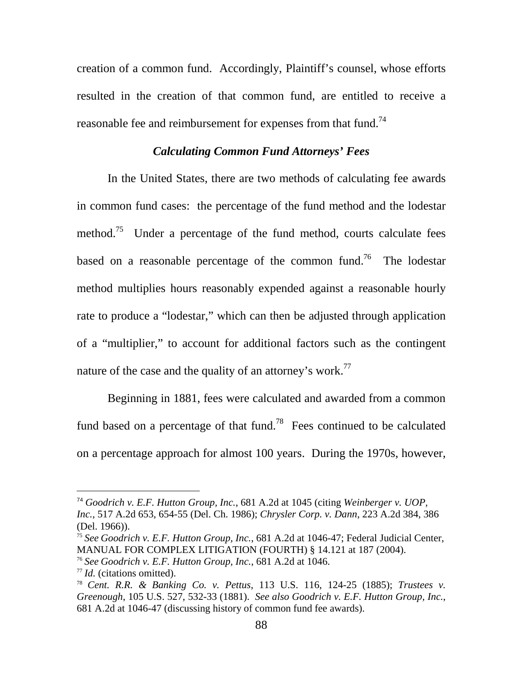creation of a common fund. Accordingly, Plaintiff's counsel, whose efforts resulted in the creation of that common fund, are entitled to receive a reasonable fee and reimbursement for expenses from that fund.<sup>74</sup>

## *Calculating Common Fund Attorneys' Fees*

 In the United States, there are two methods of calculating fee awards in common fund cases: the percentage of the fund method and the lodestar method.<sup>75</sup> Under a percentage of the fund method, courts calculate fees based on a reasonable percentage of the common fund.<sup>76</sup> The lodestar method multiplies hours reasonably expended against a reasonable hourly rate to produce a "lodestar," which can then be adjusted through application of a "multiplier," to account for additional factors such as the contingent nature of the case and the quality of an attorney's work.<sup>77</sup>

 Beginning in 1881, fees were calculated and awarded from a common fund based on a percentage of that fund.<sup>78</sup> Fees continued to be calculated on a percentage approach for almost 100 years. During the 1970s, however,

<sup>74</sup> *Goodrich v. E.F. Hutton Group, Inc.*, 681 A.2d at 1045 (citing *Weinberger v. UOP, Inc.*, 517 A.2d 653, 654-55 (Del. Ch. 1986); *Chrysler Corp. v. Dann*, 223 A.2d 384, 386 (Del. 1966)).

<sup>75</sup> *See Goodrich v. E.F. Hutton Group, Inc.*, 681 A.2d at 1046-47; Federal Judicial Center, MANUAL FOR COMPLEX LITIGATION (FOURTH) § 14.121 at 187 (2004).

<sup>76</sup> *See Goodrich v. E.F. Hutton Group, Inc.*, 681 A.2d at 1046.

<sup>77</sup> *Id.* (citations omitted).

<sup>78</sup> *Cent. R.R. & Banking Co. v. Pettus*, 113 U.S. 116, 124-25 (1885); *Trustees v. Greenough*, 105 U.S. 527, 532-33 (1881). *See also Goodrich v. E.F. Hutton Group, Inc.*, 681 A.2d at 1046-47 (discussing history of common fund fee awards).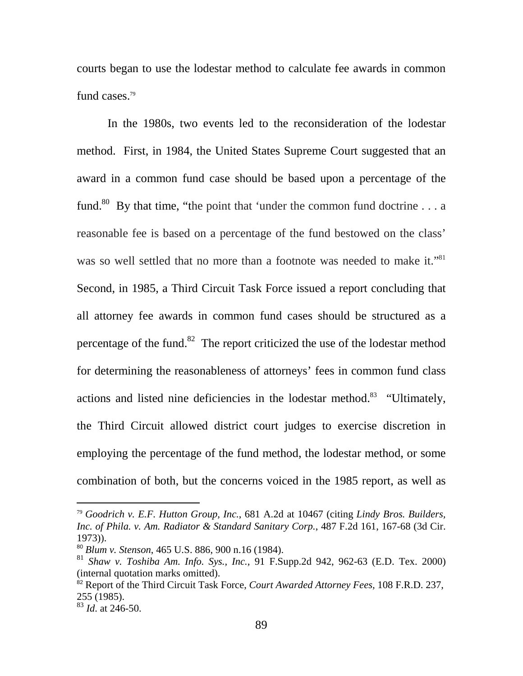courts began to use the lodestar method to calculate fee awards in common fund cases.<sup>79</sup>

In the 1980s, two events led to the reconsideration of the lodestar method. First, in 1984, the United States Supreme Court suggested that an award in a common fund case should be based upon a percentage of the fund.<sup>80</sup> By that time, "the point that 'under the common fund doctrine  $\dots$  a reasonable fee is based on a percentage of the fund bestowed on the class' was so well settled that no more than a footnote was needed to make it."<sup>81</sup> Second, in 1985, a Third Circuit Task Force issued a report concluding that all attorney fee awards in common fund cases should be structured as a percentage of the fund.<sup>82</sup> The report criticized the use of the lodestar method for determining the reasonableness of attorneys' fees in common fund class actions and listed nine deficiencies in the lodestar method.<sup>83</sup> "Ultimately, the Third Circuit allowed district court judges to exercise discretion in employing the percentage of the fund method, the lodestar method, or some combination of both, but the concerns voiced in the 1985 report, as well as

<sup>79</sup> *Goodrich v. E.F. Hutton Group, Inc.*, 681 A.2d at 10467 (citing *Lindy Bros. Builders, Inc. of Phila. v. Am. Radiator & Standard Sanitary Corp.*, 487 F.2d 161, 167-68 (3d Cir. 1973)).

<sup>80</sup> *Blum v. Stenson*, 465 U.S. 886, 900 n.16 (1984).

<sup>81</sup> *Shaw v. Toshiba Am. Info. Sys., Inc.,* 91 F.Supp.2d 942, 962-63 (E.D. Tex. 2000) (internal quotation marks omitted).

<sup>82</sup> Report of the Third Circuit Task Force, *Court Awarded Attorney Fees,* 108 F.R.D. 237, 255 (1985).

<sup>83</sup> *Id*. at 246-50.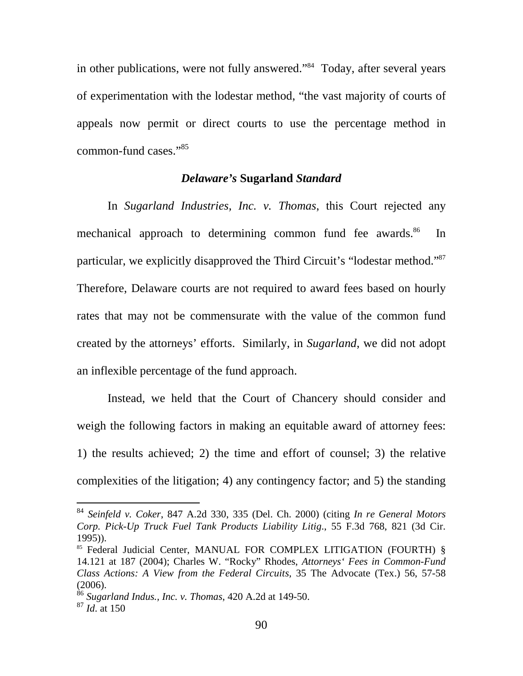in other publications, were not fully answered."<sup>84</sup> Today, after several years of experimentation with the lodestar method, "the vast majority of courts of appeals now permit or direct courts to use the percentage method in common-fund cases."<sup>85</sup>

### *Delaware's* **Sugarland** *Standard*

In *Sugarland Industries, Inc. v. Thomas*, this Court rejected any mechanical approach to determining common fund fee awards.<sup>86</sup> In particular, we explicitly disapproved the Third Circuit's "lodestar method."<sup>87</sup> Therefore, Delaware courts are not required to award fees based on hourly rates that may not be commensurate with the value of the common fund created by the attorneys' efforts. Similarly, in *Sugarland*, we did not adopt an inflexible percentage of the fund approach.

Instead, we held that the Court of Chancery should consider and weigh the following factors in making an equitable award of attorney fees: 1) the results achieved; 2) the time and effort of counsel; 3) the relative complexities of the litigation; 4) any contingency factor; and 5) the standing

<sup>84</sup> *Seinfeld v. Coker*, 847 A.2d 330, 335 (Del. Ch. 2000) (citing *In re General Motors Corp. Pick-Up Truck Fuel Tank Products Liability Litig*., 55 F.3d 768, 821 (3d Cir. 1995)).

<sup>85</sup> Federal Judicial Center, MANUAL FOR COMPLEX LITIGATION (FOURTH) § 14.121 at 187 (2004); Charles W. "Rocky" Rhodes, *Attorneys' Fees in Common-Fund Class Actions: A View from the Federal Circuits,* 35 The Advocate (Tex.) 56, 57-58 (2006).

<sup>86</sup> *Sugarland Indus., Inc. v. Thomas*, 420 A.2d at 149-50.

<sup>87</sup> *Id*. at 150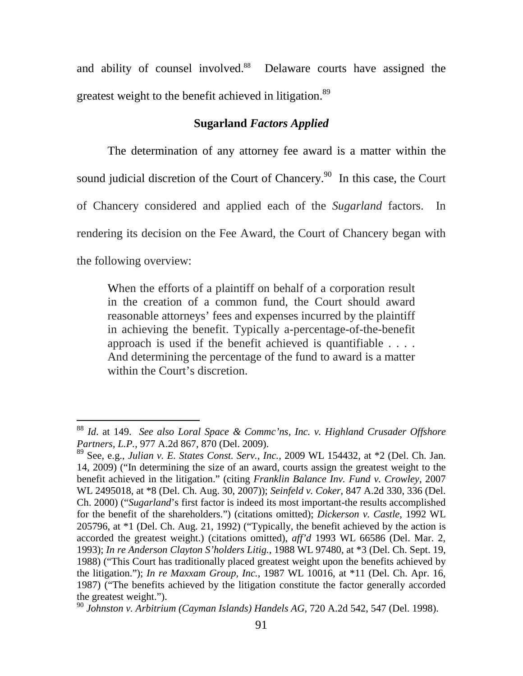and ability of counsel involved.<sup>88</sup> Delaware courts have assigned the greatest weight to the benefit achieved in litigation.<sup>89</sup>

## **Sugarland** *Factors Applied*

The determination of any attorney fee award is a matter within the sound judicial discretion of the Court of Chancery.<sup>90</sup> In this case, the Court of Chancery considered and applied each of the *Sugarland* factors. In rendering its decision on the Fee Award, the Court of Chancery began with the following overview:

When the efforts of a plaintiff on behalf of a corporation result in the creation of a common fund, the Court should award reasonable attorneys' fees and expenses incurred by the plaintiff in achieving the benefit. Typically a-percentage-of-the-benefit approach is used if the benefit achieved is quantifiable . . . . And determining the percentage of the fund to award is a matter within the Court's discretion.

<sup>88</sup> *Id*. at 149. *See also Loral Space & Commc'ns, Inc. v. Highland Crusader Offshore Partners, L.P.*, 977 A.2d 867, 870 (Del. 2009).

<sup>89</sup> See, e.g., *Julian v. E. States Const. Serv., Inc.*, 2009 WL 154432, at \*2 (Del. Ch. Jan. 14, 2009) ("In determining the size of an award, courts assign the greatest weight to the benefit achieved in the litigation." (citing *Franklin Balance Inv. Fund v. Crowley*, 2007 WL 2495018, at \*8 (Del. Ch. Aug. 30, 2007)); *Seinfeld v. Coker*, 847 A.2d 330, 336 (Del. Ch. 2000) ("*Sugarland*'s first factor is indeed its most important-the results accomplished for the benefit of the shareholders.") (citations omitted); *Dickerson v. Castle*, 1992 WL 205796, at \*1 (Del. Ch. Aug. 21, 1992) ("Typically, the benefit achieved by the action is accorded the greatest weight.) (citations omitted), *aff'd* 1993 WL 66586 (Del. Mar. 2, 1993); *In re Anderson Clayton S'holders Litig.*, 1988 WL 97480, at \*3 (Del. Ch. Sept. 19, 1988) ("This Court has traditionally placed greatest weight upon the benefits achieved by the litigation."); *In re Maxxam Group, Inc.*, 1987 WL 10016, at \*11 (Del. Ch. Apr. 16, 1987) ("The benefits achieved by the litigation constitute the factor generally accorded the greatest weight.").

<sup>90</sup> *Johnston v. Arbitrium (Cayman Islands) Handels AG*, 720 A.2d 542, 547 (Del. 1998).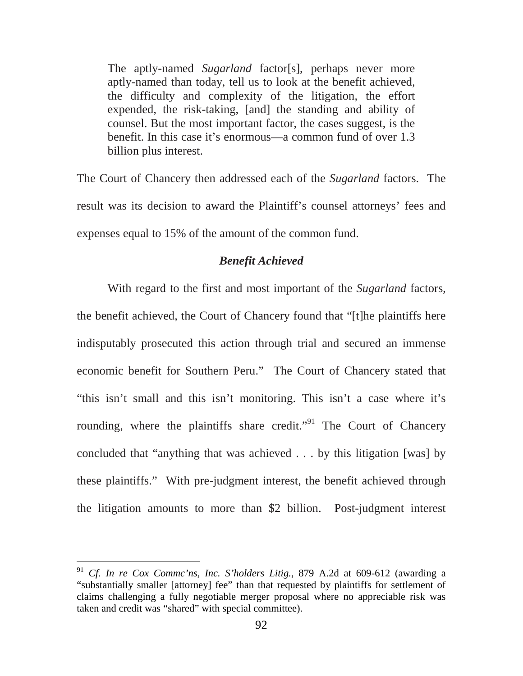The aptly-named *Sugarland* factor[s], perhaps never more aptly-named than today, tell us to look at the benefit achieved, the difficulty and complexity of the litigation, the effort expended, the risk-taking, [and] the standing and ability of counsel. But the most important factor, the cases suggest, is the benefit. In this case it's enormous—a common fund of over 1.3 billion plus interest.

The Court of Chancery then addressed each of the *Sugarland* factors. The result was its decision to award the Plaintiff's counsel attorneys' fees and expenses equal to 15% of the amount of the common fund.

#### *Benefit Achieved*

With regard to the first and most important of the *Sugarland* factors, the benefit achieved, the Court of Chancery found that "[t]he plaintiffs here indisputably prosecuted this action through trial and secured an immense economic benefit for Southern Peru." The Court of Chancery stated that "this isn't small and this isn't monitoring. This isn't a case where it's rounding, where the plaintiffs share credit."<sup>91</sup> The Court of Chancery concluded that "anything that was achieved . . . by this litigation [was] by these plaintiffs." With pre-judgment interest, the benefit achieved through the litigation amounts to more than \$2 billion. Post-judgment interest

<sup>91</sup> *Cf. In re Cox Commc'ns, Inc. S'holders Litig.*, 879 A.2d at 609-612 (awarding a "substantially smaller [attorney] fee" than that requested by plaintiffs for settlement of claims challenging a fully negotiable merger proposal where no appreciable risk was taken and credit was "shared" with special committee).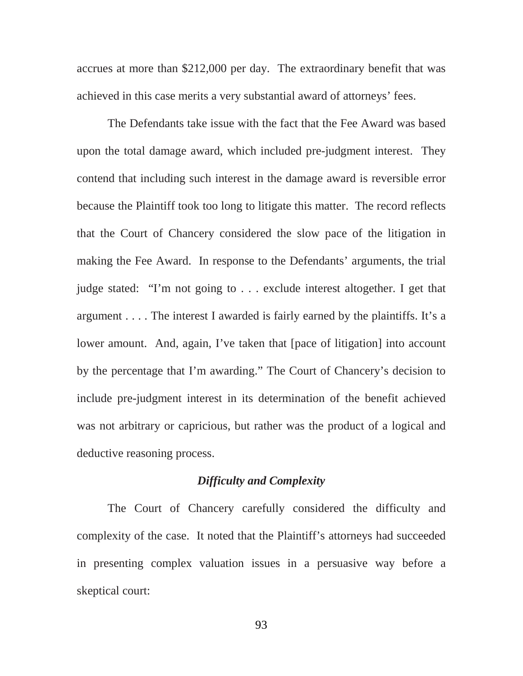accrues at more than \$212,000 per day. The extraordinary benefit that was achieved in this case merits a very substantial award of attorneys' fees.

 The Defendants take issue with the fact that the Fee Award was based upon the total damage award, which included pre-judgment interest. They contend that including such interest in the damage award is reversible error because the Plaintiff took too long to litigate this matter. The record reflects that the Court of Chancery considered the slow pace of the litigation in making the Fee Award. In response to the Defendants' arguments, the trial judge stated: "I'm not going to . . . exclude interest altogether. I get that argument . . . . The interest I awarded is fairly earned by the plaintiffs. It's a lower amount. And, again, I've taken that [pace of litigation] into account by the percentage that I'm awarding." The Court of Chancery's decision to include pre-judgment interest in its determination of the benefit achieved was not arbitrary or capricious, but rather was the product of a logical and deductive reasoning process.

## *Difficulty and Complexity*

The Court of Chancery carefully considered the difficulty and complexity of the case. It noted that the Plaintiff's attorneys had succeeded in presenting complex valuation issues in a persuasive way before a skeptical court: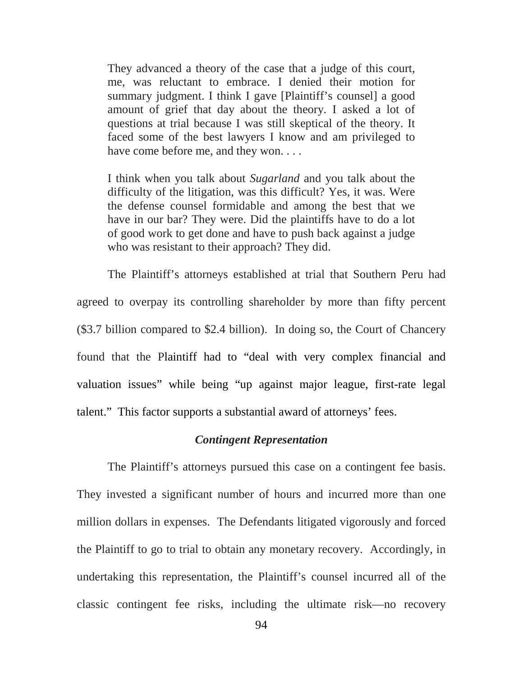They advanced a theory of the case that a judge of this court, me, was reluctant to embrace. I denied their motion for summary judgment. I think I gave [Plaintiff's counsel] a good amount of grief that day about the theory. I asked a lot of questions at trial because I was still skeptical of the theory. It faced some of the best lawyers I know and am privileged to have come before me, and they won....

I think when you talk about *Sugarland* and you talk about the difficulty of the litigation, was this difficult? Yes, it was. Were the defense counsel formidable and among the best that we have in our bar? They were. Did the plaintiffs have to do a lot of good work to get done and have to push back against a judge who was resistant to their approach? They did.

The Plaintiff's attorneys established at trial that Southern Peru had agreed to overpay its controlling shareholder by more than fifty percent (\$3.7 billion compared to \$2.4 billion). In doing so, the Court of Chancery found that the Plaintiff had to "deal with very complex financial and valuation issues" while being "up against major league, first-rate legal talent." This factor supports a substantial award of attorneys' fees.

### *Contingent Representation*

 The Plaintiff's attorneys pursued this case on a contingent fee basis. They invested a significant number of hours and incurred more than one million dollars in expenses. The Defendants litigated vigorously and forced the Plaintiff to go to trial to obtain any monetary recovery. Accordingly, in undertaking this representation, the Plaintiff's counsel incurred all of the classic contingent fee risks, including the ultimate risk—no recovery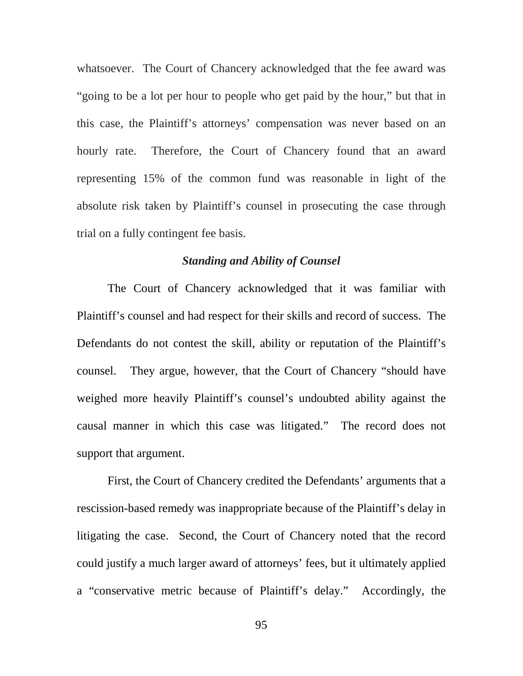whatsoever. The Court of Chancery acknowledged that the fee award was "going to be a lot per hour to people who get paid by the hour," but that in this case, the Plaintiff's attorneys' compensation was never based on an hourly rate. Therefore, the Court of Chancery found that an award representing 15% of the common fund was reasonable in light of the absolute risk taken by Plaintiff's counsel in prosecuting the case through trial on a fully contingent fee basis.

# *Standing and Ability of Counsel*

 The Court of Chancery acknowledged that it was familiar with Plaintiff's counsel and had respect for their skills and record of success. The Defendants do not contest the skill, ability or reputation of the Plaintiff's counsel. They argue, however, that the Court of Chancery "should have weighed more heavily Plaintiff's counsel's undoubted ability against the causal manner in which this case was litigated." The record does not support that argument.

First, the Court of Chancery credited the Defendants' arguments that a rescission-based remedy was inappropriate because of the Plaintiff's delay in litigating the case. Second, the Court of Chancery noted that the record could justify a much larger award of attorneys' fees, but it ultimately applied a "conservative metric because of Plaintiff's delay." Accordingly, the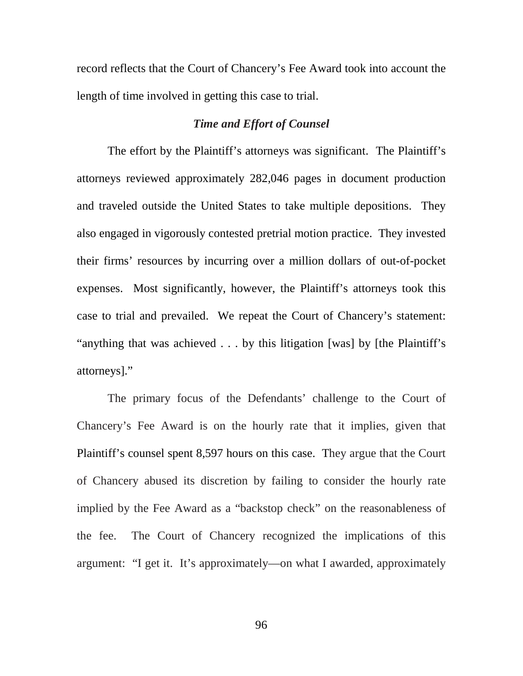record reflects that the Court of Chancery's Fee Award took into account the length of time involved in getting this case to trial.

# *Time and Effort of Counsel*

The effort by the Plaintiff's attorneys was significant. The Plaintiff's attorneys reviewed approximately 282,046 pages in document production and traveled outside the United States to take multiple depositions. They also engaged in vigorously contested pretrial motion practice. They invested their firms' resources by incurring over a million dollars of out-of-pocket expenses. Most significantly, however, the Plaintiff's attorneys took this case to trial and prevailed. We repeat the Court of Chancery's statement: "anything that was achieved . . . by this litigation [was] by [the Plaintiff's attorneys]."

The primary focus of the Defendants' challenge to the Court of Chancery's Fee Award is on the hourly rate that it implies, given that Plaintiff's counsel spent 8,597 hours on this case. They argue that the Court of Chancery abused its discretion by failing to consider the hourly rate implied by the Fee Award as a "backstop check" on the reasonableness of the fee. The Court of Chancery recognized the implications of this argument: "I get it. It's approximately—on what I awarded, approximately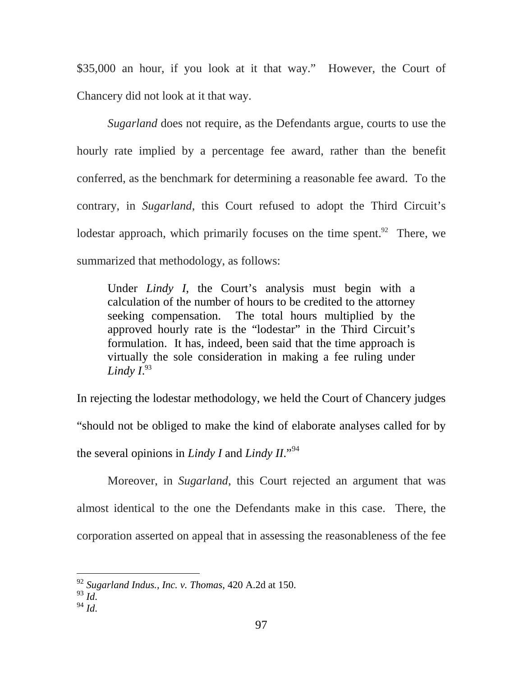\$35,000 an hour, if you look at it that way." However, the Court of Chancery did not look at it that way.

*Sugarland* does not require, as the Defendants argue, courts to use the hourly rate implied by a percentage fee award, rather than the benefit conferred, as the benchmark for determining a reasonable fee award. To the contrary, in *Sugarland*, this Court refused to adopt the Third Circuit's lodestar approach, which primarily focuses on the time spent.<sup>92</sup> There, we summarized that methodology, as follows:

Under *Lindy I*, the Court's analysis must begin with a calculation of the number of hours to be credited to the attorney seeking compensation. The total hours multiplied by the approved hourly rate is the "lodestar" in the Third Circuit's formulation. It has, indeed, been said that the time approach is virtually the sole consideration in making a fee ruling under *Lindy I*. 93

In rejecting the lodestar methodology, we held the Court of Chancery judges "should not be obliged to make the kind of elaborate analyses called for by the several opinions in *Lindy I* and *Lindy II*."<sup>94</sup>

Moreover, in *Sugarland*, this Court rejected an argument that was almost identical to the one the Defendants make in this case. There, the corporation asserted on appeal that in assessing the reasonableness of the fee

<sup>92</sup> *Sugarland Indus., Inc. v. Thomas*, 420 A.2d at 150.

<sup>93</sup> *Id*.

 $^{94}$  *Id.*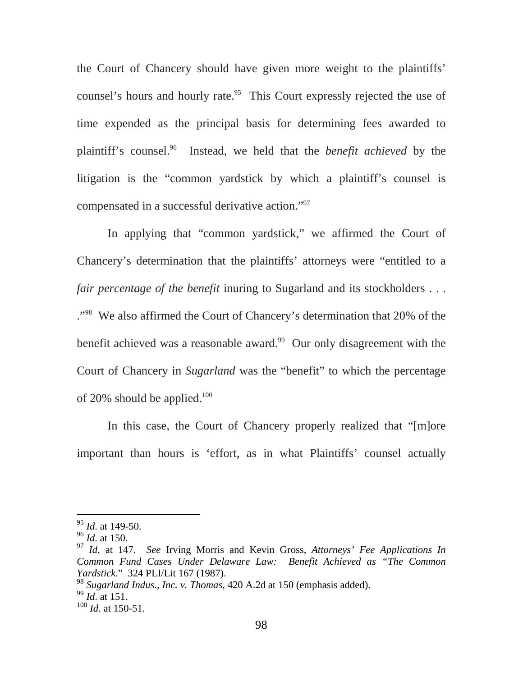the Court of Chancery should have given more weight to the plaintiffs' counsel's hours and hourly rate.<sup>95</sup> This Court expressly rejected the use of time expended as the principal basis for determining fees awarded to plaintiff's counsel.<sup>96</sup> Instead, we held that the *benefit achieved* by the litigation is the "common yardstick by which a plaintiff's counsel is compensated in a successful derivative action."<sup>97</sup>

In applying that "common yardstick," we affirmed the Court of Chancery's determination that the plaintiffs' attorneys were "entitled to a *fair percentage of the benefit inuring to Sugarland and its stockholders ...* ."<sup>98</sup> We also affirmed the Court of Chancery's determination that 20% of the benefit achieved was a reasonable award.<sup>99</sup> Our only disagreement with the Court of Chancery in *Sugarland* was the "benefit" to which the percentage of 20% should be applied. $100$ 

In this case, the Court of Chancery properly realized that "[m]ore important than hours is 'effort, as in what Plaintiffs' counsel actually

<sup>95</sup> *Id*. at 149-50.

<sup>96</sup> *Id*. at 150.

<sup>97</sup> *Id*. at 147. *See* Irving Morris and Kevin Gross, *Attorneys' Fee Applications In Common Fund Cases Under Delaware Law: Benefit Achieved as "The Common Yardstick*." 324 PLI/Lit 167 (1987).

<sup>98</sup> *Sugarland Indus., Inc. v. Thomas*, 420 A.2d at 150 (emphasis added). <sup>99</sup> *Id*. at 151.

<sup>100</sup> *Id*. at 150-51.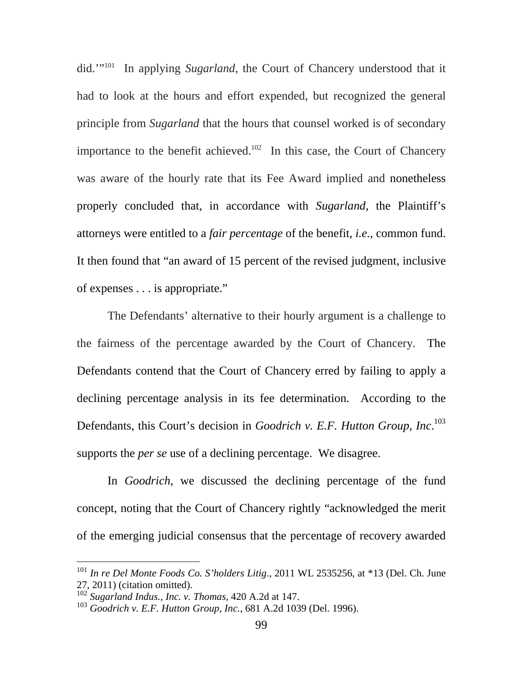did.'"<sup>101</sup> In applying *Sugarland*, the Court of Chancery understood that it had to look at the hours and effort expended, but recognized the general principle from *Sugarland* that the hours that counsel worked is of secondary importance to the benefit achieved.<sup>102</sup> In this case, the Court of Chancery was aware of the hourly rate that its Fee Award implied and nonetheless properly concluded that, in accordance with *Sugarland*, the Plaintiff's attorneys were entitled to a *fair percentage* of the benefit, *i.e.*, common fund. It then found that "an award of 15 percent of the revised judgment, inclusive of expenses . . . is appropriate."

The Defendants' alternative to their hourly argument is a challenge to the fairness of the percentage awarded by the Court of Chancery. The Defendants contend that the Court of Chancery erred by failing to apply a declining percentage analysis in its fee determination. According to the Defendants, this Court's decision in *Goodrich v. E.F. Hutton Group, Inc*. 103 supports the *per se* use of a declining percentage. We disagree.

In *Goodrich*, we discussed the declining percentage of the fund concept, noting that the Court of Chancery rightly "acknowledged the merit of the emerging judicial consensus that the percentage of recovery awarded

<sup>101</sup> *In re Del Monte Foods Co. S'holders Litig*., 2011 WL 2535256, at \*13 (Del. Ch. June 27, 2011) (citation omitted).

<sup>102</sup> *Sugarland Indus., Inc. v. Thomas*, 420 A.2d at 147.

<sup>103</sup> *Goodrich v. E.F. Hutton Group, Inc.*, 681 A.2d 1039 (Del. 1996).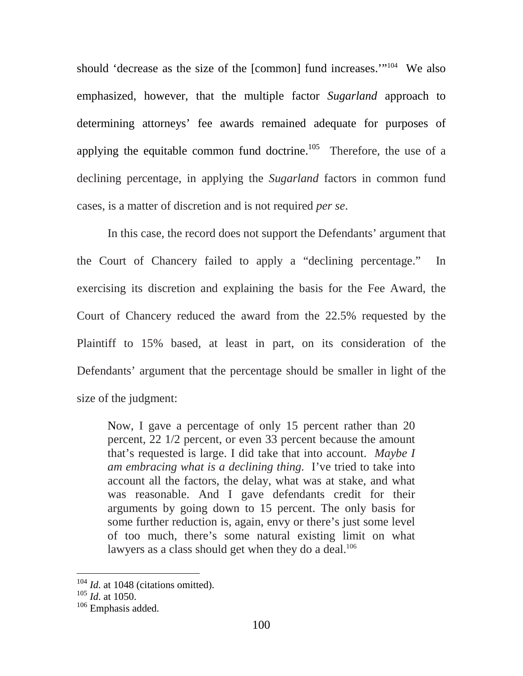should 'decrease as the size of the [common] fund increases."<sup>104</sup> We also emphasized, however, that the multiple factor *Sugarland* approach to determining attorneys' fee awards remained adequate for purposes of applying the equitable common fund doctrine.<sup>105</sup> Therefore, the use of a declining percentage, in applying the *Sugarland* factors in common fund cases, is a matter of discretion and is not required *per se*.

In this case, the record does not support the Defendants' argument that the Court of Chancery failed to apply a "declining percentage." In exercising its discretion and explaining the basis for the Fee Award, the Court of Chancery reduced the award from the 22.5% requested by the Plaintiff to 15% based, at least in part, on its consideration of the Defendants' argument that the percentage should be smaller in light of the size of the judgment:

Now, I gave a percentage of only 15 percent rather than 20 percent, 22 1/2 percent, or even 33 percent because the amount that's requested is large. I did take that into account. *Maybe I am embracing what is a declining thing.* I've tried to take into account all the factors, the delay, what was at stake, and what was reasonable. And I gave defendants credit for their arguments by going down to 15 percent. The only basis for some further reduction is, again, envy or there's just some level of too much, there's some natural existing limit on what lawyers as a class should get when they do a deal.<sup>106</sup>

<sup>&</sup>lt;sup>104</sup> *Id.* at 1048 (citations omitted).

<sup>105</sup> *Id*. at 1050.

<sup>106</sup> Emphasis added.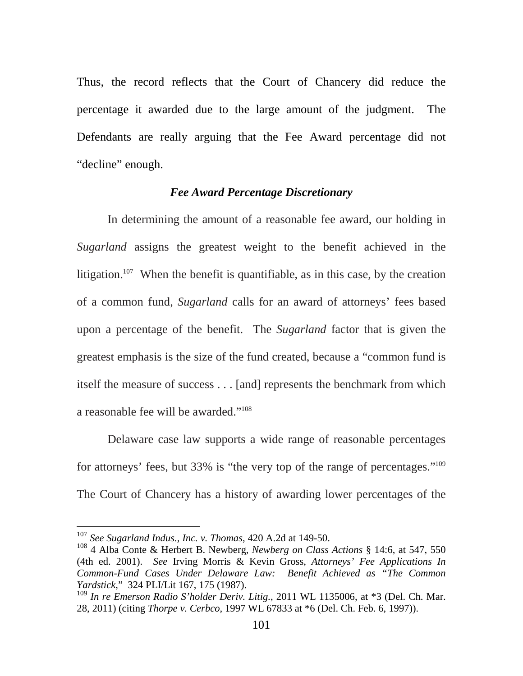Thus, the record reflects that the Court of Chancery did reduce the percentage it awarded due to the large amount of the judgment. The Defendants are really arguing that the Fee Award percentage did not "decline" enough.

## *Fee Award Percentage Discretionary*

 In determining the amount of a reasonable fee award, our holding in *Sugarland* assigns the greatest weight to the benefit achieved in the litigation.<sup>107</sup> When the benefit is quantifiable, as in this case, by the creation of a common fund, *Sugarland* calls for an award of attorneys' fees based upon a percentage of the benefit. The *Sugarland* factor that is given the greatest emphasis is the size of the fund created, because a "common fund is itself the measure of success . . . [and] represents the benchmark from which a reasonable fee will be awarded."<sup>108</sup>

Delaware case law supports a wide range of reasonable percentages for attorneys' fees, but 33% is "the very top of the range of percentages."<sup>109</sup> The Court of Chancery has a history of awarding lower percentages of the

<sup>107</sup> *See Sugarland Indus., Inc. v. Thomas*, 420 A.2d at 149-50.

<sup>108</sup> 4 Alba Conte & Herbert B. Newberg, *Newberg on Class Actions* § 14:6, at 547, 550 (4th ed. 2001). *See* Irving Morris & Kevin Gross, *Attorneys' Fee Applications In Common-Fund Cases Under Delaware Law: Benefit Achieved as "The Common Yardstick*," 324 PLI/Lit 167, 175 (1987).

<sup>109</sup> *In re Emerson Radio S'holder Deriv. Litig.*, 2011 WL 1135006, at \*3 (Del. Ch. Mar. 28, 2011) (citing *Thorpe v. Cerbco*, 1997 WL 67833 at \*6 (Del. Ch. Feb. 6, 1997)).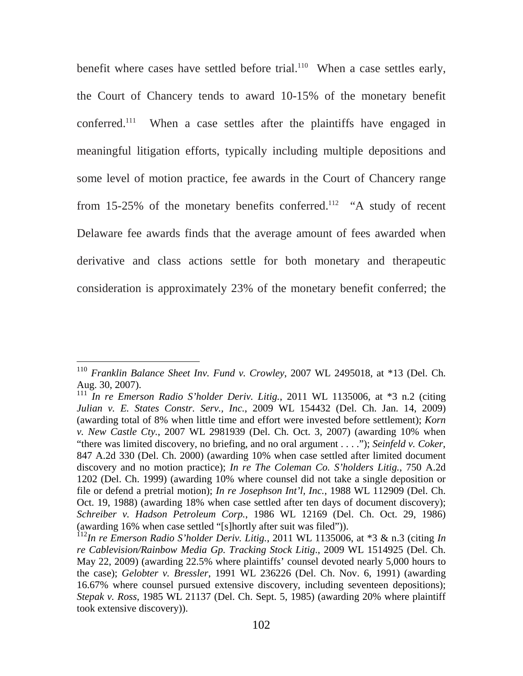benefit where cases have settled before trial. $110$  When a case settles early, the Court of Chancery tends to award 10-15% of the monetary benefit conferred.<sup>111</sup> When a case settles after the plaintiffs have engaged in meaningful litigation efforts, typically including multiple depositions and some level of motion practice, fee awards in the Court of Chancery range from 15-25% of the monetary benefits conferred.<sup>112</sup> "A study of recent Delaware fee awards finds that the average amount of fees awarded when derivative and class actions settle for both monetary and therapeutic consideration is approximately 23% of the monetary benefit conferred; the

<sup>110</sup> *Franklin Balance Sheet Inv. Fund v. Crowley*, 2007 WL 2495018, at \*13 (Del. Ch. Aug. 30, 2007).

<sup>111</sup> *In re Emerson Radio S'holder Deriv. Litig.*, 2011 WL 1135006, at \*3 n.2 (citing *Julian v. E. States Constr. Serv., Inc.*, 2009 WL 154432 (Del. Ch. Jan. 14, 2009) (awarding total of 8% when little time and effort were invested before settlement); *Korn v. New Castle Cty.*, 2007 WL 2981939 (Del. Ch. Oct. 3, 2007) (awarding 10% when "there was limited discovery, no briefing, and no oral argument . . . ."); *Seinfeld v. Coker*, 847 A.2d 330 (Del. Ch. 2000) (awarding 10% when case settled after limited document discovery and no motion practice); *In re The Coleman Co. S'holders Litig.*, 750 A.2d 1202 (Del. Ch. 1999) (awarding 10% where counsel did not take a single deposition or file or defend a pretrial motion); *In re Josephson Int'l, Inc.*, 1988 WL 112909 (Del. Ch. Oct. 19, 1988) (awarding 18% when case settled after ten days of document discovery); *Schreiber v. Hadson Petroleum Corp.*, 1986 WL 12169 (Del. Ch. Oct. 29, 1986) (awarding 16% when case settled "[s]hortly after suit was filed")).

<sup>112</sup>*In re Emerson Radio S'holder Deriv. Litig.*, 2011 WL 1135006, at \*3 & n.3 (citing *In re Cablevision/Rainbow Media Gp. Tracking Stock Litig*., 2009 WL 1514925 (Del. Ch. May 22, 2009) (awarding 22.5% where plaintiffs' counsel devoted nearly 5,000 hours to the case); *Gelobter v. Bressler*, 1991 WL 236226 (Del. Ch. Nov. 6, 1991) (awarding 16.67% where counsel pursued extensive discovery, including seventeen depositions); *Stepak v. Ross*, 1985 WL 21137 (Del. Ch. Sept. 5, 1985) (awarding 20% where plaintiff took extensive discovery)).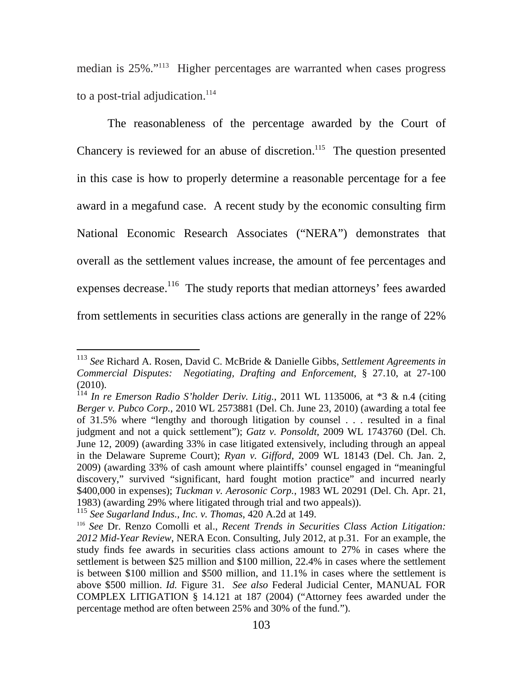median is 25%."<sup>113</sup> Higher percentages are warranted when cases progress to a post-trial adjudication. $114$ 

 The reasonableness of the percentage awarded by the Court of Chancery is reviewed for an abuse of discretion.<sup>115</sup> The question presented in this case is how to properly determine a reasonable percentage for a fee award in a megafund case. A recent study by the economic consulting firm National Economic Research Associates ("NERA") demonstrates that overall as the settlement values increase, the amount of fee percentages and expenses decrease.<sup>116</sup> The study reports that median attorneys' fees awarded from settlements in securities class actions are generally in the range of 22%

<sup>113</sup> *See* Richard A. Rosen, David C. McBride & Danielle Gibbs, *Settlement Agreements in Commercial Disputes: Negotiating, Drafting and Enforcement*, § 27.10, at 27-100  $(2010).$ 

 $114$  *In re Emerson Radio S'holder Deriv. Litig.*, 2011 WL 1135006, at \*3 & n.4 (citing *Berger v. Pubco Corp.*, 2010 WL 2573881 (Del. Ch. June 23, 2010) (awarding a total fee of 31.5% where "lengthy and thorough litigation by counsel . . . resulted in a final judgment and not a quick settlement"); *Gatz v. Ponsoldt*, 2009 WL 1743760 (Del. Ch. June 12, 2009) (awarding 33% in case litigated extensively, including through an appeal in the Delaware Supreme Court); *Ryan v. Gifford*, 2009 WL 18143 (Del. Ch. Jan. 2, 2009) (awarding 33% of cash amount where plaintiffs' counsel engaged in "meaningful discovery," survived "significant, hard fought motion practice" and incurred nearly \$400,000 in expenses); *Tuckman v. Aerosonic Corp.*, 1983 WL 20291 (Del. Ch. Apr. 21, 1983) (awarding 29% where litigated through trial and two appeals)).

<sup>115</sup> *See Sugarland Indus., Inc. v. Thomas*, 420 A.2d at 149.

<sup>116</sup> *See* Dr. Renzo Comolli et al., *Recent Trends in Securities Class Action Litigation: 2012 Mid-Year Review*, NERA Econ. Consulting, July 2012, at p.31. For an example, the study finds fee awards in securities class actions amount to 27% in cases where the settlement is between \$25 million and \$100 million, 22.4% in cases where the settlement is between \$100 million and \$500 million, and 11.1% in cases where the settlement is above \$500 million. *Id.* Figure 31. *See also* Federal Judicial Center, MANUAL FOR COMPLEX LITIGATION § 14.121 at 187 (2004) ("Attorney fees awarded under the percentage method are often between 25% and 30% of the fund.").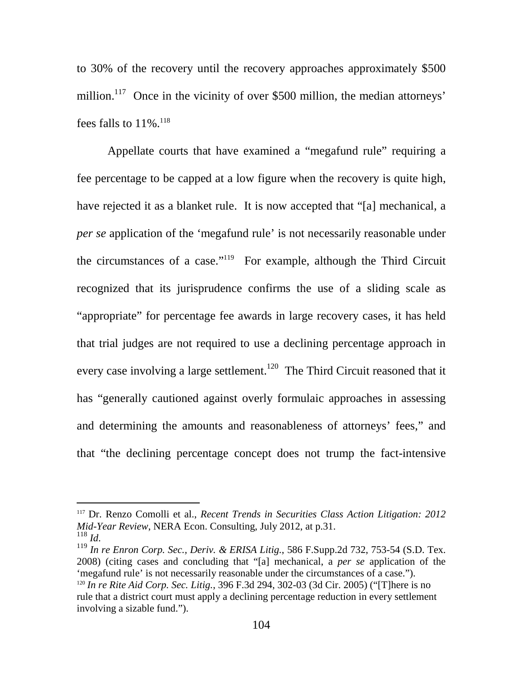to 30% of the recovery until the recovery approaches approximately \$500 million.<sup>117</sup> Once in the vicinity of over \$500 million, the median attorneys' fees falls to  $11\%$ <sup>118</sup>

Appellate courts that have examined a "megafund rule" requiring a fee percentage to be capped at a low figure when the recovery is quite high, have rejected it as a blanket rule. It is now accepted that "[a] mechanical, a *per se* application of the 'megafund rule' is not necessarily reasonable under the circumstances of a case."<sup>119</sup> For example, although the Third Circuit recognized that its jurisprudence confirms the use of a sliding scale as "appropriate" for percentage fee awards in large recovery cases, it has held that trial judges are not required to use a declining percentage approach in every case involving a large settlement.<sup>120</sup> The Third Circuit reasoned that it has "generally cautioned against overly formulaic approaches in assessing and determining the amounts and reasonableness of attorneys' fees," and that "the declining percentage concept does not trump the fact-intensive

<sup>117</sup> Dr. Renzo Comolli et al., *Recent Trends in Securities Class Action Litigation: 2012 Mid-Year Review*, NERA Econ. Consulting, July 2012, at p.31. <sup>118</sup> *Id*.

<sup>119</sup> *In re Enron Corp. Sec., Deriv. & ERISA Litig.*, 586 F.Supp.2d 732, 753-54 (S.D. Tex. 2008) (citing cases and concluding that "[a] mechanical, a *per se* application of the 'megafund rule' is not necessarily reasonable under the circumstances of a case."). <sup>120</sup> *In re Rite Aid Corp. Sec. Litig.*, 396 F.3d 294, 302-03 (3d Cir. 2005) ("[T]here is no rule that a district court must apply a declining percentage reduction in every settlement involving a sizable fund.").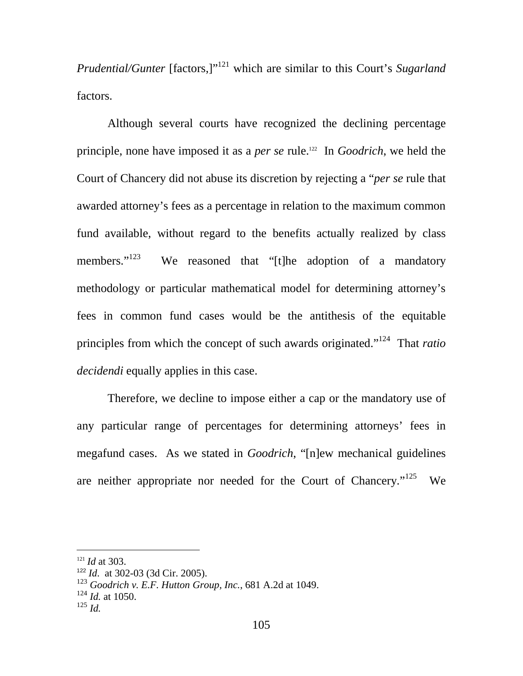*Prudential/Gunter* [factors,]"<sup>121</sup> which are similar to this Court's *Sugarland* factors.

Although several courts have recognized the declining percentage principle, none have imposed it as a *per se* rule.<sup>122</sup> In *Goodrich*, we held the Court of Chancery did not abuse its discretion by rejecting a "*per se* rule that awarded attorney's fees as a percentage in relation to the maximum common fund available, without regard to the benefits actually realized by class members." $123$  We reasoned that "[t]he adoption of a mandatory methodology or particular mathematical model for determining attorney's fees in common fund cases would be the antithesis of the equitable principles from which the concept of such awards originated."<sup>124</sup> That *ratio decidendi* equally applies in this case.

Therefore, we decline to impose either a cap or the mandatory use of any particular range of percentages for determining attorneys' fees in megafund cases. As we stated in *Goodrich*, "[n]ew mechanical guidelines are neither appropriate nor needed for the Court of Chancery."<sup>125</sup> We

<sup>121</sup> *Id* at 303.

<sup>122</sup> *Id*. at 302-03 (3d Cir. 2005).

<sup>123</sup> *Goodrich v. E.F. Hutton Group, Inc.*, 681 A.2d at 1049.

<sup>124</sup> *Id.* at 1050.

<sup>125</sup> *Id.*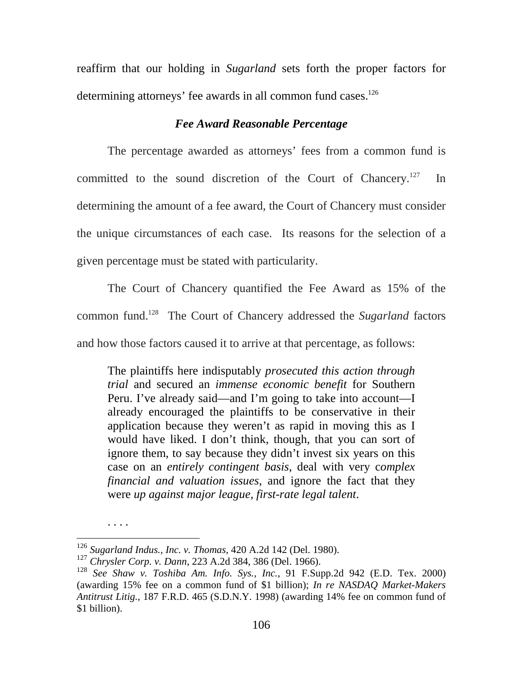reaffirm that our holding in *Sugarland* sets forth the proper factors for determining attorneys' fee awards in all common fund cases.<sup>126</sup>

## *Fee Award Reasonable Percentage*

The percentage awarded as attorneys' fees from a common fund is committed to the sound discretion of the Court of Chancery.<sup>127</sup> In determining the amount of a fee award, the Court of Chancery must consider the unique circumstances of each case. Its reasons for the selection of a given percentage must be stated with particularity.

The Court of Chancery quantified the Fee Award as 15% of the common fund.<sup>128</sup> The Court of Chancery addressed the *Sugarland* factors and how those factors caused it to arrive at that percentage, as follows:

The plaintiffs here indisputably *prosecuted this action through trial* and secured an *immense economic benefit* for Southern Peru. I've already said—and I'm going to take into account—I already encouraged the plaintiffs to be conservative in their application because they weren't as rapid in moving this as I would have liked. I don't think, though, that you can sort of ignore them, to say because they didn't invest six years on this case on an *entirely contingent basis*, deal with very c*omplex financial and valuation issues*, and ignore the fact that they were *up against major league, first-rate legal talent*.

. . . .

<sup>126</sup> *Sugarland Indus., Inc. v. Thomas*, 420 A.2d 142 (Del. 1980).

<sup>127</sup> *Chrysler Corp. v. Dann*, 223 A.2d 384, 386 (Del. 1966).

<sup>128</sup> *See Shaw v. Toshiba Am. Info. Sys., Inc.*, 91 F.Supp.2d 942 (E.D. Tex. 2000) (awarding 15% fee on a common fund of \$1 billion); *In re NASDAQ Market-Makers Antitrust Litig.*, 187 F.R.D. 465 (S.D.N.Y. 1998) (awarding 14% fee on common fund of \$1 billion).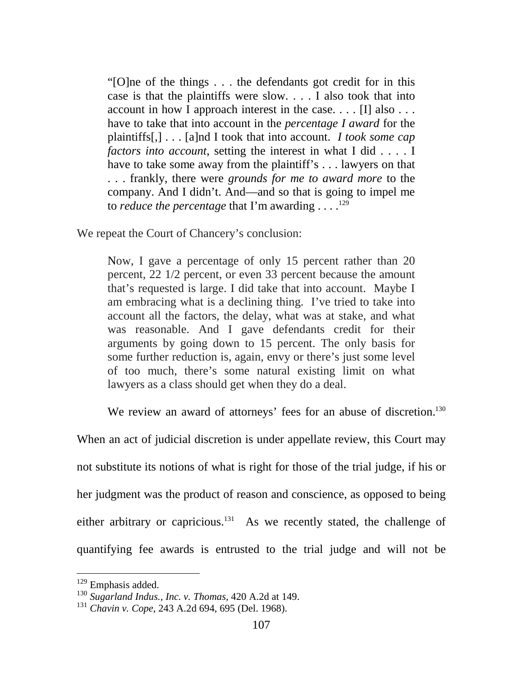"[O]ne of the things . . . the defendants got credit for in this case is that the plaintiffs were slow. . . . I also took that into account in how I approach interest in the case. . . . [I] also . . . have to take that into account in the *percentage I award* for the plaintiffs[,] . . . [a]nd I took that into account. *I took some cap factors into account*, setting the interest in what I did . . . . I have to take some away from the plaintiff's . . . lawyers on that . . . frankly, there were *grounds for me to award more* to the company. And I didn't. And—and so that is going to impel me to *reduce the percentage* that I'm awarding . . . .<sup>129</sup>

We repeat the Court of Chancery's conclusion:

Now, I gave a percentage of only 15 percent rather than 20 percent, 22 1/2 percent, or even 33 percent because the amount that's requested is large. I did take that into account. Maybe I am embracing what is a declining thing*.* I've tried to take into account all the factors, the delay, what was at stake, and what was reasonable. And I gave defendants credit for their arguments by going down to 15 percent. The only basis for some further reduction is, again, envy or there's just some level of too much, there's some natural existing limit on what lawyers as a class should get when they do a deal.

We review an award of attorneys' fees for an abuse of discretion.<sup>130</sup>

When an act of judicial discretion is under appellate review, this Court may not substitute its notions of what is right for those of the trial judge, if his or her judgment was the product of reason and conscience, as opposed to being either arbitrary or capricious.<sup>131</sup> As we recently stated, the challenge of quantifying fee awards is entrusted to the trial judge and will not be

<sup>&</sup>lt;sup>129</sup> Emphasis added.

<sup>130</sup> *Sugarland Indus., Inc. v. Thomas*, 420 A.2d at 149.

<sup>131</sup> *Chavin v. Cope*, 243 A.2d 694, 695 (Del. 1968).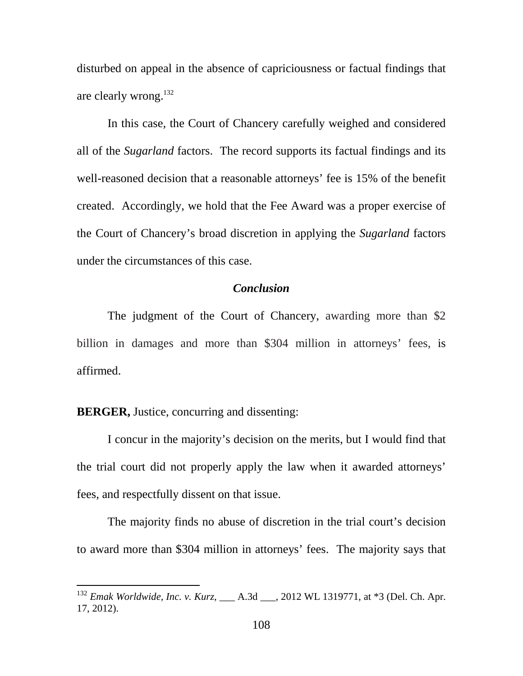disturbed on appeal in the absence of capriciousness or factual findings that are clearly wrong.<sup>132</sup>

 In this case, the Court of Chancery carefully weighed and considered all of the *Sugarland* factors. The record supports its factual findings and its well-reasoned decision that a reasonable attorneys' fee is 15% of the benefit created. Accordingly, we hold that the Fee Award was a proper exercise of the Court of Chancery's broad discretion in applying the *Sugarland* factors under the circumstances of this case.

## *Conclusion*

 The judgment of the Court of Chancery, awarding more than \$2 billion in damages and more than \$304 million in attorneys' fees, is affirmed.

#### **BERGER,** Justice, concurring and dissenting:

-

I concur in the majority's decision on the merits, but I would find that the trial court did not properly apply the law when it awarded attorneys' fees, and respectfully dissent on that issue.

The majority finds no abuse of discretion in the trial court's decision to award more than \$304 million in attorneys' fees. The majority says that

<sup>&</sup>lt;sup>132</sup> *Emak Worldwide, Inc. v. Kurz*, \_\_\_ A.3d \_\_\_, 2012 WL 1319771, at \*3 (Del. Ch. Apr. 17, 2012).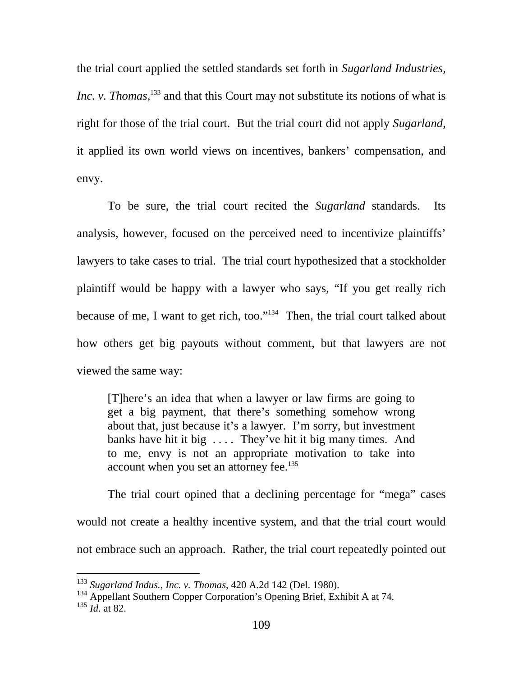the trial court applied the settled standards set forth in *Sugarland Industries, Inc. v. Thomas*,<sup>133</sup> and that this Court may not substitute its notions of what is right for those of the trial court. But the trial court did not apply *Sugarland*, it applied its own world views on incentives, bankers' compensation, and envy.

To be sure, the trial court recited the *Sugarland* standards. Its analysis, however, focused on the perceived need to incentivize plaintiffs' lawyers to take cases to trial. The trial court hypothesized that a stockholder plaintiff would be happy with a lawyer who says, "If you get really rich because of me, I want to get rich, too."<sup>134</sup> Then, the trial court talked about how others get big payouts without comment, but that lawyers are not viewed the same way:

[T]here's an idea that when a lawyer or law firms are going to get a big payment, that there's something somehow wrong about that, just because it's a lawyer. I'm sorry, but investment banks have hit it big . . . . They've hit it big many times. And to me, envy is not an appropriate motivation to take into account when you set an attorney fee.<sup>135</sup>

The trial court opined that a declining percentage for "mega" cases would not create a healthy incentive system, and that the trial court would not embrace such an approach. Rather, the trial court repeatedly pointed out

-

<sup>133</sup> *Sugarland Indus., Inc. v. Thomas*, 420 A.2d 142 (Del. 1980).

<sup>&</sup>lt;sup>134</sup> Appellant Southern Copper Corporation's Opening Brief, Exhibit A at 74. <sup>135</sup> *Id*. at 82.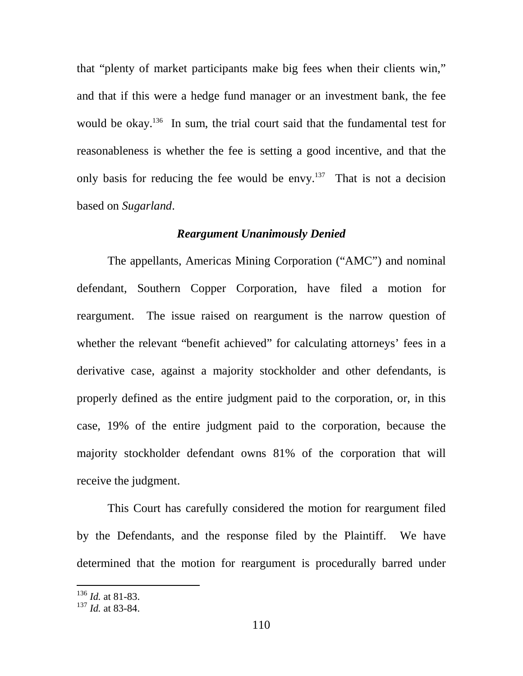that "plenty of market participants make big fees when their clients win," and that if this were a hedge fund manager or an investment bank, the fee would be okay.<sup>136</sup> In sum, the trial court said that the fundamental test for reasonableness is whether the fee is setting a good incentive, and that the only basis for reducing the fee would be envy.<sup>137</sup> That is not a decision based on *Sugarland*.

## *Reargument Unanimously Denied*

The appellants, Americas Mining Corporation ("AMC") and nominal defendant, Southern Copper Corporation, have filed a motion for reargument. The issue raised on reargument is the narrow question of whether the relevant "benefit achieved" for calculating attorneys' fees in a derivative case, against a majority stockholder and other defendants, is properly defined as the entire judgment paid to the corporation, or, in this case, 19% of the entire judgment paid to the corporation, because the majority stockholder defendant owns 81% of the corporation that will receive the judgment.

This Court has carefully considered the motion for reargument filed by the Defendants, and the response filed by the Plaintiff. We have determined that the motion for reargument is procedurally barred under

 $\overline{a}$ 

<sup>136</sup> *Id.* at 81-83.

<sup>137</sup> *Id.* at 83-84.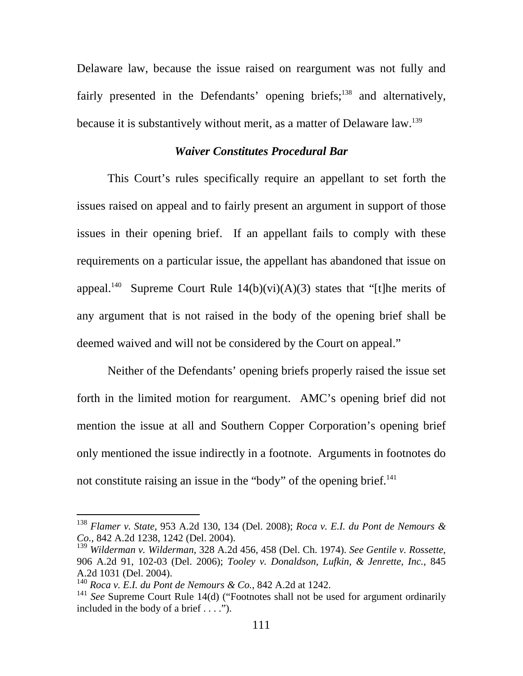Delaware law, because the issue raised on reargument was not fully and fairly presented in the Defendants' opening briefs; $138$  and alternatively, because it is substantively without merit, as a matter of Delaware law.<sup>139</sup>

## *Waiver Constitutes Procedural Bar*

This Court's rules specifically require an appellant to set forth the issues raised on appeal and to fairly present an argument in support of those issues in their opening brief. If an appellant fails to comply with these requirements on a particular issue, the appellant has abandoned that issue on appeal.<sup>140</sup> Supreme Court Rule  $14(b)(vi)(A)(3)$  states that "[t]he merits of any argument that is not raised in the body of the opening brief shall be deemed waived and will not be considered by the Court on appeal."

Neither of the Defendants' opening briefs properly raised the issue set forth in the limited motion for reargument. AMC's opening brief did not mention the issue at all and Southern Copper Corporation's opening brief only mentioned the issue indirectly in a footnote. Arguments in footnotes do not constitute raising an issue in the "body" of the opening brief.<sup>141</sup>

 $\overline{a}$ 

<sup>138</sup> *Flamer v. State*, 953 A.2d 130, 134 (Del. 2008); *Roca v. E.I. du Pont de Nemours & Co.*, 842 A.2d 1238, 1242 (Del. 2004).

<sup>139</sup> *Wilderman v. Wilderman*, 328 A.2d 456, 458 (Del. Ch. 1974). *See Gentile v. Rossette*, 906 A.2d 91, 102-03 (Del. 2006); *Tooley v. Donaldson, Lufkin, & Jenrette, Inc.*, 845 A.2d 1031 (Del. 2004).

<sup>140</sup> *Roca v. E.I. du Pont de Nemours & Co.*, 842 A.2d at 1242.

<sup>&</sup>lt;sup>141</sup> *See* Supreme Court Rule 14(d) ("Footnotes shall not be used for argument ordinarily included in the body of a brief . . . .").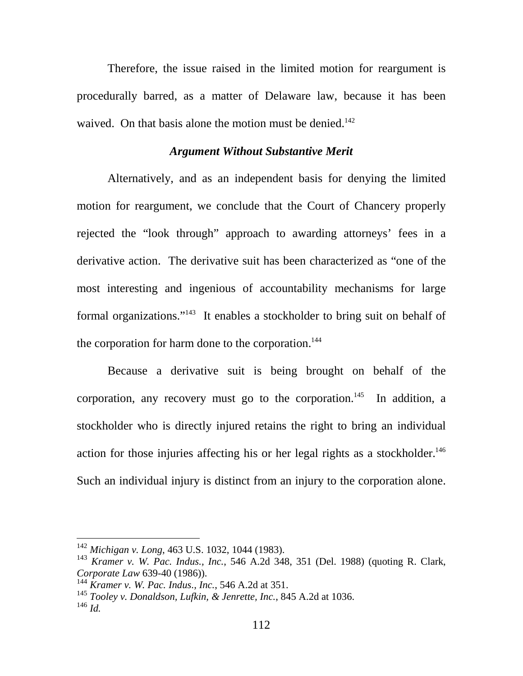Therefore, the issue raised in the limited motion for reargument is procedurally barred, as a matter of Delaware law, because it has been waived. On that basis alone the motion must be denied.<sup>142</sup>

## *Argument Without Substantive Merit*

Alternatively, and as an independent basis for denying the limited motion for reargument, we conclude that the Court of Chancery properly rejected the "look through" approach to awarding attorneys' fees in a derivative action. The derivative suit has been characterized as "one of the most interesting and ingenious of accountability mechanisms for large formal organizations."<sup>143</sup> It enables a stockholder to bring suit on behalf of the corporation for harm done to the corporation.<sup>144</sup>

Because a derivative suit is being brought on behalf of the corporation, any recovery must go to the corporation.<sup>145</sup> In addition, a stockholder who is directly injured retains the right to bring an individual action for those injuries affecting his or her legal rights as a stockholder.<sup>146</sup> Such an individual injury is distinct from an injury to the corporation alone.

-

<sup>142</sup> *Michigan v. Long*, 463 U.S. 1032, 1044 (1983).

<sup>143</sup> *Kramer v. W. Pac. Indus., Inc.*, 546 A.2d 348, 351 (Del. 1988) (quoting R. Clark, *Corporate Law* 639-40 (1986)).

<sup>144</sup> *Kramer v. W. Pac. Indus., Inc.*, 546 A.2d at 351.

<sup>145</sup> *Tooley v. Donaldson, Lufkin, & Jenrette, Inc.*, 845 A.2d at 1036. <sup>146</sup> *Id.*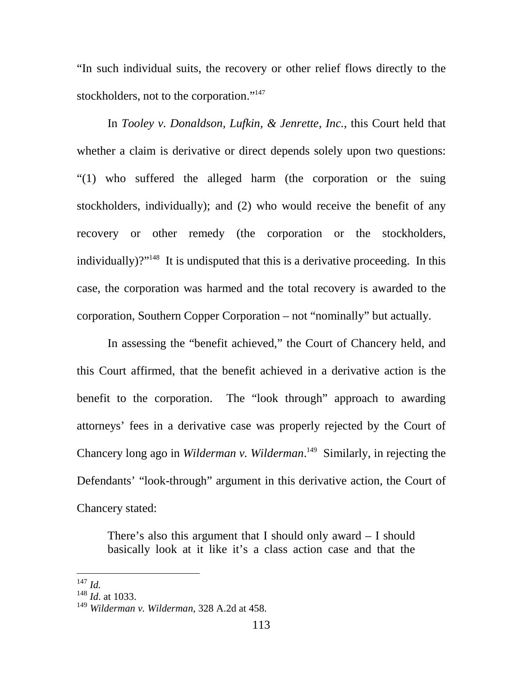"In such individual suits, the recovery or other relief flows directly to the stockholders, not to the corporation."<sup>147</sup>

In *Tooley v. Donaldson, Lufkin, & Jenrette, Inc.*, this Court held that whether a claim is derivative or direct depends solely upon two questions: "(1) who suffered the alleged harm (the corporation or the suing stockholders, individually); and (2) who would receive the benefit of any recovery or other remedy (the corporation or the stockholders, individually)?"<sup>148</sup> It is undisputed that this is a derivative proceeding. In this case, the corporation was harmed and the total recovery is awarded to the corporation, Southern Copper Corporation – not "nominally" but actually.

In assessing the "benefit achieved," the Court of Chancery held, and this Court affirmed, that the benefit achieved in a derivative action is the benefit to the corporation. The "look through" approach to awarding attorneys' fees in a derivative case was properly rejected by the Court of Chancery long ago in *Wilderman v. Wilderman*. <sup>149</sup> Similarly, in rejecting the Defendants' "look-through" argument in this derivative action, the Court of Chancery stated:

There's also this argument that I should only award – I should basically look at it like it's a class action case and that the

 $\overline{a}$ <sup>147</sup> *Id.*

<sup>148</sup> *Id*. at 1033.

<sup>149</sup> *Wilderman v. Wilderman*, 328 A.2d at 458.